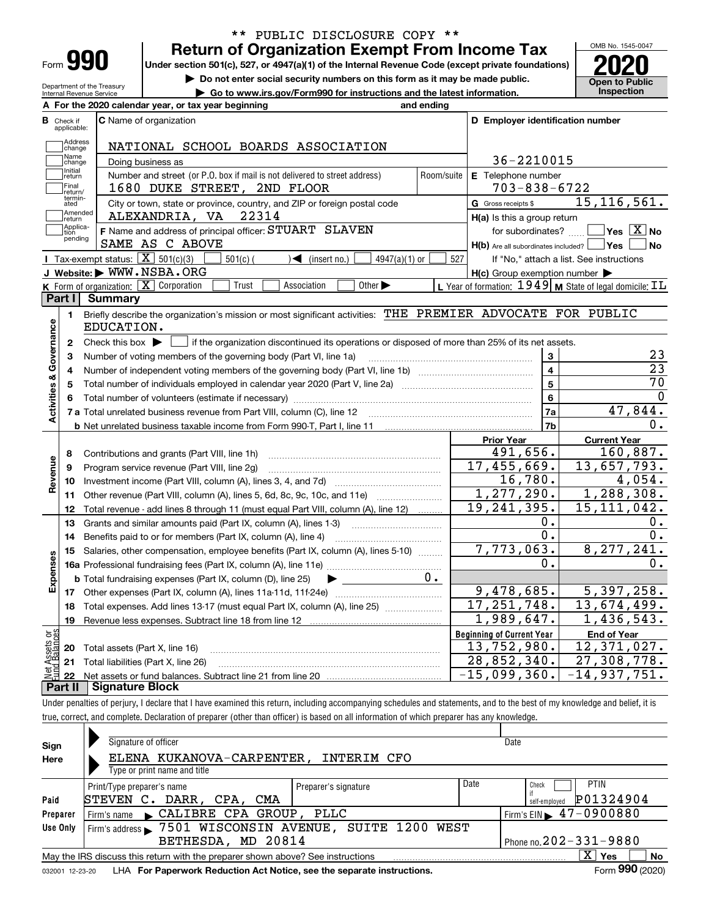| Form |  |
|------|--|
|      |  |

Department of the Treasury Internal Revenue Service

### **Return of Organization Exempt From Income Tax** \*\* PUBLIC DISCLOSURE COPY \*\*

**Under section 501(c), 527, or 4947(a)(1) of the Internal Revenue Code (except private foundations) 2020**

**| Do not enter social security numbers on this form as it may be made public.**

**| Go to www.irs.gov/Form990 for instructions and the latest information. Inspection**



|                              | A For the 2020 calendar year, or tax year beginning                                                                                               | and ending    |                                                                       |                                                              |  |  |
|------------------------------|---------------------------------------------------------------------------------------------------------------------------------------------------|---------------|-----------------------------------------------------------------------|--------------------------------------------------------------|--|--|
| в<br>Check if<br>applicable: | <b>C</b> Name of organization                                                                                                                     |               | D Employer identification number                                      |                                                              |  |  |
|                              | Address<br>NATIONAL SCHOOL BOARDS ASSOCIATION<br>change                                                                                           |               |                                                                       |                                                              |  |  |
|                              | Name<br>36-2210015<br>Doing business as<br>change                                                                                                 |               |                                                                       |                                                              |  |  |
|                              | Initial<br>Number and street (or P.O. box if mail is not delivered to street address)<br>return                                                   |               | Room/suite<br>E Telephone number                                      |                                                              |  |  |
|                              | Final<br>1680 DUKE STREET, 2ND FLOOR<br>return/                                                                                                   |               | $703 - 838 - 6722$                                                    |                                                              |  |  |
|                              | termin-<br>City or town, state or province, country, and ZIP or foreign postal code<br>ated                                                       |               | G Gross receipts \$                                                   | 15, 116, 561.                                                |  |  |
|                              | Amended<br>22314<br>ALEXANDRIA, VA<br>return                                                                                                      |               | H(a) Is this a group return                                           |                                                              |  |  |
| tion                         | Applica-<br>F Name and address of principal officer: STUART SLAVEN<br>pending<br>SAME AS C ABOVE                                                  |               | for subordinates?<br>$H(b)$ Are all subordinates included? $\Box$ Yes | $\overline{\ }$ Yes $\overline{\phantom{X}}$ No<br><b>No</b> |  |  |
|                              | Tax-exempt status: $\boxed{\mathbf{X}}$ 501(c)(3)<br>$501(c)$ (<br>$\sqrt{\bullet}$ (insert no.)                                                  | 4947(a)(1) or | 527                                                                   | If "No," attach a list. See instructions                     |  |  |
|                              | J Website: WWW.NSBA.ORG                                                                                                                           |               | $H(c)$ Group exemption number $\blacktriangleright$                   |                                                              |  |  |
|                              | K Form of organization: X Corporation<br>Other $\blacktriangleright$<br>Trust<br>Association                                                      |               | L Year of formation: $1949$ M State of legal domicile: $IL$           |                                                              |  |  |
| Part I                       | Summary                                                                                                                                           |               |                                                                       |                                                              |  |  |
|                              | Briefly describe the organization's mission or most significant activities: THE PREMIER ADVOCATE FOR PUBLIC<br>1.<br>EDUCATION.                   |               |                                                                       |                                                              |  |  |
| Activities & Governance<br>2 | Check this box $\blacktriangleright$ $\lfloor$<br>if the organization discontinued its operations or disposed of more than 25% of its net assets. |               |                                                                       |                                                              |  |  |
|                              | Number of voting members of the governing body (Part VI, line 1a)<br>3                                                                            |               | 3                                                                     | 23                                                           |  |  |
|                              | 4                                                                                                                                                 |               | $\overline{4}$                                                        | $\overline{23}$                                              |  |  |
|                              | 5                                                                                                                                                 |               | $\overline{5}$                                                        | $\overline{70}$                                              |  |  |
| 6                            |                                                                                                                                                   |               | 6                                                                     | $\Omega$                                                     |  |  |
|                              | 7 a Total unrelated business revenue from Part VIII, column (C), line 12                                                                          |               | 7a                                                                    | 47,844.                                                      |  |  |
|                              |                                                                                                                                                   |               | 7b                                                                    | $0$ .                                                        |  |  |
|                              |                                                                                                                                                   |               | <b>Prior Year</b>                                                     | <b>Current Year</b>                                          |  |  |
| 8                            | Contributions and grants (Part VIII, line 1h)                                                                                                     |               | 491,656.                                                              | 160,887.                                                     |  |  |
| Revenue<br>9                 | Program service revenue (Part VIII, line 2g)                                                                                                      |               | 17,455,669.                                                           | 13,657,793.                                                  |  |  |
| 10                           |                                                                                                                                                   |               | 16,780.                                                               | 4,054.                                                       |  |  |
| 11                           | Other revenue (Part VIII, column (A), lines 5, 6d, 8c, 9c, 10c, and 11e)                                                                          |               | 1,277,290.                                                            | 1,288,308.                                                   |  |  |
| 12                           | Total revenue - add lines 8 through 11 (must equal Part VIII, column (A), line 12)                                                                |               | 19, 241, 395.                                                         | 15, 111, 042.                                                |  |  |
| 13                           | Grants and similar amounts paid (Part IX, column (A), lines 1-3)                                                                                  |               | 0.                                                                    | 0.                                                           |  |  |
| 14                           | Benefits paid to or for members (Part IX, column (A), line 4)                                                                                     |               | 0.                                                                    | 0.                                                           |  |  |
| 15                           | Salaries, other compensation, employee benefits (Part IX, column (A), lines 5-10)                                                                 |               | 7,773,063.                                                            | 8, 277, 241.                                                 |  |  |
| Expenses                     |                                                                                                                                                   |               | 0.                                                                    | 0.                                                           |  |  |
|                              | <b>b</b> Total fundraising expenses (Part IX, column (D), line 25)<br>$\blacktriangleright$ and $\blacktriangleright$                             | $0$ .         |                                                                       |                                                              |  |  |
|                              |                                                                                                                                                   |               | 9,478,685.                                                            | 5,397,258.                                                   |  |  |
| 18                           | Total expenses. Add lines 13-17 (must equal Part IX, column (A), line 25)                                                                         |               | 17, 251, 748.                                                         | $\overline{13,674,499}$ .                                    |  |  |
| 19                           |                                                                                                                                                   |               | 1,989,647.                                                            | 1,436,543.                                                   |  |  |
| ត្ថម្ព                       |                                                                                                                                                   |               | <b>Beginning of Current Year</b>                                      | <b>End of Year</b>                                           |  |  |
| Assets<br>20                 | Total assets (Part X, line 16)                                                                                                                    |               | 13,752,980.                                                           | 12,371,027.                                                  |  |  |
|                              | 21 Total liabilities (Part X, line 26)                                                                                                            |               | 28,852,340.                                                           | 27, 308, 778.                                                |  |  |
|                              |                                                                                                                                                   |               | $-15,099,360.$                                                        | $-14,937,751.$                                               |  |  |

**Part II Signature Block**

Under penalties of perjury, I declare that I have examined this return, including accompanying schedules and statements, and to the best of my knowledge and belief, it is true, correct, and complete. Declaration of preparer (other than officer) is based on all information of which preparer has any knowledge.

| Sign     | Signature of officer                                                                                         |                      |      | Date                                        |  |  |  |  |
|----------|--------------------------------------------------------------------------------------------------------------|----------------------|------|---------------------------------------------|--|--|--|--|
| Here     | ELENA KUKANOVA-CARPENTER,                                                                                    | INTERIM CFO          |      |                                             |  |  |  |  |
|          | Type or print name and title                                                                                 |                      |      |                                             |  |  |  |  |
|          | Print/Type preparer's name                                                                                   | Preparer's signature | Date | <b>PTIN</b><br>Check                        |  |  |  |  |
| Paid     | DARR, CPA, CMA<br>STEVEN C.                                                                                  |                      |      | P01324904<br>self-employed                  |  |  |  |  |
| Preparer | Firm's name CALIBRE CPA GROUP, PLLC                                                                          |                      |      | Firm's EIN $\blacktriangleright$ 47-0900880 |  |  |  |  |
| Use Only | Firm's address > 7501 WISCONSIN AVENUE, SUITE 1200 WEST                                                      |                      |      |                                             |  |  |  |  |
|          | Phone no. $202 - 331 - 9880$<br>BETHESDA, MD 20814                                                           |                      |      |                                             |  |  |  |  |
|          | $X \vert Y$ es<br>No<br>May the IRS discuss this return with the preparer shown above? See instructions      |                      |      |                                             |  |  |  |  |
|          | Form 990 (2020)<br>LHA For Paperwork Reduction Act Notice, see the separate instructions.<br>032001 12-23-20 |                      |      |                                             |  |  |  |  |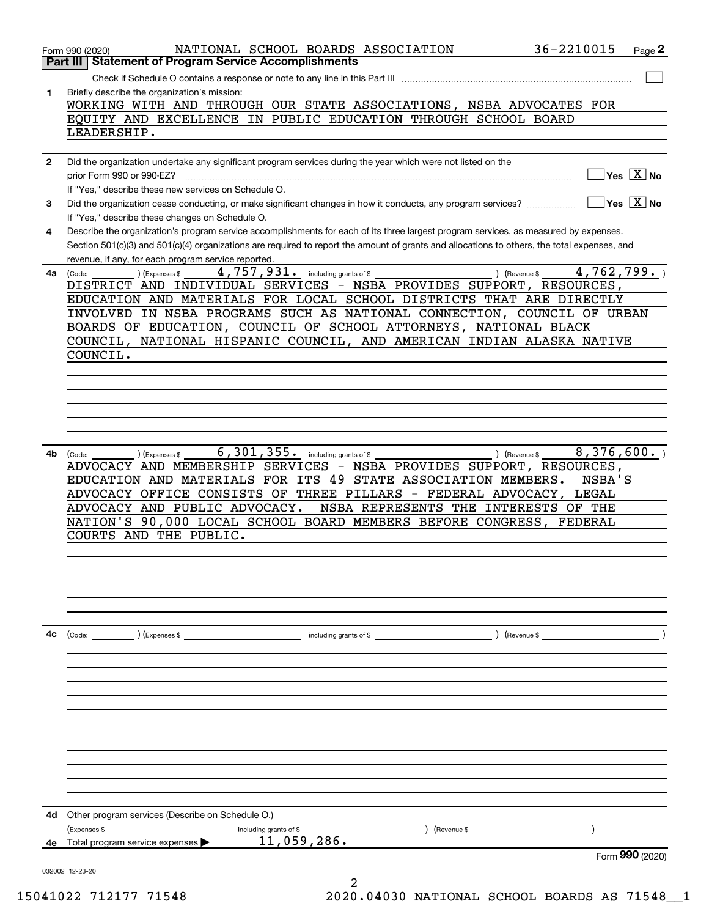|              | 36-2210015<br>NATIONAL SCHOOL BOARDS ASSOCIATION<br>Page 2<br>Form 990 (2020)                                                                                                 |
|--------------|-------------------------------------------------------------------------------------------------------------------------------------------------------------------------------|
|              | <b>Statement of Program Service Accomplishments</b><br>Part III                                                                                                               |
|              |                                                                                                                                                                               |
| 1            | Briefly describe the organization's mission:<br>WORKING WITH AND THROUGH OUR STATE ASSOCIATIONS, NSBA ADVOCATES FOR                                                           |
|              | EQUITY AND EXCELLENCE IN PUBLIC EDUCATION THROUGH SCHOOL BOARD                                                                                                                |
|              | LEADERSHIP.                                                                                                                                                                   |
|              |                                                                                                                                                                               |
| $\mathbf{2}$ | Did the organization undertake any significant program services during the year which were not listed on the                                                                  |
|              | $Yes \ \boxed{X}$ No<br>prior Form 990 or 990-EZ?                                                                                                                             |
|              | If "Yes," describe these new services on Schedule O.                                                                                                                          |
| 3            | Yes $X$ No<br>Did the organization cease conducting, or make significant changes in how it conducts, any program services?<br>If "Yes," describe these changes on Schedule O. |
| 4            | Describe the organization's program service accomplishments for each of its three largest program services, as measured by expenses.                                          |
|              | Section 501(c)(3) and 501(c)(4) organizations are required to report the amount of grants and allocations to others, the total expenses, and                                  |
| 4a           | revenue, if any, for each program service reported.<br>4,762,799.<br>4,757,931. including grants of \$<br>) (Expenses \$<br>) (Revenue \$<br>(Code:                           |
|              | DISTRICT AND INDIVIDUAL SERVICES - NSBA PROVIDES SUPPORT, RESOURCES,                                                                                                          |
|              | EDUCATION AND MATERIALS FOR LOCAL SCHOOL DISTRICTS THAT ARE DIRECTLY                                                                                                          |
|              | INVOLVED IN NSBA PROGRAMS SUCH AS NATIONAL CONNECTION, COUNCIL OF URBAN                                                                                                       |
|              | BOARDS OF EDUCATION, COUNCIL OF SCHOOL ATTORNEYS, NATIONAL BLACK                                                                                                              |
|              | COUNCIL, NATIONAL HISPANIC COUNCIL, AND AMERICAN INDIAN ALASKA NATIVE                                                                                                         |
|              | COUNCIL.                                                                                                                                                                      |
|              |                                                                                                                                                                               |
|              |                                                                                                                                                                               |
|              |                                                                                                                                                                               |
|              |                                                                                                                                                                               |
|              |                                                                                                                                                                               |
|              |                                                                                                                                                                               |
| 4b           | 8,376,600.<br>6, 301, 355. including grants of \$<br>) (Revenue \$<br>(Expenses \$<br>(Code:                                                                                  |
|              | ADVOCACY AND MEMBERSHIP SERVICES - NSBA PROVIDES SUPPORT, RESOURCES,                                                                                                          |
|              | EDUCATION AND MATERIALS FOR ITS 49 STATE ASSOCIATION MEMBERS.<br>NSBA'S                                                                                                       |
|              | ADVOCACY OFFICE CONSISTS OF THREE PILLARS - FEDERAL ADVOCACY,<br>LEGAL                                                                                                        |
|              | ADVOCACY AND PUBLIC ADVOCACY.<br>NSBA REPRESENTS THE INTERESTS OF THE                                                                                                         |
|              | NATION'S 90,000 LOCAL SCHOOL BOARD MEMBERS BEFORE CONGRESS,<br>FEDERAL                                                                                                        |
|              | THE PUBLIC.<br>COURTS AND                                                                                                                                                     |
|              |                                                                                                                                                                               |
|              |                                                                                                                                                                               |
|              |                                                                                                                                                                               |
|              |                                                                                                                                                                               |
|              |                                                                                                                                                                               |
|              |                                                                                                                                                                               |
| 4с           | ) (Revenue \$<br>(Code: ) (Expenses \$<br>including grants of $$$                                                                                                             |
|              |                                                                                                                                                                               |
|              |                                                                                                                                                                               |
|              |                                                                                                                                                                               |
|              |                                                                                                                                                                               |
|              |                                                                                                                                                                               |
|              |                                                                                                                                                                               |
|              |                                                                                                                                                                               |
|              |                                                                                                                                                                               |
|              |                                                                                                                                                                               |
|              |                                                                                                                                                                               |
|              |                                                                                                                                                                               |
|              |                                                                                                                                                                               |
| 4d           | Other program services (Describe on Schedule O.)                                                                                                                              |
|              | (Expenses \$<br>including grants of \$<br>(Revenue \$                                                                                                                         |
| 4е           | 11,059,286.<br>Total program service expenses                                                                                                                                 |
|              | Form 990 (2020)                                                                                                                                                               |
|              | 032002 12-23-20                                                                                                                                                               |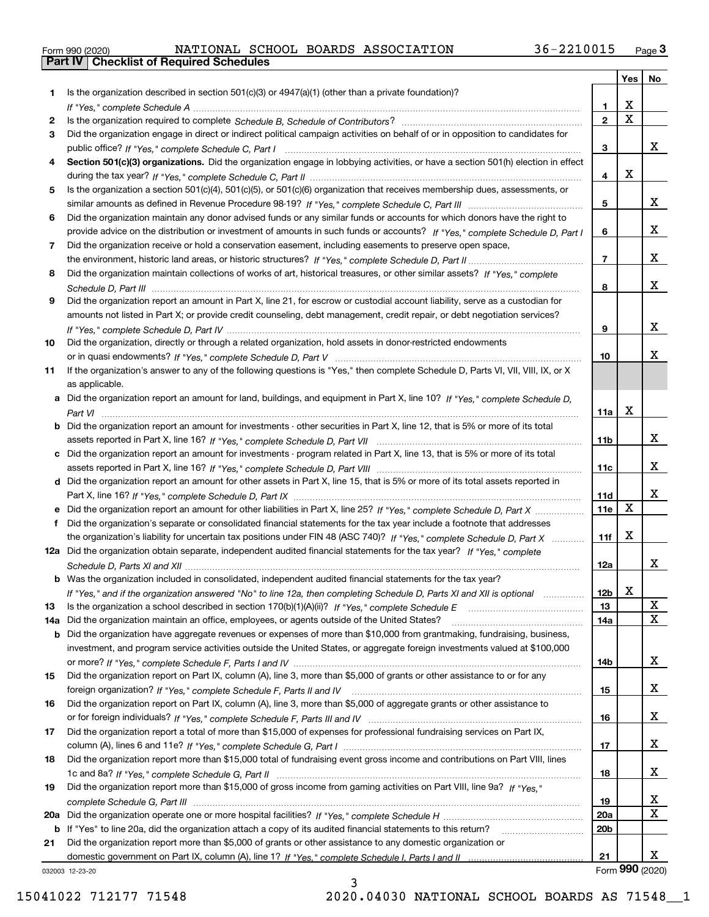|  | Form 990 (2020) |
|--|-----------------|

|     |                                                                                                                                                                                                                                                       |                 | Yes         | No              |
|-----|-------------------------------------------------------------------------------------------------------------------------------------------------------------------------------------------------------------------------------------------------------|-----------------|-------------|-----------------|
| 1.  | Is the organization described in section $501(c)(3)$ or $4947(a)(1)$ (other than a private foundation)?                                                                                                                                               |                 |             |                 |
|     |                                                                                                                                                                                                                                                       | 1               | X           |                 |
| 2   |                                                                                                                                                                                                                                                       | $\overline{2}$  | $\mathbf X$ |                 |
| 3   | Did the organization engage in direct or indirect political campaign activities on behalf of or in opposition to candidates for                                                                                                                       |                 |             | x               |
|     |                                                                                                                                                                                                                                                       | 3               |             |                 |
| 4   | Section 501(c)(3) organizations. Did the organization engage in lobbying activities, or have a section 501(h) election in effect                                                                                                                      | 4               | X           |                 |
| 5   | Is the organization a section 501(c)(4), 501(c)(5), or 501(c)(6) organization that receives membership dues, assessments, or                                                                                                                          |                 |             |                 |
|     |                                                                                                                                                                                                                                                       | 5               |             | x               |
| 6   | Did the organization maintain any donor advised funds or any similar funds or accounts for which donors have the right to                                                                                                                             |                 |             |                 |
|     | provide advice on the distribution or investment of amounts in such funds or accounts? If "Yes," complete Schedule D, Part I                                                                                                                          | 6               |             | x               |
| 7   | Did the organization receive or hold a conservation easement, including easements to preserve open space,                                                                                                                                             |                 |             |                 |
|     |                                                                                                                                                                                                                                                       | $\overline{7}$  |             | x               |
| 8   | Did the organization maintain collections of works of art, historical treasures, or other similar assets? If "Yes," complete                                                                                                                          |                 |             |                 |
|     |                                                                                                                                                                                                                                                       | 8               |             | x               |
| 9   | Did the organization report an amount in Part X, line 21, for escrow or custodial account liability, serve as a custodian for                                                                                                                         |                 |             |                 |
|     | amounts not listed in Part X; or provide credit counseling, debt management, credit repair, or debt negotiation services?                                                                                                                             |                 |             |                 |
|     |                                                                                                                                                                                                                                                       | 9               |             | х               |
| 10  | Did the organization, directly or through a related organization, hold assets in donor-restricted endowments                                                                                                                                          |                 |             |                 |
|     |                                                                                                                                                                                                                                                       | 10              |             | x               |
| 11  | If the organization's answer to any of the following questions is "Yes," then complete Schedule D, Parts VI, VII, VIII, IX, or X                                                                                                                      |                 |             |                 |
|     | as applicable.                                                                                                                                                                                                                                        |                 |             |                 |
|     | a Did the organization report an amount for land, buildings, and equipment in Part X, line 10? If "Yes," complete Schedule D,                                                                                                                         |                 | X           |                 |
|     |                                                                                                                                                                                                                                                       | 11a             |             |                 |
|     | <b>b</b> Did the organization report an amount for investments - other securities in Part X, line 12, that is 5% or more of its total                                                                                                                 | 11 <sub>b</sub> |             | x               |
|     | c Did the organization report an amount for investments - program related in Part X, line 13, that is 5% or more of its total                                                                                                                         |                 |             |                 |
|     |                                                                                                                                                                                                                                                       | 11c             |             | X.              |
|     | d Did the organization report an amount for other assets in Part X, line 15, that is 5% or more of its total assets reported in                                                                                                                       |                 |             |                 |
|     |                                                                                                                                                                                                                                                       | 11d             |             | x               |
|     |                                                                                                                                                                                                                                                       | 11e             | $\mathbf X$ |                 |
|     | Did the organization's separate or consolidated financial statements for the tax year include a footnote that addresses                                                                                                                               |                 |             |                 |
|     | the organization's liability for uncertain tax positions under FIN 48 (ASC 740)? If "Yes," complete Schedule D, Part X                                                                                                                                | 11f             | X           |                 |
|     | 12a Did the organization obtain separate, independent audited financial statements for the tax year? If "Yes," complete                                                                                                                               |                 |             |                 |
|     |                                                                                                                                                                                                                                                       | 12a             |             | x               |
|     | <b>b</b> Was the organization included in consolidated, independent audited financial statements for the tax year?                                                                                                                                    |                 |             |                 |
|     | If "Yes," and if the organization answered "No" to line 12a, then completing Schedule D, Parts XI and XII is optional metallion                                                                                                                       | 12b             | A           |                 |
| 13  |                                                                                                                                                                                                                                                       | 13              |             | X<br>X          |
| 14a | Did the organization maintain an office, employees, or agents outside of the United States?                                                                                                                                                           | 14a             |             |                 |
| b   | Did the organization have aggregate revenues or expenses of more than \$10,000 from grantmaking, fundraising, business,<br>investment, and program service activities outside the United States, or aggregate foreign investments valued at \$100,000 |                 |             |                 |
|     |                                                                                                                                                                                                                                                       | 14b             |             | x               |
| 15  | Did the organization report on Part IX, column (A), line 3, more than \$5,000 of grants or other assistance to or for any                                                                                                                             |                 |             |                 |
|     |                                                                                                                                                                                                                                                       | 15              |             | x               |
| 16  | Did the organization report on Part IX, column (A), line 3, more than \$5,000 of aggregate grants or other assistance to                                                                                                                              |                 |             |                 |
|     |                                                                                                                                                                                                                                                       | 16              |             | x               |
| 17  | Did the organization report a total of more than \$15,000 of expenses for professional fundraising services on Part IX,                                                                                                                               |                 |             |                 |
|     |                                                                                                                                                                                                                                                       | 17              |             | x               |
| 18  | Did the organization report more than \$15,000 total of fundraising event gross income and contributions on Part VIII, lines                                                                                                                          |                 |             |                 |
|     |                                                                                                                                                                                                                                                       | 18              |             | x               |
| 19  | Did the organization report more than \$15,000 of gross income from gaming activities on Part VIII, line 9a? If "Yes."                                                                                                                                |                 |             |                 |
|     |                                                                                                                                                                                                                                                       | 19              |             | X               |
|     |                                                                                                                                                                                                                                                       | <b>20a</b>      |             | x               |
|     | b If "Yes" to line 20a, did the organization attach a copy of its audited financial statements to this return?                                                                                                                                        | 20 <sub>b</sub> |             |                 |
| 21  | Did the organization report more than \$5,000 of grants or other assistance to any domestic organization or                                                                                                                                           | 21              |             | x               |
|     | 032003 12-23-20                                                                                                                                                                                                                                       |                 |             | Form 990 (2020) |

3

032003 12-23-20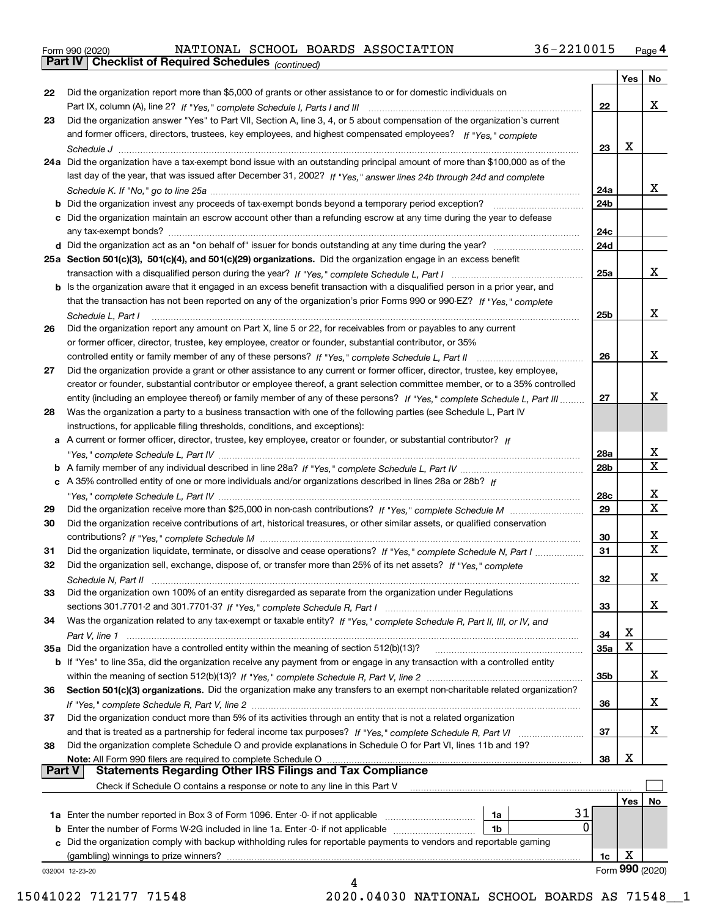|  | Form 990 (2020) |
|--|-----------------|
|  |                 |

*(continued)*

|               |                                                                                                                                       |                 | Yes | No               |
|---------------|---------------------------------------------------------------------------------------------------------------------------------------|-----------------|-----|------------------|
| 22            | Did the organization report more than \$5,000 of grants or other assistance to or for domestic individuals on                         |                 |     |                  |
|               |                                                                                                                                       | 22              |     | x                |
| 23            | Did the organization answer "Yes" to Part VII, Section A, line 3, 4, or 5 about compensation of the organization's current            |                 |     |                  |
|               | and former officers, directors, trustees, key employees, and highest compensated employees? If "Yes," complete                        |                 |     |                  |
|               |                                                                                                                                       | 23              | х   |                  |
|               | 24a Did the organization have a tax-exempt bond issue with an outstanding principal amount of more than \$100,000 as of the           |                 |     |                  |
|               | last day of the year, that was issued after December 31, 2002? If "Yes," answer lines 24b through 24d and complete                    |                 |     |                  |
|               |                                                                                                                                       | 24a             |     | x                |
|               | <b>b</b> Did the organization invest any proceeds of tax-exempt bonds beyond a temporary period exception?                            | 24 <sub>b</sub> |     |                  |
|               | c Did the organization maintain an escrow account other than a refunding escrow at any time during the year to defease                |                 |     |                  |
|               |                                                                                                                                       | 24c             |     |                  |
|               |                                                                                                                                       | 24d             |     |                  |
|               | 25a Section 501(c)(3), 501(c)(4), and 501(c)(29) organizations. Did the organization engage in an excess benefit                      |                 |     |                  |
|               |                                                                                                                                       | 25a             |     | x                |
|               | b Is the organization aware that it engaged in an excess benefit transaction with a disqualified person in a prior year, and          |                 |     |                  |
|               | that the transaction has not been reported on any of the organization's prior Forms 990 or 990-EZ? If "Yes," complete                 |                 |     |                  |
|               |                                                                                                                                       | 25b             |     | x                |
| 26            | Schedule L, Part I<br>Did the organization report any amount on Part X, line 5 or 22, for receivables from or payables to any current |                 |     |                  |
|               | or former officer, director, trustee, key employee, creator or founder, substantial contributor, or 35%                               |                 |     |                  |
|               |                                                                                                                                       | 26              |     | x                |
|               |                                                                                                                                       |                 |     |                  |
| 27            | Did the organization provide a grant or other assistance to any current or former officer, director, trustee, key employee,           |                 |     |                  |
|               | creator or founder, substantial contributor or employee thereof, a grant selection committee member, or to a 35% controlled           | 27              |     | х                |
|               | entity (including an employee thereof) or family member of any of these persons? If "Yes," complete Schedule L, Part III              |                 |     |                  |
| 28            | Was the organization a party to a business transaction with one of the following parties (see Schedule L, Part IV                     |                 |     |                  |
|               | instructions, for applicable filing thresholds, conditions, and exceptions):                                                          |                 |     |                  |
|               | a A current or former officer, director, trustee, key employee, creator or founder, or substantial contributor? If                    |                 |     | x                |
|               |                                                                                                                                       | 28a             |     | $\mathbf x$      |
|               |                                                                                                                                       | 28b             |     |                  |
|               | c A 35% controlled entity of one or more individuals and/or organizations described in lines 28a or 28b? If                           |                 |     | x                |
|               |                                                                                                                                       | 28c             |     | $\mathbf X$      |
| 29            |                                                                                                                                       | 29              |     |                  |
| 30            | Did the organization receive contributions of art, historical treasures, or other similar assets, or qualified conservation           |                 |     |                  |
|               |                                                                                                                                       | 30              |     | x<br>$\mathbf X$ |
| 31            | Did the organization liquidate, terminate, or dissolve and cease operations? If "Yes," complete Schedule N, Part I                    | 31              |     |                  |
| 32            | Did the organization sell, exchange, dispose of, or transfer more than 25% of its net assets? If "Yes," complete                      |                 |     |                  |
|               |                                                                                                                                       | 32              |     | х                |
| 33            | Did the organization own 100% of an entity disregarded as separate from the organization under Regulations                            |                 |     |                  |
|               |                                                                                                                                       | 33              |     | х                |
| 34            | Was the organization related to any tax-exempt or taxable entity? If "Yes," complete Schedule R, Part II, III, or IV, and             |                 |     |                  |
|               |                                                                                                                                       | 34              | X   |                  |
|               | 35a Did the organization have a controlled entity within the meaning of section 512(b)(13)?                                           | <b>35a</b>      | X   |                  |
|               | <b>b</b> If "Yes" to line 35a, did the organization receive any payment from or engage in any transaction with a controlled entity    |                 |     |                  |
|               |                                                                                                                                       | 35b             |     | x                |
| 36            | Section 501(c)(3) organizations. Did the organization make any transfers to an exempt non-charitable related organization?            |                 |     |                  |
|               |                                                                                                                                       | 36              |     | x                |
| 37            | Did the organization conduct more than 5% of its activities through an entity that is not a related organization                      |                 |     |                  |
|               |                                                                                                                                       | 37              |     | x                |
| 38            | Did the organization complete Schedule O and provide explanations in Schedule O for Part VI, lines 11b and 19?                        |                 |     |                  |
|               | Note: All Form 990 filers are required to complete Schedule O                                                                         | 38              | X   |                  |
| <b>Part V</b> | <b>Statements Regarding Other IRS Filings and Tax Compliance</b>                                                                      |                 |     |                  |
|               | Check if Schedule O contains a response or note to any line in this Part V                                                            |                 |     |                  |
|               | 31                                                                                                                                    |                 | Yes | No               |
|               | 1a Enter the number reported in Box 3 of Form 1096. Enter -0- if not applicable<br>1a<br>0                                            |                 |     |                  |
|               | 1b                                                                                                                                    |                 |     |                  |
|               | c Did the organization comply with backup withholding rules for reportable payments to vendors and reportable gaming                  |                 | X   |                  |
|               | (gambling) winnings to prize winners?                                                                                                 | 1c              |     | Form 990 (2020)  |
|               | 032004 12-23-20<br>4                                                                                                                  |                 |     |                  |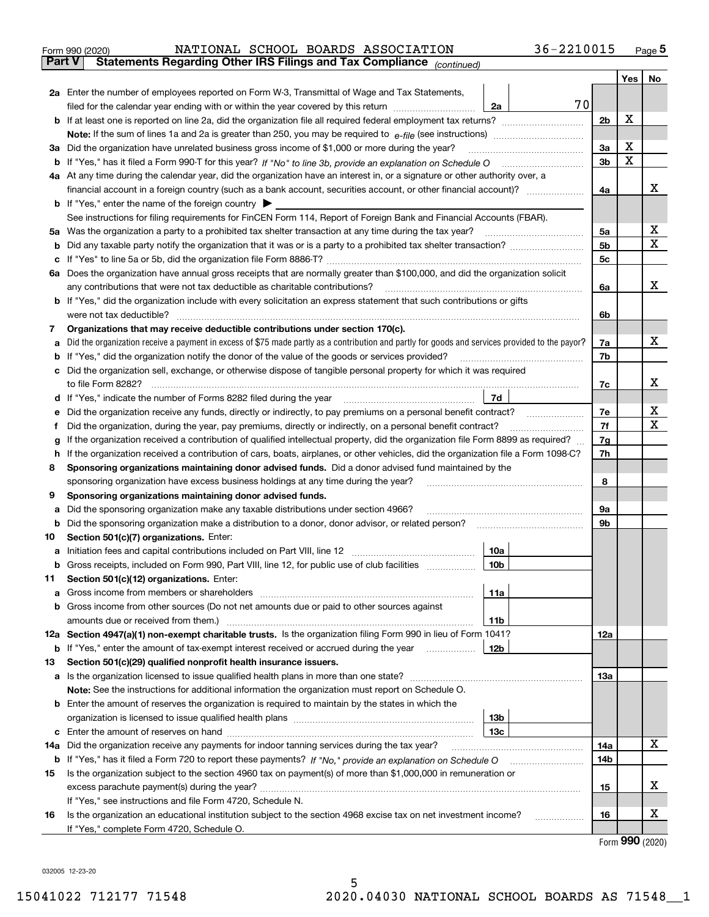| Form 990 (2020) |  | NATIONAL SCHOOL BOARDS ASSOCIATION                                                             | 36-2210015 | Page ${\bf 5}$ |
|-----------------|--|------------------------------------------------------------------------------------------------|------------|----------------|
|                 |  | <b>Part V</b> Statements Regarding Other IRS Filings and Tax Compliance <sub>(continued)</sub> |            |                |

| Part V | Statements Regarding Other IRS Fillings and Tax Compilance $_{(continued)}$                                                                                                                                            |                |     |    |
|--------|------------------------------------------------------------------------------------------------------------------------------------------------------------------------------------------------------------------------|----------------|-----|----|
|        |                                                                                                                                                                                                                        |                | Yes | No |
|        | 2a Enter the number of employees reported on Form W-3, Transmittal of Wage and Tax Statements,                                                                                                                         |                |     |    |
|        | 70<br>filed for the calendar year ending with or within the year covered by this return<br>2a                                                                                                                          |                |     |    |
|        |                                                                                                                                                                                                                        | 2 <sub>b</sub> | X   |    |
|        |                                                                                                                                                                                                                        |                |     |    |
|        | 3a Did the organization have unrelated business gross income of \$1,000 or more during the year?                                                                                                                       | За             | X   |    |
|        | b If "Yes," has it filed a Form 990-T for this year? If "No" to line 3b, provide an explanation on Schedule O                                                                                                          | 3b             | X   |    |
|        | 4a At any time during the calendar year, did the organization have an interest in, or a signature or other authority over, a                                                                                           |                |     |    |
|        | financial account in a foreign country (such as a bank account, securities account, or other financial account)?                                                                                                       | 4a             |     | х  |
|        | <b>b</b> If "Yes," enter the name of the foreign country                                                                                                                                                               |                |     |    |
|        | See instructions for filing requirements for FinCEN Form 114, Report of Foreign Bank and Financial Accounts (FBAR).                                                                                                    |                |     |    |
|        | 5a Was the organization a party to a prohibited tax shelter transaction at any time during the tax year?                                                                                                               | 5a             |     | х  |
|        |                                                                                                                                                                                                                        | 5b             |     | X  |
|        |                                                                                                                                                                                                                        | 5c             |     |    |
|        | 6a Does the organization have annual gross receipts that are normally greater than \$100,000, and did the organization solicit                                                                                         |                |     |    |
|        | any contributions that were not tax deductible as charitable contributions?                                                                                                                                            | 6a             |     | x  |
|        | <b>b</b> If "Yes," did the organization include with every solicitation an express statement that such contributions or gifts                                                                                          |                |     |    |
|        | were not tax deductible?                                                                                                                                                                                               | 6b             |     |    |
| 7      | Organizations that may receive deductible contributions under section 170(c).                                                                                                                                          |                |     | х  |
| а      | Did the organization receive a payment in excess of \$75 made partly as a contribution and partly for goods and services provided to the payor?                                                                        | 7a             |     |    |
| b      | If "Yes," did the organization notify the donor of the value of the goods or services provided?<br>c Did the organization sell, exchange, or otherwise dispose of tangible personal property for which it was required | 7b             |     |    |
|        | to file Form 8282?                                                                                                                                                                                                     |                |     | х  |
|        | 7d<br>d If "Yes," indicate the number of Forms 8282 filed during the year                                                                                                                                              | 7c             |     |    |
|        | Did the organization receive any funds, directly or indirectly, to pay premiums on a personal benefit contract?                                                                                                        | 7e             |     | х  |
| е<br>f | Did the organization, during the year, pay premiums, directly or indirectly, on a personal benefit contract?                                                                                                           | 7f             |     | х  |
|        | If the organization received a contribution of qualified intellectual property, did the organization file Form 8899 as required?                                                                                       | 7g             |     |    |
| h      | g<br>If the organization received a contribution of cars, boats, airplanes, or other vehicles, did the organization file a Form 1098-C?                                                                                |                |     |    |
| 8      | Sponsoring organizations maintaining donor advised funds. Did a donor advised fund maintained by the                                                                                                                   | 7h             |     |    |
|        | sponsoring organization have excess business holdings at any time during the year?                                                                                                                                     | 8              |     |    |
| 9      | Sponsoring organizations maintaining donor advised funds.                                                                                                                                                              |                |     |    |
| а      | Did the sponsoring organization make any taxable distributions under section 4966?                                                                                                                                     | 9а             |     |    |
|        | <b>b</b> Did the sponsoring organization make a distribution to a donor, donor advisor, or related person?                                                                                                             | 9b             |     |    |
| 10     | Section 501(c)(7) organizations. Enter:                                                                                                                                                                                |                |     |    |
| а      | Initiation fees and capital contributions included on Part VIII, line 12<br>10a                                                                                                                                        |                |     |    |
|        | b Gross receipts, included on Form 990, Part VIII, line 12, for public use of club facilities<br>10 <sub>b</sub>                                                                                                       |                |     |    |
| 11.    | Section 501(c)(12) organizations. Enter:                                                                                                                                                                               |                |     |    |
|        | 11a                                                                                                                                                                                                                    |                |     |    |
|        | <b>b</b> Gross income from other sources (Do not net amounts due or paid to other sources against                                                                                                                      |                |     |    |
|        | 11b                                                                                                                                                                                                                    |                |     |    |
|        | 12a Section 4947(a)(1) non-exempt charitable trusts. Is the organization filing Form 990 in lieu of Form 1041?                                                                                                         | 12a            |     |    |
|        | 12b<br><b>b</b> If "Yes," enter the amount of tax-exempt interest received or accrued during the year                                                                                                                  |                |     |    |
| 13     | Section 501(c)(29) qualified nonprofit health insurance issuers.                                                                                                                                                       |                |     |    |
|        | a Is the organization licensed to issue qualified health plans in more than one state?                                                                                                                                 | 13a            |     |    |
|        | Note: See the instructions for additional information the organization must report on Schedule O.                                                                                                                      |                |     |    |
|        | <b>b</b> Enter the amount of reserves the organization is required to maintain by the states in which the                                                                                                              |                |     |    |
|        | 13 <sub>b</sub>                                                                                                                                                                                                        |                |     |    |
|        | 13с                                                                                                                                                                                                                    |                |     |    |
|        | 14a Did the organization receive any payments for indoor tanning services during the tax year?                                                                                                                         | 14a            |     | x  |
|        |                                                                                                                                                                                                                        | 14b            |     |    |
| 15     | Is the organization subject to the section 4960 tax on payment(s) of more than \$1,000,000 in remuneration or                                                                                                          |                |     |    |
|        |                                                                                                                                                                                                                        | 15             |     | х  |
|        | If "Yes," see instructions and file Form 4720, Schedule N.                                                                                                                                                             |                |     |    |
| 16     | Is the organization an educational institution subject to the section 4968 excise tax on net investment income?                                                                                                        | 16             |     | х  |
|        | If "Yes," complete Form 4720, Schedule O.                                                                                                                                                                              |                |     |    |

Form (2020) **990**

032005 12-23-20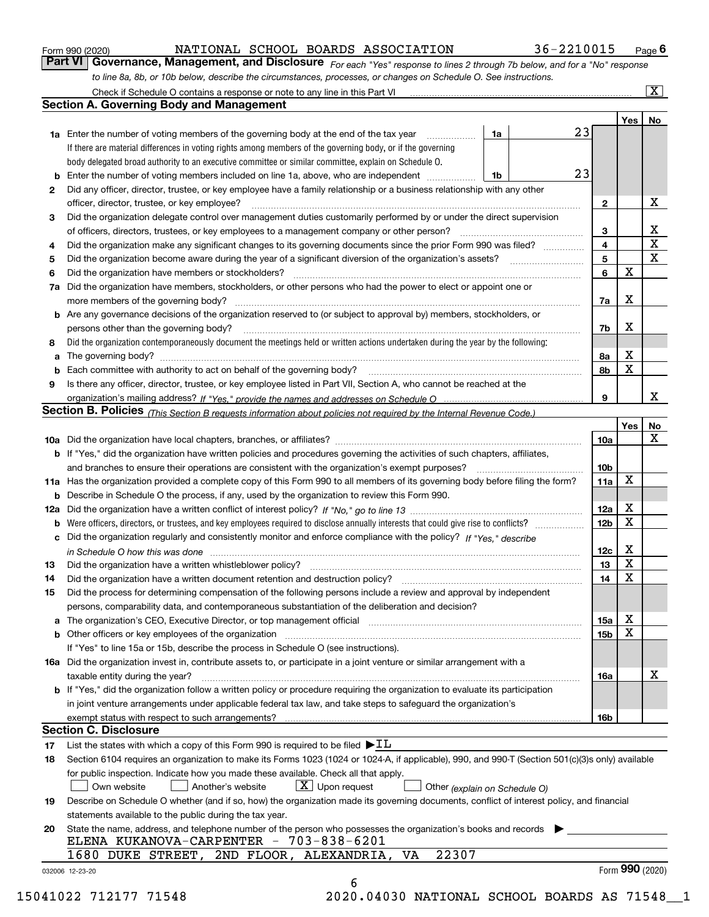|  | Form 990 (2020) |
|--|-----------------|
|  |                 |

*For each "Yes" response to lines 2 through 7b below, and for a "No" response to line 8a, 8b, or 10b below, describe the circumstances, processes, or changes on Schedule O. See instructions.* Form 990 (2020) **MATIONAL SCHOOL BOARDS ASSOCIATION** 36-2210015 Page 6<br>**Part VI Governance, Management, and Disclosure** For each "Yes" response to lines 2 through 7b below, and for a "No" response

|     | Check if Schedule O contains a response or note to any line in this Part VI                                                                                           |    |    |                 |     | $\overline{\mathbf{X}}$ |
|-----|-----------------------------------------------------------------------------------------------------------------------------------------------------------------------|----|----|-----------------|-----|-------------------------|
|     | <b>Section A. Governing Body and Management</b>                                                                                                                       |    |    |                 |     |                         |
|     |                                                                                                                                                                       |    |    |                 | Yes | No                      |
|     | <b>1a</b> Enter the number of voting members of the governing body at the end of the tax year<br>.                                                                    | 1a | 23 |                 |     |                         |
|     | If there are material differences in voting rights among members of the governing body, or if the governing                                                           |    |    |                 |     |                         |
|     | body delegated broad authority to an executive committee or similar committee, explain on Schedule O.                                                                 |    |    |                 |     |                         |
| b   | Enter the number of voting members included on line 1a, above, who are independent                                                                                    | 1b | 23 |                 |     |                         |
| 2   | Did any officer, director, trustee, or key employee have a family relationship or a business relationship with any other                                              |    |    |                 |     |                         |
|     | officer, director, trustee, or key employee?                                                                                                                          |    |    | $\mathbf{2}$    |     | x                       |
| 3   | Did the organization delegate control over management duties customarily performed by or under the direct supervision                                                 |    |    |                 |     |                         |
|     | of officers, directors, trustees, or key employees to a management company or other person?                                                                           |    |    | З               |     | х                       |
| 4   | Did the organization make any significant changes to its governing documents since the prior Form 990 was filed?                                                      |    |    | 4               |     | X                       |
| 5   | Did the organization become aware during the year of a significant diversion of the organization's assets?                                                            |    |    |                 |     | $\mathbf X$             |
| 6   | Did the organization have members or stockholders?                                                                                                                    |    |    |                 |     |                         |
| 7a  | Did the organization have members, stockholders, or other persons who had the power to elect or appoint one or                                                        |    |    |                 |     |                         |
|     | more members of the governing body?                                                                                                                                   |    |    | 7a              | х   |                         |
| b   | Are any governance decisions of the organization reserved to (or subject to approval by) members, stockholders, or                                                    |    |    |                 |     |                         |
|     | persons other than the governing body?                                                                                                                                |    |    | 7b              | X   |                         |
| 8   | Did the organization contemporaneously document the meetings held or written actions undertaken during the year by the following:                                     |    |    |                 |     |                         |
| a   |                                                                                                                                                                       |    |    | 8a              | х   |                         |
|     | Each committee with authority to act on behalf of the governing body?                                                                                                 |    |    | 8b              | X   |                         |
| 9   | Is there any officer, director, trustee, or key employee listed in Part VII, Section A, who cannot be reached at the                                                  |    |    |                 |     |                         |
|     |                                                                                                                                                                       |    |    | 9               |     | x                       |
|     | <b>Section B. Policies</b> (This Section B requests information about policies not required by the Internal Revenue Code.)                                            |    |    |                 |     |                         |
|     |                                                                                                                                                                       |    |    |                 | Yes | No                      |
|     |                                                                                                                                                                       |    |    | <b>10a</b>      |     | x                       |
| b   | If "Yes," did the organization have written policies and procedures governing the activities of such chapters, affiliates,                                            |    |    |                 |     |                         |
|     | and branches to ensure their operations are consistent with the organization's exempt purposes?                                                                       |    |    | 10 <sub>b</sub> |     |                         |
| 11a | Has the organization provided a complete copy of this Form 990 to all members of its governing body before filing the form?                                           |    |    | 11a             | X   |                         |
| b   | Describe in Schedule O the process, if any, used by the organization to review this Form 990.                                                                         |    |    |                 |     |                         |
| 12a |                                                                                                                                                                       |    |    | 12a             | х   |                         |
| b   | Were officers, directors, or trustees, and key employees required to disclose annually interests that could give rise to conflicts?                                   |    |    | 12 <sub>b</sub> | X   |                         |
| c   | Did the organization regularly and consistently monitor and enforce compliance with the policy? If "Yes," describe                                                    |    |    |                 |     |                         |
|     | in Schedule O how this was done encourance and an array and a strategies of the strategies of the strategies o                                                        |    |    | 12c             | X   |                         |
| 13  | Did the organization have a written whistleblower policy?                                                                                                             |    |    | 13              | X   |                         |
| 14  | Did the organization have a written document retention and destruction policy?                                                                                        |    |    | 14              | X   |                         |
| 15  | Did the process for determining compensation of the following persons include a review and approval by independent                                                    |    |    |                 |     |                         |
|     | persons, comparability data, and contemporaneous substantiation of the deliberation and decision?                                                                     |    |    |                 |     |                         |
| а   | The organization's CEO, Executive Director, or top management official manufactured content of the organization's CEO, Executive Director, or top management official |    |    | 15a             | х   |                         |
|     | Other officers or key employees of the organization                                                                                                                   |    |    | 15b             | X   |                         |
|     | If "Yes" to line 15a or 15b, describe the process in Schedule O (see instructions).                                                                                   |    |    |                 |     |                         |
|     | 16a Did the organization invest in, contribute assets to, or participate in a joint venture or similar arrangement with a                                             |    |    |                 |     |                         |
|     | taxable entity during the year?                                                                                                                                       |    |    | 16a             |     | х                       |
|     | <b>b</b> If "Yes," did the organization follow a written policy or procedure requiring the organization to evaluate its participation                                 |    |    |                 |     |                         |
|     | in joint venture arrangements under applicable federal tax law, and take steps to safeguard the organization's                                                        |    |    |                 |     |                         |
|     | exempt status with respect to such arrangements?                                                                                                                      |    |    | 16b             |     |                         |
|     | Section C. Disclosure                                                                                                                                                 |    |    |                 |     |                         |
| 17  | List the states with which a copy of this Form 990 is required to be filed $\blacktriangleright$ IL                                                                   |    |    |                 |     |                         |
| 18  | Section 6104 requires an organization to make its Forms 1023 (1024 or 1024-A, if applicable), 990, and 990-T (Section 501(c)(3)s only) available                      |    |    |                 |     |                         |
|     | for public inspection. Indicate how you made these available. Check all that apply.                                                                                   |    |    |                 |     |                         |
|     | $X$ Upon request<br>Another's website<br>Own website<br>Other (explain on Schedule O)                                                                                 |    |    |                 |     |                         |
| 19  | Describe on Schedule O whether (and if so, how) the organization made its governing documents, conflict of interest policy, and financial                             |    |    |                 |     |                         |
|     | statements available to the public during the tax year.                                                                                                               |    |    |                 |     |                         |
| 20  | State the name, address, and telephone number of the person who possesses the organization's books and records                                                        |    |    |                 |     |                         |
|     | ELENA KUKANOVA-CARPENTER - 703-838-6201                                                                                                                               |    |    |                 |     |                         |
|     | 22307<br>2ND FLOOR, ALEXANDRIA,<br>1680 DUKE STREET,<br>VA                                                                                                            |    |    |                 |     |                         |
|     | 032006 12-23-20                                                                                                                                                       |    |    |                 |     | Form 990 (2020)         |
|     | 6                                                                                                                                                                     |    |    |                 |     |                         |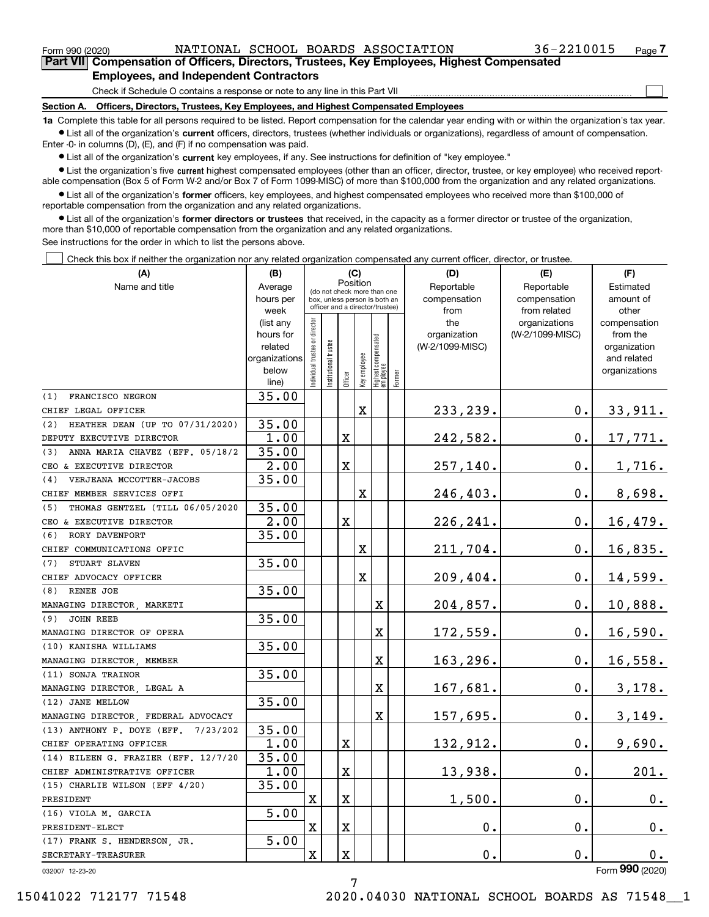$\mathcal{L}^{\text{max}}$ 

| Form 990 (2020) |                                                                                            |  | NATIONAL SCHOOL BOARDS ASSOCIATION | 36-2210015 | Page 7 |
|-----------------|--------------------------------------------------------------------------------------------|--|------------------------------------|------------|--------|
|                 | Part VII Compensation of Officers, Directors, Trustees, Key Employees, Highest Compensated |  |                                    |            |        |
|                 | <b>Employees, and Independent Contractors</b>                                              |  |                                    |            |        |

Check if Schedule O contains a response or note to any line in this Part VII

**Section A. Officers, Directors, Trustees, Key Employees, and Highest Compensated Employees**

**1a**  Complete this table for all persons required to be listed. Report compensation for the calendar year ending with or within the organization's tax year. **•** List all of the organization's current officers, directors, trustees (whether individuals or organizations), regardless of amount of compensation.

Enter -0- in columns (D), (E), and (F) if no compensation was paid.

 $\bullet$  List all of the organization's  $\,$ current key employees, if any. See instructions for definition of "key employee."

**•** List the organization's five current highest compensated employees (other than an officer, director, trustee, or key employee) who received reportable compensation (Box 5 of Form W-2 and/or Box 7 of Form 1099-MISC) of more than \$100,000 from the organization and any related organizations.

**•** List all of the organization's former officers, key employees, and highest compensated employees who received more than \$100,000 of reportable compensation from the organization and any related organizations.

**former directors or trustees**  ¥ List all of the organization's that received, in the capacity as a former director or trustee of the organization, more than \$10,000 of reportable compensation from the organization and any related organizations.

See instructions for the order in which to list the persons above.

Check this box if neither the organization nor any related organization compensated any current officer, director, or trustee.  $\mathcal{L}^{\text{max}}$ 

| (A)                                    | (B)               |                               | (C)                                     |             |              |                                                                  |        | (D)             | (E)                           | (F)                   |
|----------------------------------------|-------------------|-------------------------------|-----------------------------------------|-------------|--------------|------------------------------------------------------------------|--------|-----------------|-------------------------------|-----------------------|
| Name and title                         | Average           |                               | Position<br>(do not check more than one |             |              |                                                                  |        | Reportable      | Reportable                    | Estimated             |
|                                        | hours per         |                               |                                         |             |              | box, unless person is both an<br>officer and a director/trustee) |        | compensation    | compensation                  | amount of             |
|                                        | week<br>(list any |                               |                                         |             |              |                                                                  |        | from<br>the     | from related<br>organizations | other<br>compensation |
|                                        | hours for         |                               |                                         |             |              |                                                                  |        | organization    | (W-2/1099-MISC)               | from the              |
|                                        | related           |                               |                                         |             |              |                                                                  |        | (W-2/1099-MISC) |                               | organization          |
|                                        | organizations     |                               |                                         |             |              |                                                                  |        |                 |                               | and related           |
|                                        | below             | ndividual trustee or director | nstitutional trustee                    |             | Key employee | Highest compensated<br> employee                                 |        |                 |                               | organizations         |
|                                        | line)             |                               |                                         | Officer     |              |                                                                  | Former |                 |                               |                       |
| FRANCISCO NEGRON<br>(1)                | 35.00             |                               |                                         |             |              |                                                                  |        |                 |                               |                       |
| CHIEF LEGAL OFFICER                    |                   |                               |                                         |             | $\mathbf X$  |                                                                  |        | 233, 239.       | $\mathbf 0$ .                 | 33,911.               |
| HEATHER DEAN (UP TO 07/31/2020)<br>(2) | 35.00             |                               |                                         |             |              |                                                                  |        |                 |                               |                       |
| DEPUTY EXECUTIVE DIRECTOR              | 1.00              |                               |                                         | X           |              |                                                                  |        | 242,582.        | 0.                            | 17,771.               |
| ANNA MARIA CHAVEZ (EFF. 05/18/2<br>(3) | 35.00             |                               |                                         |             |              |                                                                  |        |                 |                               |                       |
| CEO & EXECUTIVE DIRECTOR               | 2.00              |                               |                                         | $\mathbf X$ |              |                                                                  |        | 257,140.        | 0.                            | 1,716.                |
| VERJEANA MCCOTTER-JACOBS<br>(4)        | 35.00             |                               |                                         |             |              |                                                                  |        |                 |                               |                       |
| CHIEF MEMBER SERVICES OFFI             |                   |                               |                                         |             | X            |                                                                  |        | 246,403.        | $\mathbf 0$ .                 | 8,698.                |
| THOMAS GENTZEL (TILL 06/05/2020<br>(5) | 35.00             |                               |                                         |             |              |                                                                  |        |                 |                               |                       |
| CEO & EXECUTIVE DIRECTOR               | 2.00              |                               |                                         | $\mathbf X$ |              |                                                                  |        | 226, 241.       | $0$ .                         | 16,479.               |
| RORY DAVENPORT<br>(6)                  | 35.00             |                               |                                         |             |              |                                                                  |        |                 |                               |                       |
| CHIEF COMMUNICATIONS OFFIC             |                   |                               |                                         |             | X            |                                                                  |        | 211,704.        | 0.                            | 16,835.               |
| (7)<br>STUART SLAVEN                   | 35.00             |                               |                                         |             |              |                                                                  |        |                 |                               |                       |
| CHIEF ADVOCACY OFFICER                 |                   |                               |                                         |             | X            |                                                                  |        | 209,404.        | 0.                            | 14,599.               |
| RENEE JOE<br>(8)                       | 35.00             |                               |                                         |             |              |                                                                  |        |                 |                               |                       |
| MANAGING DIRECTOR MARKETI              |                   |                               |                                         |             |              | Χ                                                                |        | 204,857.        | $0$ .                         | 10,888.               |
| (9)<br><b>JOHN REEB</b>                | 35.00             |                               |                                         |             |              |                                                                  |        |                 |                               |                       |
| MANAGING DIRECTOR OF OPERA             |                   |                               |                                         |             |              | X                                                                |        | $172,559$ .     | $0$ .                         | 16,590.               |
| (10) KANISHA WILLIAMS                  | 35.00             |                               |                                         |             |              |                                                                  |        |                 |                               |                       |
| MANAGING DIRECTOR, MEMBER              |                   |                               |                                         |             |              | X                                                                |        | 163,296.        | $0$ .                         | 16,558.               |
| (11) SONJA TRAINOR                     | 35.00             |                               |                                         |             |              |                                                                  |        |                 |                               |                       |
| MANAGING DIRECTOR, LEGAL A             |                   |                               |                                         |             |              | X                                                                |        | 167,681.        | 0.                            | 3,178.                |
| (12) JANE MELLOW                       | 35.00             |                               |                                         |             |              |                                                                  |        |                 |                               |                       |
| MANAGING DIRECTOR FEDERAL ADVOCACY     |                   |                               |                                         |             |              | $\mathbf x$                                                      |        | 157,695.        | 0.                            | 3,149.                |
| (13) ANTHONY P. DOYE (EFF.<br>7/23/202 | 35.00             |                               |                                         |             |              |                                                                  |        |                 |                               |                       |
| CHIEF OPERATING OFFICER                | 1.00              |                               |                                         | X           |              |                                                                  |        | 132,912.        | 0.                            | 9,690.                |
| (14) EILEEN G. FRAZIER (EFF. 12/7/20   | 35.00             |                               |                                         |             |              |                                                                  |        |                 |                               |                       |
| CHIEF ADMINISTRATIVE OFFICER           | 1.00              |                               |                                         | X           |              |                                                                  |        | 13,938.         | 0.                            | 201.                  |
| (15) CHARLIE WILSON (EFF 4/20)         | 35.00             |                               |                                         |             |              |                                                                  |        |                 |                               |                       |
| PRESIDENT                              |                   | х                             |                                         | $\mathbf X$ |              |                                                                  |        | 1,500.          | 0.                            | 0.                    |
| (16) VIOLA M. GARCIA                   | 5.00              |                               |                                         |             |              |                                                                  |        |                 |                               |                       |
| PRESIDENT-ELECT                        |                   | X                             |                                         | X           |              |                                                                  |        | $\mathbf 0$ .   | 0.                            | $\mathbf 0$ .         |
| (17) FRANK S. HENDERSON, JR.           | 5.00              |                               |                                         |             |              |                                                                  |        |                 |                               |                       |
| SECRETARY-TREASURER                    |                   | $\mathbf X$                   |                                         | $\mathbf X$ |              |                                                                  |        | 0.              | $0$ .                         | 0.                    |

032007 12-23-20

Form (2020) **990**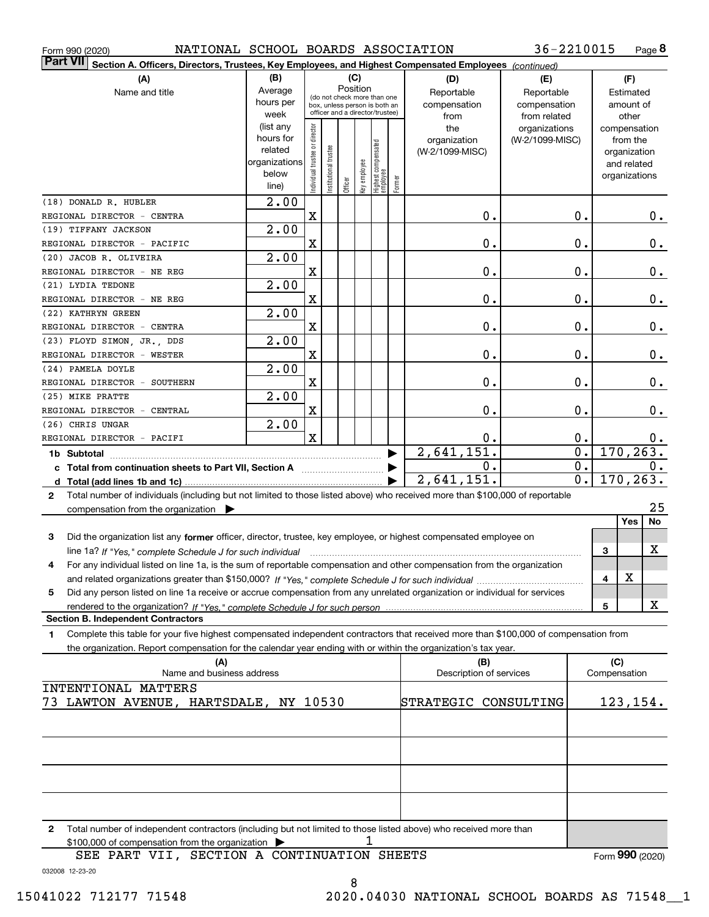| Form 990 (2020) |
|-----------------|
|-----------------|

Form 990 (2020) NATIONAL SCHOOL BOARDS ASSOCIATION 36-2210015 Page

**8** 36-2210015

| ∣Part VII ∣<br>Section A. Officers, Directors, Trustees, Key Employees, and Highest Compensated Employees (continued)                        |                      |                                |                       |          |              |                                  |        |                                      |                 |                  |                             |       |
|----------------------------------------------------------------------------------------------------------------------------------------------|----------------------|--------------------------------|-----------------------|----------|--------------|----------------------------------|--------|--------------------------------------|-----------------|------------------|-----------------------------|-------|
| (A)                                                                                                                                          | (B)                  |                                |                       |          | (C)          |                                  |        | (D)                                  | (E)             |                  | (F)                         |       |
| Name and title                                                                                                                               | Average              |                                |                       | Position |              | (do not check more than one      |        | Reportable                           | Reportable      |                  | Estimated                   |       |
|                                                                                                                                              | hours per            |                                |                       |          |              | box, unless person is both an    |        | compensation                         | compensation    |                  | amount of                   |       |
|                                                                                                                                              | week                 |                                |                       |          |              | officer and a director/trustee)  |        | from                                 | from related    |                  | other                       |       |
|                                                                                                                                              | (list any            |                                |                       |          |              |                                  |        | the                                  | organizations   |                  | compensation                |       |
|                                                                                                                                              | hours for<br>related |                                |                       |          |              |                                  |        | organization                         | (W-2/1099-MISC) |                  | from the                    |       |
|                                                                                                                                              | organizations        |                                |                       |          |              |                                  |        | (W-2/1099-MISC)                      |                 |                  | organization<br>and related |       |
|                                                                                                                                              | below                |                                |                       |          |              |                                  |        |                                      |                 |                  | organizations               |       |
|                                                                                                                                              | line)                | Individual trustee or director | Institutional trustee | Officer  | Key employee | Highest compensated<br> employee | Former |                                      |                 |                  |                             |       |
| (18) DONALD R. HUBLER                                                                                                                        | $\overline{2.00}$    |                                |                       |          |              |                                  |        |                                      |                 |                  |                             |       |
| REGIONAL DIRECTOR - CENTRA                                                                                                                   |                      | X                              |                       |          |              |                                  |        | 0.                                   |                 | 0.               |                             | $0$ . |
| (19) TIFFANY JACKSON                                                                                                                         | $\overline{2.00}$    |                                |                       |          |              |                                  |        |                                      |                 |                  |                             |       |
| REGIONAL DIRECTOR - PACIFIC                                                                                                                  |                      | X                              |                       |          |              |                                  |        | 0.                                   |                 | 0.               |                             | 0.    |
| (20) JACOB R. OLIVEIRA                                                                                                                       | $\overline{2.00}$    |                                |                       |          |              |                                  |        |                                      |                 |                  |                             |       |
| REGIONAL DIRECTOR - NE REG                                                                                                                   |                      | X                              |                       |          |              |                                  |        | 0.                                   |                 | 0.               |                             | 0.    |
| (21) LYDIA TEDONE                                                                                                                            | $\overline{2.00}$    |                                |                       |          |              |                                  |        |                                      |                 |                  |                             |       |
| REGIONAL DIRECTOR - NE REG                                                                                                                   |                      | X                              |                       |          |              |                                  |        | 0.                                   |                 | 0.               |                             | 0.    |
| (22) KATHRYN GREEN                                                                                                                           | $\overline{2.00}$    |                                |                       |          |              |                                  |        |                                      |                 |                  |                             |       |
| REGIONAL DIRECTOR - CENTRA                                                                                                                   | $\overline{2.00}$    | X                              |                       |          |              |                                  |        | 0.                                   |                 | 0.               |                             | 0.    |
| (23) FLOYD SIMON, JR., DDS<br>REGIONAL DIRECTOR - WESTER                                                                                     |                      | X                              |                       |          |              |                                  |        | 0.                                   |                 | 0.               |                             | 0.    |
| (24) PAMELA DOYLE                                                                                                                            | $\overline{2.00}$    |                                |                       |          |              |                                  |        |                                      |                 |                  |                             |       |
| REGIONAL DIRECTOR - SOUTHERN                                                                                                                 |                      | X                              |                       |          |              |                                  |        | 0.                                   |                 | 0.               |                             | 0.    |
| (25) MIKE PRATTE                                                                                                                             | $\overline{2.00}$    |                                |                       |          |              |                                  |        |                                      |                 |                  |                             |       |
| REGIONAL DIRECTOR - CENTRAL                                                                                                                  |                      | X                              |                       |          |              |                                  |        | 0.                                   |                 | 0.               |                             | 0.    |
| (26) CHRIS UNGAR                                                                                                                             | $\overline{2.00}$    |                                |                       |          |              |                                  |        |                                      |                 |                  |                             |       |
| $\mathbf{x}$<br>0.<br>0.<br>REGIONAL DIRECTOR - PACIFI                                                                                       |                      |                                |                       |          |              |                                  |        |                                      |                 | 0.               |                             |       |
| 2,641,151.                                                                                                                                   |                      |                                |                       |          |              |                                  |        | $\overline{0}$ .<br>$\overline{0}$ . | 170, 263.       |                  |                             |       |
|                                                                                                                                              |                      |                                |                       |          |              |                                  |        | Ο.<br>2,641,151.                     |                 | $\overline{0}$ . | 170, 263.                   | 0.    |
|                                                                                                                                              |                      |                                |                       |          |              |                                  |        |                                      |                 |                  |                             |       |
| Total number of individuals (including but not limited to those listed above) who received more than \$100,000 of reportable<br>$\mathbf{2}$ |                      |                                |                       |          |              |                                  |        |                                      |                 |                  |                             | 25    |
| compensation from the organization $\blacktriangleright$                                                                                     |                      |                                |                       |          |              |                                  |        |                                      |                 |                  | Yes                         | No    |
| Did the organization list any former officer, director, trustee, key employee, or highest compensated employee on<br>3                       |                      |                                |                       |          |              |                                  |        |                                      |                 |                  |                             |       |
| line 1a? If "Yes," complete Schedule J for such individual manufactured contains and the Yes," complete Schedule J for such individual       |                      |                                |                       |          |              |                                  |        |                                      |                 |                  | 3                           | X     |
| For any individual listed on line 1a, is the sum of reportable compensation and other compensation from the organization<br>4                |                      |                                |                       |          |              |                                  |        |                                      |                 |                  |                             |       |
|                                                                                                                                              |                      |                                |                       |          |              |                                  |        |                                      |                 |                  | Χ<br>4                      |       |
| Did any person listed on line 1a receive or accrue compensation from any unrelated organization or individual for services<br>5              |                      |                                |                       |          |              |                                  |        |                                      |                 |                  |                             |       |
|                                                                                                                                              |                      |                                |                       |          |              |                                  |        |                                      |                 |                  | 5                           | X     |
| <b>Section B. Independent Contractors</b>                                                                                                    |                      |                                |                       |          |              |                                  |        |                                      |                 |                  |                             |       |
| Complete this table for your five highest compensated independent contractors that received more than \$100,000 of compensation from<br>1    |                      |                                |                       |          |              |                                  |        |                                      |                 |                  |                             |       |
| the organization. Report compensation for the calendar year ending with or within the organization's tax year.                               |                      |                                |                       |          |              |                                  |        |                                      |                 |                  |                             |       |
| (A)<br>Name and business address                                                                                                             |                      |                                |                       |          |              |                                  |        | (B)<br>Description of services       |                 |                  | (C)<br>Compensation         |       |
| INTENTIONAL MATTERS                                                                                                                          |                      |                                |                       |          |              |                                  |        |                                      |                 |                  |                             |       |
| LAWTON AVENUE, HARTSDALE, NY 10530<br>73.                                                                                                    |                      |                                |                       |          |              |                                  |        | STRATEGIC CONSULTING                 |                 |                  | 123,154.                    |       |
|                                                                                                                                              |                      |                                |                       |          |              |                                  |        |                                      |                 |                  |                             |       |
|                                                                                                                                              |                      |                                |                       |          |              |                                  |        |                                      |                 |                  |                             |       |
|                                                                                                                                              |                      |                                |                       |          |              |                                  |        |                                      |                 |                  |                             |       |
|                                                                                                                                              |                      |                                |                       |          |              |                                  |        |                                      |                 |                  |                             |       |
|                                                                                                                                              |                      |                                |                       |          |              |                                  |        |                                      |                 |                  |                             |       |
|                                                                                                                                              |                      |                                |                       |          |              |                                  |        |                                      |                 |                  |                             |       |
|                                                                                                                                              |                      |                                |                       |          |              |                                  |        |                                      |                 |                  |                             |       |
| Total number of independent contractors (including but not limited to those listed above) who received more than<br>2                        |                      |                                |                       |          |              |                                  |        |                                      |                 |                  |                             |       |
| \$100,000 of compensation from the organization                                                                                              |                      |                                |                       |          |              |                                  |        |                                      |                 |                  |                             |       |
| SEE PART VII, SECTION A CONTINUATION SHEETS                                                                                                  |                      |                                |                       |          |              |                                  |        |                                      |                 |                  | Form 990 (2020)             |       |

032008 12-23-20

8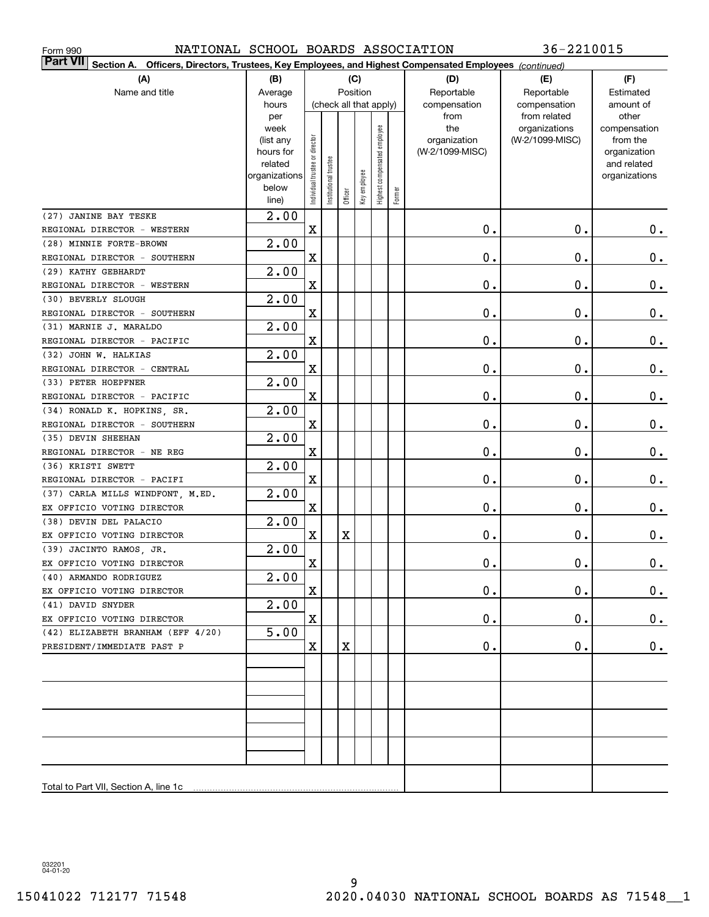| NATIONAL SCHOOL BOARDS ASSOCIATION<br>Form 990                                                                               |                        |                                |                       |         |                        |                              |        |                                 | 36-2210015      |                          |
|------------------------------------------------------------------------------------------------------------------------------|------------------------|--------------------------------|-----------------------|---------|------------------------|------------------------------|--------|---------------------------------|-----------------|--------------------------|
| <b>Part VII</b><br>Officers, Directors, Trustees, Key Employees, and Highest Compensated Employees (continued)<br>Section A. |                        |                                |                       |         |                        |                              |        |                                 |                 |                          |
| (A)                                                                                                                          | (B)                    |                                |                       |         | (C)                    |                              |        | (D)                             | (E)             | (F)                      |
| Name and title                                                                                                               | Average                |                                |                       |         | Position               |                              |        | Reportable                      | Reportable      | Estimated                |
|                                                                                                                              | hours                  |                                |                       |         | (check all that apply) |                              |        | compensation                    | compensation    | amount of                |
|                                                                                                                              | per                    |                                |                       |         |                        |                              |        | from                            | from related    | other                    |
|                                                                                                                              | week                   |                                |                       |         |                        |                              |        | the                             | organizations   | compensation             |
|                                                                                                                              | (list any<br>hours for |                                |                       |         |                        |                              |        | organization<br>(W-2/1099-MISC) | (W-2/1099-MISC) | from the<br>organization |
|                                                                                                                              | related                |                                |                       |         |                        |                              |        |                                 |                 | and related              |
|                                                                                                                              | organizations          |                                |                       |         |                        |                              |        |                                 |                 | organizations            |
|                                                                                                                              | below                  | Individual trustee or director | Institutional trustee |         | Key employee           | Highest compensated employee |        |                                 |                 |                          |
|                                                                                                                              | line)                  |                                |                       | Officer |                        |                              | Former |                                 |                 |                          |
| (27) JANINE BAY TESKE                                                                                                        | $\overline{2.00}$      |                                |                       |         |                        |                              |        |                                 |                 |                          |
| REGIONAL DIRECTOR - WESTERN                                                                                                  |                        | $\mathbf X$                    |                       |         |                        |                              |        | $\mathbf 0$ .                   | $0$ .           | 0.                       |
| (28) MINNIE FORTE-BROWN                                                                                                      | 2.00                   |                                |                       |         |                        |                              |        |                                 |                 |                          |
| REGIONAL DIRECTOR - SOUTHERN                                                                                                 |                        | X                              |                       |         |                        |                              |        | $\mathbf 0$ .                   | $\mathbf 0$ .   | $\mathbf 0$ .            |
| (29) KATHY GEBHARDT                                                                                                          | $\overline{2.00}$      |                                |                       |         |                        |                              |        |                                 |                 |                          |
| REGIONAL DIRECTOR - WESTERN                                                                                                  |                        | X                              |                       |         |                        |                              |        | $\mathfrak o$ .                 | $\mathbf 0$ .   | $\mathbf 0$ .            |
| (30) BEVERLY SLOUGH                                                                                                          | $\overline{2.00}$      |                                |                       |         |                        |                              |        |                                 |                 |                          |
| REGIONAL DIRECTOR - SOUTHERN                                                                                                 |                        | X                              |                       |         |                        |                              |        | $\mathfrak o$ .                 | $\mathbf 0$ .   | $\mathbf 0$ .            |
| (31) MARNIE J. MARALDO                                                                                                       | $\overline{2.00}$      |                                |                       |         |                        |                              |        |                                 |                 |                          |
| REGIONAL DIRECTOR - PACIFIC                                                                                                  |                        | X                              |                       |         |                        |                              |        | $\mathfrak o$ .                 | $\mathbf 0$ .   | $\mathbf 0$ .            |
| (32) JOHN W. HALKIAS                                                                                                         | $\overline{2.00}$      |                                |                       |         |                        |                              |        |                                 |                 |                          |
| REGIONAL DIRECTOR - CENTRAL                                                                                                  |                        | X                              |                       |         |                        |                              |        | $\mathbf 0$ .                   | $\mathbf 0$ .   | $\mathbf 0$ .            |
| (33) PETER HOEPFNER                                                                                                          | $\overline{2.00}$      |                                |                       |         |                        |                              |        |                                 |                 |                          |
| REGIONAL DIRECTOR - PACIFIC                                                                                                  |                        | X                              |                       |         |                        |                              |        | $\mathfrak o$ .                 | $\mathbf 0$ .   | $\mathbf 0$ .            |
| (34) RONALD K. HOPKINS, SR.                                                                                                  | 2.00                   |                                |                       |         |                        |                              |        |                                 |                 |                          |
| REGIONAL DIRECTOR - SOUTHERN                                                                                                 |                        | $\mathbf X$                    |                       |         |                        |                              |        | $\mathfrak o$ .                 | $\mathbf 0$ .   | $\mathbf 0$ .            |
| (35) DEVIN SHEEHAN                                                                                                           | $\overline{2.00}$      |                                |                       |         |                        |                              |        |                                 |                 |                          |
| REGIONAL DIRECTOR - NE REG                                                                                                   |                        | $\mathbf X$                    |                       |         |                        |                              |        | $\mathfrak o$ .                 | $\mathbf 0$ .   | $\mathbf 0$ .            |
| (36) KRISTI SWETT                                                                                                            | 2.00                   | $\mathbf X$                    |                       |         |                        |                              |        |                                 | $\mathbf 0$ .   |                          |
| REGIONAL DIRECTOR - PACIFI                                                                                                   | 2.00                   |                                |                       |         |                        |                              |        | $\mathfrak o$ .                 |                 | $\mathbf 0$ .            |
| (37) CARLA MILLS WINDFONT, M.ED.<br>EX OFFICIO VOTING DIRECTOR                                                               |                        | X                              |                       |         |                        |                              |        | $\mathfrak o$ .                 | $\mathbf 0$ .   | 0.                       |
| (38) DEVIN DEL PALACIO                                                                                                       | 2.00                   |                                |                       |         |                        |                              |        |                                 |                 |                          |
| EX OFFICIO VOTING DIRECTOR                                                                                                   |                        | $\mathbf X$                    |                       | Χ       |                        |                              |        | $\mathfrak o$ .                 | $\mathbf 0$ .   | $\mathbf 0$ .            |
| (39) JACINTO RAMOS, JR.                                                                                                      | 2.00                   |                                |                       |         |                        |                              |        |                                 |                 |                          |
| EX OFFICIO VOTING DIRECTOR                                                                                                   |                        | $\mathbf X$                    |                       |         |                        |                              |        | $\mathbf 0$ .                   | $0$ .           | $\pmb{0}$ .              |
| (40) ARMANDO RODRIGUEZ                                                                                                       | 2.00                   |                                |                       |         |                        |                              |        |                                 |                 |                          |
| EX OFFICIO VOTING DIRECTOR                                                                                                   |                        | X                              |                       |         |                        |                              |        | О.                              | 0.              | $0$ .                    |
| (41) DAVID SNYDER                                                                                                            | 2.00                   |                                |                       |         |                        |                              |        |                                 |                 |                          |
| EX OFFICIO VOTING DIRECTOR                                                                                                   |                        | X                              |                       |         |                        |                              |        | О.                              | 0.              | $0$ .                    |
| (42) ELIZABETH BRANHAM (EFF 4/20)                                                                                            | 5.00                   |                                |                       |         |                        |                              |        |                                 |                 |                          |
| PRESIDENT/IMMEDIATE PAST P                                                                                                   |                        | X                              |                       | X       |                        |                              |        | 0.                              | 0.              | 0.                       |
|                                                                                                                              |                        |                                |                       |         |                        |                              |        |                                 |                 |                          |
|                                                                                                                              |                        |                                |                       |         |                        |                              |        |                                 |                 |                          |
|                                                                                                                              |                        |                                |                       |         |                        |                              |        |                                 |                 |                          |
|                                                                                                                              |                        |                                |                       |         |                        |                              |        |                                 |                 |                          |
|                                                                                                                              |                        |                                |                       |         |                        |                              |        |                                 |                 |                          |
|                                                                                                                              |                        |                                |                       |         |                        |                              |        |                                 |                 |                          |
|                                                                                                                              |                        |                                |                       |         |                        |                              |        |                                 |                 |                          |
|                                                                                                                              |                        |                                |                       |         |                        |                              |        |                                 |                 |                          |
|                                                                                                                              |                        |                                |                       |         |                        |                              |        |                                 |                 |                          |
| Total to Part VII, Section A, line 1c                                                                                        |                        |                                |                       |         |                        |                              |        |                                 |                 |                          |

032201 04-01-20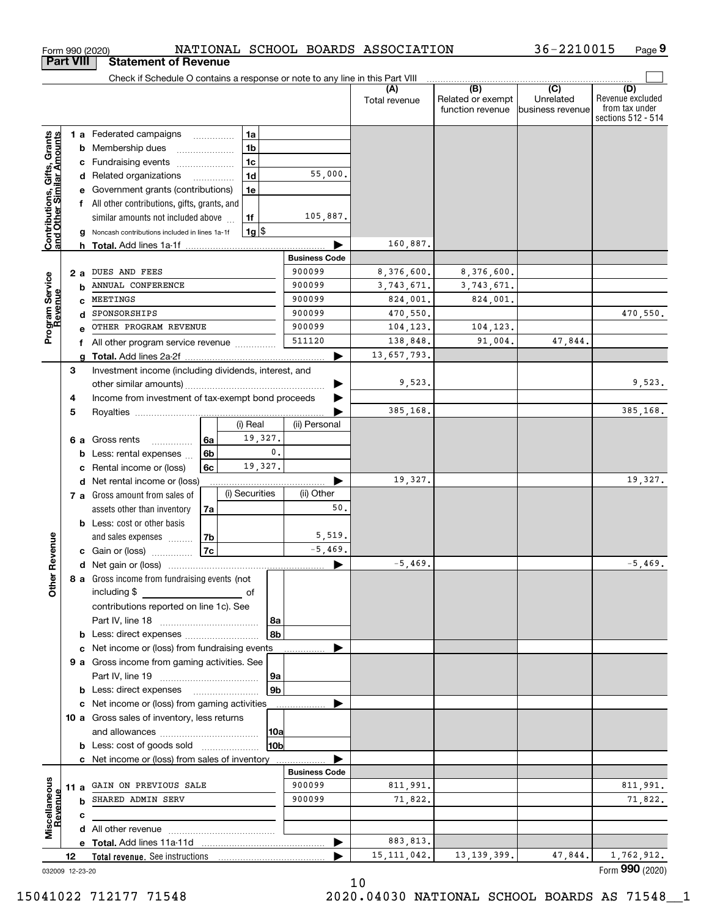|                                                           | <b>Part VIII</b> |    | <b>Statement of Revenue</b>                                                   |                 |                |                      |                          |                                              |                                      |                                                                 |
|-----------------------------------------------------------|------------------|----|-------------------------------------------------------------------------------|-----------------|----------------|----------------------|--------------------------|----------------------------------------------|--------------------------------------|-----------------------------------------------------------------|
|                                                           |                  |    | Check if Schedule O contains a response or note to any line in this Part VIII |                 |                |                      |                          |                                              |                                      |                                                                 |
|                                                           |                  |    |                                                                               |                 |                |                      | (A)<br>Total revenue     | (B)<br>Related or exempt<br>function revenue | (C)<br>Unrelated<br>business revenue | (D)<br>Revenue excluded<br>from tax under<br>sections 512 - 514 |
|                                                           |                  |    | 1 a Federated campaigns                                                       | .               | 1a             |                      |                          |                                              |                                      |                                                                 |
|                                                           | b                |    | Membership dues                                                               |                 | 1 <sub>b</sub> |                      |                          |                                              |                                      |                                                                 |
|                                                           | с                |    | Fundraising events                                                            |                 | 1 <sub>c</sub> |                      |                          |                                              |                                      |                                                                 |
|                                                           | d                |    | Related organizations                                                         |                 | 1 <sub>d</sub> | 55,000.              |                          |                                              |                                      |                                                                 |
|                                                           |                  |    | Government grants (contributions)                                             |                 | 1e             |                      |                          |                                              |                                      |                                                                 |
|                                                           | f                |    | All other contributions, gifts, grants, and                                   |                 |                |                      |                          |                                              |                                      |                                                                 |
|                                                           |                  |    | similar amounts not included above                                            |                 | 1f             | 105,887.             |                          |                                              |                                      |                                                                 |
| Contributions, Gifts, Grants<br>and Other Similar Amounts |                  |    | Noncash contributions included in lines 1a-1f                                 |                 | $1g$ \$        |                      |                          |                                              |                                      |                                                                 |
|                                                           |                  | h. |                                                                               |                 |                | <b>Business Code</b> | 160,887.                 |                                              |                                      |                                                                 |
|                                                           |                  |    | DUES AND FEES                                                                 |                 |                | 900099               |                          |                                              |                                      |                                                                 |
|                                                           | 2a               |    | ANNUAL CONFERENCE                                                             |                 |                | 900099               | 8,376,600.<br>3,743,671. | 8,376,600.<br>3,743,671.                     |                                      |                                                                 |
|                                                           | b<br>c           |    | MEETINGS                                                                      |                 |                | 900099               | 824,001.                 | 824,001.                                     |                                      |                                                                 |
|                                                           | d                |    | SPONSORSHIPS                                                                  |                 |                | 900099               | 470,550.                 |                                              |                                      | 470,550.                                                        |
| Program Service<br>Revenue                                |                  |    | OTHER PROGRAM REVENUE                                                         |                 |                | 900099               | 104,123.                 | 104,123.                                     |                                      |                                                                 |
|                                                           | f                |    | All other program service revenue                                             |                 |                | 511120               | 138,848.                 | 91,004.                                      | 47,844.                              |                                                                 |
|                                                           | a                |    |                                                                               |                 |                |                      | 13,657,793.              |                                              |                                      |                                                                 |
|                                                           | 3                |    | Investment income (including dividends, interest, and                         |                 |                |                      |                          |                                              |                                      |                                                                 |
|                                                           |                  |    | other similar amounts)                                                        |                 |                |                      | 9,523.                   |                                              |                                      | 9,523.                                                          |
|                                                           | 4                |    | Income from investment of tax-exempt bond proceeds                            |                 |                |                      |                          |                                              |                                      |                                                                 |
|                                                           | 5                |    |                                                                               |                 |                |                      | 385,168.                 |                                              |                                      | 385,168.                                                        |
|                                                           |                  |    |                                                                               |                 | (i) Real       | (ii) Personal        |                          |                                              |                                      |                                                                 |
|                                                           | 6а               |    | Gross rents<br>.                                                              | 6a              | 19,327.        |                      |                          |                                              |                                      |                                                                 |
|                                                           | b                |    | Less: rental expenses                                                         | 6 <sub>b</sub>  |                | $\mathbf{0}$ .       |                          |                                              |                                      |                                                                 |
|                                                           | с                |    | Rental income or (loss)                                                       | 6c              | 19,327.        |                      |                          |                                              |                                      |                                                                 |
|                                                           | d                |    | Net rental income or (loss)                                                   |                 |                |                      | 19,327.                  |                                              |                                      | 19,327.                                                         |
|                                                           |                  |    | 7 a Gross amount from sales of                                                |                 | (i) Securities | (ii) Other           |                          |                                              |                                      |                                                                 |
|                                                           |                  |    | assets other than inventory                                                   | 7a              |                | 50.                  |                          |                                              |                                      |                                                                 |
|                                                           |                  |    | <b>b</b> Less: cost or other basis                                            |                 |                | 5,519.               |                          |                                              |                                      |                                                                 |
| Revenue                                                   |                  |    | and sales expenses                                                            | 7b<br><b>7c</b> |                | $-5,469.$            |                          |                                              |                                      |                                                                 |
|                                                           |                  |    | <b>c</b> Gain or (loss)                                                       |                 |                |                      | $-5,469.$                |                                              |                                      | $-5,469.$                                                       |
|                                                           |                  |    | 8 a Gross income from fundraising events (not                                 |                 |                |                      |                          |                                              |                                      |                                                                 |
| <b>Othe</b>                                               |                  |    | including \$<br>and the contract of the contract of                           |                 |                |                      |                          |                                              |                                      |                                                                 |
|                                                           |                  |    | contributions reported on line 1c). See                                       |                 |                |                      |                          |                                              |                                      |                                                                 |
|                                                           |                  |    |                                                                               |                 |                | 8a                   |                          |                                              |                                      |                                                                 |
|                                                           |                  |    |                                                                               |                 |                | 8b                   |                          |                                              |                                      |                                                                 |
|                                                           |                  |    | c Net income or (loss) from fundraising events                                |                 |                |                      |                          |                                              |                                      |                                                                 |
|                                                           |                  |    | 9 a Gross income from gaming activities. See                                  |                 |                |                      |                          |                                              |                                      |                                                                 |
|                                                           |                  |    |                                                                               |                 |                | 9а                   |                          |                                              |                                      |                                                                 |
|                                                           |                  |    | <b>b</b> Less: direct expenses <b>manually</b>                                |                 |                | 9 <sub>b</sub>       |                          |                                              |                                      |                                                                 |
|                                                           |                  |    | c Net income or (loss) from gaming activities                                 |                 |                |                      |                          |                                              |                                      |                                                                 |
|                                                           |                  |    | 10 a Gross sales of inventory, less returns                                   |                 |                |                      |                          |                                              |                                      |                                                                 |
|                                                           |                  |    |                                                                               |                 |                | 10a                  |                          |                                              |                                      |                                                                 |
|                                                           |                  |    | <b>b</b> Less: cost of goods sold                                             |                 |                | 10bl                 |                          |                                              |                                      |                                                                 |
|                                                           |                  |    | c Net income or (loss) from sales of inventory                                |                 |                | <b>Business Code</b> |                          |                                              |                                      |                                                                 |
|                                                           | 11 a             |    | GAIN ON PREVIOUS SALE                                                         |                 |                | 900099               | 811,991.                 |                                              |                                      | 811,991.                                                        |
|                                                           | b                |    | SHARED ADMIN SERV                                                             |                 |                | 900099               | 71,822.                  |                                              |                                      | 71,822.                                                         |
| Miscellaneous<br>Revenue                                  | с                |    |                                                                               |                 |                |                      |                          |                                              |                                      |                                                                 |
|                                                           |                  |    |                                                                               |                 |                |                      |                          |                                              |                                      |                                                                 |
|                                                           |                  |    |                                                                               |                 |                |                      | 883,813.                 |                                              |                                      |                                                                 |
|                                                           | 12               |    |                                                                               |                 |                |                      | 15, 111, 042.            | 13, 139, 399.                                | 47,844.                              | 1,762,912.                                                      |
|                                                           | 032009 12-23-20  |    |                                                                               |                 |                |                      |                          |                                              |                                      | Form 990 (2020)                                                 |

Form 990 (2020) NATIONAL SCHOOL BOARDS ASSOCIATION 36-2210015 Page

NATIONAL SCHOOL BOARDS ASSOCIATION

**9**

36-2210015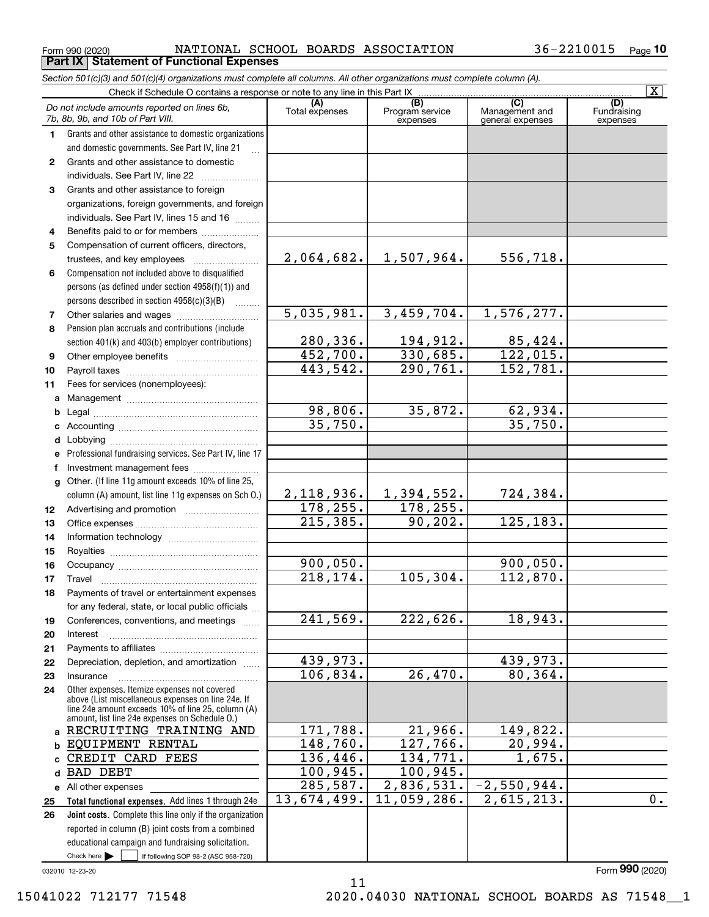$_{\rm Form}$   $_{990}$  (2020) <code>NATIONAL SCHOOL BOARDS ASSOCIATION</code>  $36-2210015$   $_{\rm Page}$ **Part IX Statement of Functional Expenses**

|          | Section 501(c)(3) and 501(c)(4) organizations must complete all columns. All other organizations must complete column (A). |                       |                                    |                                                      |                                |
|----------|----------------------------------------------------------------------------------------------------------------------------|-----------------------|------------------------------------|------------------------------------------------------|--------------------------------|
|          | Check if Schedule O contains a response or note to any line in this Part IX                                                |                       |                                    |                                                      | $\overline{\mathbf{x}}$        |
|          | Do not include amounts reported on lines 6b,<br>7b, 8b, 9b, and 10b of Part VIII.                                          | (A)<br>Total expenses | (B)<br>Program service<br>expenses | $\overline{C}$<br>Management and<br>general expenses | (D)<br>Fundraising<br>expenses |
| 1.       | Grants and other assistance to domestic organizations                                                                      |                       |                                    |                                                      |                                |
|          | and domestic governments. See Part IV, line 21                                                                             |                       |                                    |                                                      |                                |
| 2        | Grants and other assistance to domestic                                                                                    |                       |                                    |                                                      |                                |
|          | individuals. See Part IV, line 22                                                                                          |                       |                                    |                                                      |                                |
| 3        | Grants and other assistance to foreign                                                                                     |                       |                                    |                                                      |                                |
|          | organizations, foreign governments, and foreign                                                                            |                       |                                    |                                                      |                                |
|          | individuals. See Part IV, lines 15 and 16                                                                                  |                       |                                    |                                                      |                                |
| 4        | Benefits paid to or for members                                                                                            |                       |                                    |                                                      |                                |
| 5        | Compensation of current officers, directors,                                                                               |                       |                                    |                                                      |                                |
|          |                                                                                                                            | 2,064,682.            | 1,507,964.                         | 556,718.                                             |                                |
| 6        | Compensation not included above to disqualified                                                                            |                       |                                    |                                                      |                                |
|          | persons (as defined under section 4958(f)(1)) and                                                                          |                       |                                    |                                                      |                                |
|          | persons described in section 4958(c)(3)(B)                                                                                 |                       |                                    |                                                      |                                |
| 7        |                                                                                                                            | 5,035,981.            | 3,459,704.                         | 1,576,277.                                           |                                |
| 8        | Pension plan accruals and contributions (include                                                                           |                       |                                    |                                                      |                                |
|          | section 401(k) and 403(b) employer contributions)                                                                          | 280, 336.             | 194,912.                           | 85,424.                                              |                                |
| 9        |                                                                                                                            | 452,700.              | 330,685.                           | 122,015.                                             |                                |
| 10       |                                                                                                                            | 443,542.              | 290, 761.                          | 152,781.                                             |                                |
| 11       | Fees for services (nonemployees):                                                                                          |                       |                                    |                                                      |                                |
| a        |                                                                                                                            |                       |                                    |                                                      |                                |
| b        |                                                                                                                            | 98,806.               | 35,872.                            | 62,934.                                              |                                |
|          |                                                                                                                            | 35,750.               |                                    | 35,750.                                              |                                |
| d        |                                                                                                                            |                       |                                    |                                                      |                                |
|          | Professional fundraising services. See Part IV, line 17                                                                    |                       |                                    |                                                      |                                |
| f        | Investment management fees                                                                                                 |                       |                                    |                                                      |                                |
| g        | Other. (If line 11g amount exceeds 10% of line 25,                                                                         |                       |                                    |                                                      |                                |
|          | column (A) amount, list line 11g expenses on Sch O.)                                                                       | 2,118,936.            | 1,394,552.                         | 724,384.                                             |                                |
| 12       |                                                                                                                            | 178,255.              | 178, 255.                          |                                                      |                                |
| 13       |                                                                                                                            | 215, 385.             | 90, 202.                           | 125, 183.                                            |                                |
| 14       |                                                                                                                            |                       |                                    |                                                      |                                |
| 15       |                                                                                                                            | 900,050.              |                                    | 900,050.                                             |                                |
| 16       |                                                                                                                            | 218, 174.             | 105,304.                           | 112,870.                                             |                                |
| 17       | Payments of travel or entertainment expenses                                                                               |                       |                                    |                                                      |                                |
| 18       | for any federal, state, or local public officials                                                                          |                       |                                    |                                                      |                                |
|          | Conferences, conventions, and meetings                                                                                     | 241,569.              | 222,626.                           | 18,943.                                              |                                |
| 19<br>20 | Interest                                                                                                                   |                       |                                    |                                                      |                                |
| 21       |                                                                                                                            |                       |                                    |                                                      |                                |
| 22       | Depreciation, depletion, and amortization                                                                                  | 439,973.              |                                    | 439,973.                                             |                                |
| 23       | Insurance                                                                                                                  | 106,834.              | 26,470.                            | 80, 364.                                             |                                |
| 24       | Other expenses. Itemize expenses not covered                                                                               |                       |                                    |                                                      |                                |
|          | above (List miscellaneous expenses on line 24e. If                                                                         |                       |                                    |                                                      |                                |
|          | line 24e amount exceeds 10% of line 25, column (A)<br>amount, list line 24e expenses on Schedule 0.)                       |                       |                                    |                                                      |                                |
| a        | RECRUITING TRAINING AND                                                                                                    | 171,788.              | 21,966.                            | 149,822.                                             |                                |
| b        | EQUIPMENT RENTAL                                                                                                           | 148,760.              | 127,766.                           | 20,994.                                              |                                |
| c        | CREDIT CARD FEES                                                                                                           | 136,446.              | 134,771.                           | 1,675.                                               |                                |
| d        | <b>BAD DEBT</b>                                                                                                            | 100,945.              | 100,945.                           |                                                      |                                |
| е        | All other expenses                                                                                                         | 285,587.              | 2,836,531.                         | $-2,550,944.$                                        |                                |
| 25       | Total functional expenses. Add lines 1 through 24e                                                                         | 13,674,499.           | 11,059,286.                        | 2,615,213.                                           | 0.                             |
| 26       | Joint costs. Complete this line only if the organization                                                                   |                       |                                    |                                                      |                                |
|          | reported in column (B) joint costs from a combined                                                                         |                       |                                    |                                                      |                                |
|          | educational campaign and fundraising solicitation.                                                                         |                       |                                    |                                                      |                                |
|          | Check here $\blacktriangleright$<br>if following SOP 98-2 (ASC 958-720)                                                    |                       |                                    |                                                      |                                |

11

032010 12-23-20

Form (2020) **990**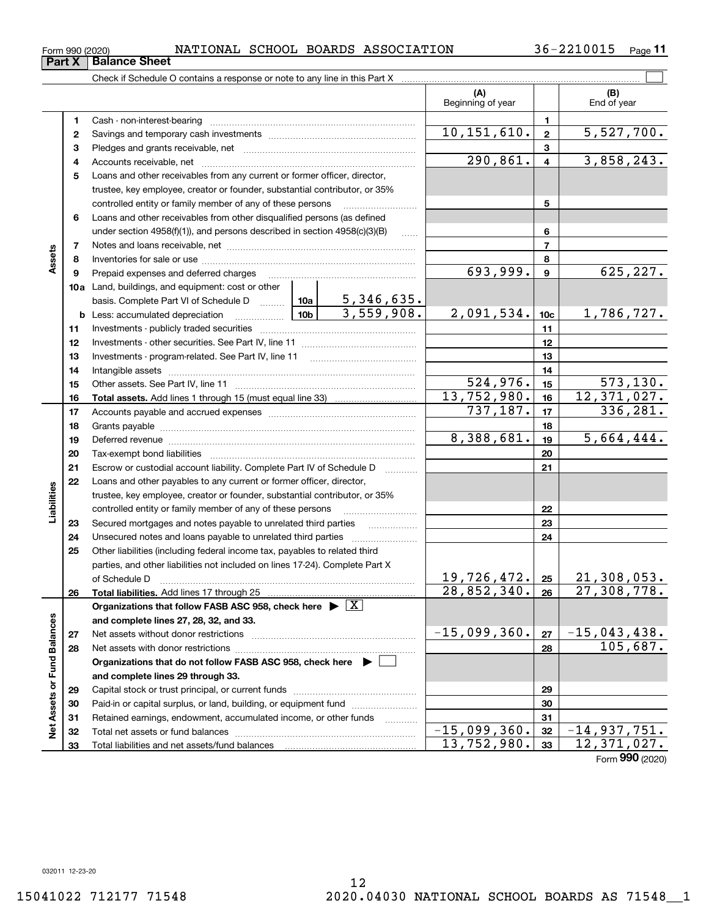**Part X Balance Sheet**

 $\overline{\phantom{0}}$ 

**11**

|                             |          |                                                                                            |                                                                       |                          | (A)<br>Beginning of year |                         | (B)<br>End of year       |  |  |
|-----------------------------|----------|--------------------------------------------------------------------------------------------|-----------------------------------------------------------------------|--------------------------|--------------------------|-------------------------|--------------------------|--|--|
|                             | 1        |                                                                                            |                                                                       |                          |                          | 1                       |                          |  |  |
|                             | 2        |                                                                                            |                                                                       |                          | 10, 151, 610.            | $\mathbf{2}$            | 5,527,700.               |  |  |
|                             | 3        |                                                                                            |                                                                       |                          |                          | 3                       |                          |  |  |
|                             | 4        |                                                                                            |                                                                       |                          | 290,861.                 | $\overline{\mathbf{4}}$ | 3,858,243.               |  |  |
|                             | 5        | Loans and other receivables from any current or former officer, director,                  |                                                                       |                          |                          |                         |                          |  |  |
|                             |          | trustee, key employee, creator or founder, substantial contributor, or 35%                 |                                                                       |                          |                          |                         |                          |  |  |
|                             |          | controlled entity or family member of any of these persons                                 |                                                                       |                          |                          | 5                       |                          |  |  |
|                             | 6        | Loans and other receivables from other disqualified persons (as defined                    |                                                                       |                          |                          |                         |                          |  |  |
|                             |          | under section 4958(f)(1)), and persons described in section 4958(c)(3)(B)                  |                                                                       | $\ldots$                 |                          | 6                       |                          |  |  |
|                             | 7        |                                                                                            |                                                                       | $\overline{\phantom{a}}$ |                          |                         |                          |  |  |
| Assets                      | 8        |                                                                                            |                                                                       | 8                        |                          |                         |                          |  |  |
|                             | 9        | Prepaid expenses and deferred charges                                                      |                                                                       |                          | 693,999.                 | $\boldsymbol{9}$        | 625,227.                 |  |  |
|                             |          | 10a Land, buildings, and equipment: cost or other                                          |                                                                       |                          |                          |                         |                          |  |  |
|                             |          |                                                                                            |                                                                       |                          |                          |                         |                          |  |  |
|                             |          | <b>b</b> Less: accumulated depreciation                                                    |                                                                       |                          | 2,091,534.               | 10 <sub>c</sub>         | 1,786,727.               |  |  |
|                             | 11       |                                                                                            |                                                                       |                          |                          | 11                      |                          |  |  |
|                             | 12       |                                                                                            |                                                                       | 12                       |                          |                         |                          |  |  |
|                             | 13       |                                                                                            |                                                                       |                          |                          | 13                      |                          |  |  |
|                             | 14       |                                                                                            |                                                                       |                          |                          | 14                      |                          |  |  |
|                             | 15       |                                                                                            |                                                                       |                          | 524,976.<br>13,752,980.  | 15                      | 573, 130.<br>12,371,027. |  |  |
|                             | 16       |                                                                                            |                                                                       |                          | 737,187.                 | 16                      | 336,281.                 |  |  |
|                             | 17       |                                                                                            |                                                                       |                          |                          | 17                      |                          |  |  |
|                             | 18       |                                                                                            | 8,388,681.                                                            | 18<br>19                 | 5,664,444.               |                         |                          |  |  |
|                             | 19<br>20 |                                                                                            |                                                                       | 20                       |                          |                         |                          |  |  |
|                             | 21       |                                                                                            | Escrow or custodial account liability. Complete Part IV of Schedule D |                          |                          |                         |                          |  |  |
|                             | 22       | Loans and other payables to any current or former officer, director,                       |                                                                       |                          |                          | 21                      |                          |  |  |
| Liabilities                 |          | trustee, key employee, creator or founder, substantial contributor, or 35%                 |                                                                       |                          |                          |                         |                          |  |  |
|                             |          | controlled entity or family member of any of these persons                                 |                                                                       |                          |                          | 22                      |                          |  |  |
|                             | 23       | Secured mortgages and notes payable to unrelated third parties                             |                                                                       |                          |                          | 23                      |                          |  |  |
|                             | 24       |                                                                                            |                                                                       |                          |                          | 24                      |                          |  |  |
|                             | 25       | Other liabilities (including federal income tax, payables to related third                 |                                                                       |                          |                          |                         |                          |  |  |
|                             |          | parties, and other liabilities not included on lines 17-24). Complete Part X               |                                                                       |                          |                          |                         |                          |  |  |
|                             |          | of Schedule D                                                                              |                                                                       |                          | 19,726,472.              | 25                      | 21,308,053.              |  |  |
|                             | 26       | Total liabilities. Add lines 17 through 25                                                 |                                                                       |                          | 28,852,340.              | 26                      | 27,308,778.              |  |  |
|                             |          | Organizations that follow FASB ASC 958, check here $\blacktriangleright \lfloor X \rfloor$ |                                                                       |                          |                          |                         |                          |  |  |
|                             |          | and complete lines 27, 28, 32, and 33.                                                     |                                                                       |                          |                          |                         |                          |  |  |
|                             | 27       |                                                                                            |                                                                       |                          | $-15,099,360.$           | 27                      | $-15,043,438.$           |  |  |
|                             | 28       |                                                                                            |                                                                       |                          |                          | 28                      | 105,687.                 |  |  |
|                             |          | Organizations that do not follow FASB ASC 958, check here $\blacktriangleright$            |                                                                       |                          |                          |                         |                          |  |  |
|                             |          | and complete lines 29 through 33.                                                          |                                                                       |                          |                          |                         |                          |  |  |
| Net Assets or Fund Balances | 29       |                                                                                            |                                                                       |                          |                          | 29                      |                          |  |  |
|                             | 30       | Paid-in or capital surplus, or land, building, or equipment fund                           |                                                                       |                          |                          | 30                      |                          |  |  |
|                             | 31       | Retained earnings, endowment, accumulated income, or other funds                           |                                                                       |                          |                          | 31                      |                          |  |  |
|                             | 32       |                                                                                            |                                                                       |                          | $-15,099,360.$           | 32                      | $-14,937,751.$           |  |  |
|                             | 33       | Total liabilities and net assets/fund balances                                             |                                                                       |                          | 13,752,980.              | 33                      | 12,371,027.              |  |  |

Form (2020) **990**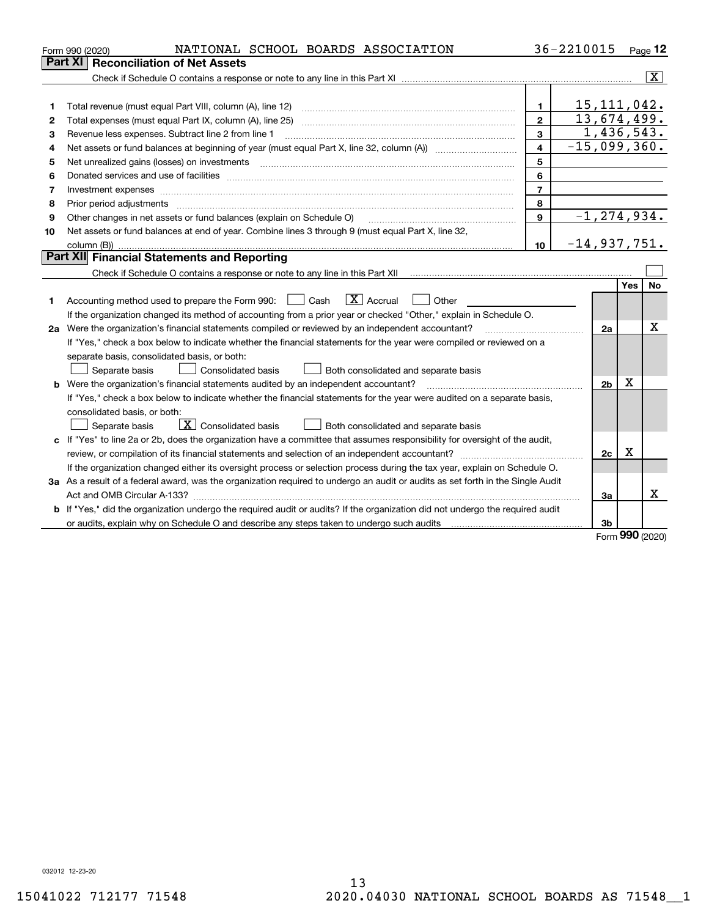|    | NATIONAL SCHOOL BOARDS ASSOCIATION<br>Form 990 (2020)                                                                                                                              |                | 36-2210015 |                 |           | Page 12        |  |  |  |
|----|------------------------------------------------------------------------------------------------------------------------------------------------------------------------------------|----------------|------------|-----------------|-----------|----------------|--|--|--|
|    | Part XI<br><b>Reconciliation of Net Assets</b>                                                                                                                                     |                |            |                 |           |                |  |  |  |
|    |                                                                                                                                                                                    |                |            |                 |           | $ \mathbf{X} $ |  |  |  |
|    |                                                                                                                                                                                    |                |            |                 |           |                |  |  |  |
| 1  |                                                                                                                                                                                    | $\mathbf{1}$   |            | 15, 111, 042.   |           |                |  |  |  |
| 2  |                                                                                                                                                                                    | $\mathbf{2}$   |            | 13,674,499.     |           |                |  |  |  |
| 3  | 1,436,543.<br>3<br>Revenue less expenses. Subtract line 2 from line 1                                                                                                              |                |            |                 |           |                |  |  |  |
| 4  | $-15,099,360.$<br>4<br>Net assets or fund balances at beginning of year (must equal Part X, line 32, column (A)) <i>manageredial</i>                                               |                |            |                 |           |                |  |  |  |
| 5  | Net unrealized gains (losses) on investments                                                                                                                                       | 5              |            |                 |           |                |  |  |  |
| 6  |                                                                                                                                                                                    | 6              |            |                 |           |                |  |  |  |
| 7  | Investment expenses                                                                                                                                                                | $\overline{7}$ |            |                 |           |                |  |  |  |
| 8  | Prior period adjustments                                                                                                                                                           | 8              |            |                 |           |                |  |  |  |
| 9  | Other changes in net assets or fund balances (explain on Schedule O)                                                                                                               | 9              |            | $-1, 274, 934.$ |           |                |  |  |  |
| 10 | Net assets or fund balances at end of year. Combine lines 3 through 9 (must equal Part X, line 32,                                                                                 |                |            |                 |           |                |  |  |  |
|    | column (B))                                                                                                                                                                        | 10             |            | $-14,937,751.$  |           |                |  |  |  |
|    | Part XII Financial Statements and Reporting                                                                                                                                        |                |            |                 |           |                |  |  |  |
|    | Check if Schedule O contains a response or note to any line in this Part XII [11] [11] [11] [11] [11] Check if Schedule O contains a response or note to any line in this Part XII |                |            |                 |           |                |  |  |  |
|    |                                                                                                                                                                                    |                |            |                 | Yes       | No.            |  |  |  |
| 1  | $\boxed{\mathbf{X}}$ Accrual<br>Accounting method used to prepare the Form 990: <u>I</u> Cash<br>Other                                                                             |                |            |                 |           |                |  |  |  |
|    | If the organization changed its method of accounting from a prior year or checked "Other," explain in Schedule O.                                                                  |                |            |                 |           |                |  |  |  |
|    | 2a Were the organization's financial statements compiled or reviewed by an independent accountant?                                                                                 |                |            | 2a              |           | x              |  |  |  |
|    | If "Yes," check a box below to indicate whether the financial statements for the year were compiled or reviewed on a                                                               |                |            |                 |           |                |  |  |  |
|    | separate basis, consolidated basis, or both:                                                                                                                                       |                |            |                 |           |                |  |  |  |
|    | Separate basis<br><b>Consolidated basis</b><br>Both consolidated and separate basis                                                                                                |                |            |                 |           |                |  |  |  |
|    | <b>b</b> Were the organization's financial statements audited by an independent accountant?                                                                                        |                |            | 2 <sub>b</sub>  | х         |                |  |  |  |
|    | If "Yes," check a box below to indicate whether the financial statements for the year were audited on a separate basis,                                                            |                |            |                 |           |                |  |  |  |
|    | consolidated basis, or both:                                                                                                                                                       |                |            |                 |           |                |  |  |  |
|    | $\mid$ $\rm X \mid$ Consolidated basis<br>Separate basis<br>Both consolidated and separate basis                                                                                   |                |            |                 |           |                |  |  |  |
|    | c If "Yes" to line 2a or 2b, does the organization have a committee that assumes responsibility for oversight of the audit,                                                        |                |            |                 |           |                |  |  |  |
|    |                                                                                                                                                                                    |                |            | 2c              | X         |                |  |  |  |
|    | If the organization changed either its oversight process or selection process during the tax year, explain on Schedule O.                                                          |                |            |                 |           |                |  |  |  |
|    | 3a As a result of a federal award, was the organization required to undergo an audit or audits as set forth in the Single Audit                                                    |                |            |                 |           |                |  |  |  |
|    |                                                                                                                                                                                    |                |            | За              |           | x              |  |  |  |
|    | b If "Yes," did the organization undergo the required audit or audits? If the organization did not undergo the required audit                                                      |                |            |                 |           |                |  |  |  |
|    |                                                                                                                                                                                    |                |            | 3b              |           |                |  |  |  |
|    |                                                                                                                                                                                    |                |            |                 | $000 - 1$ |                |  |  |  |

Form (2020) **990**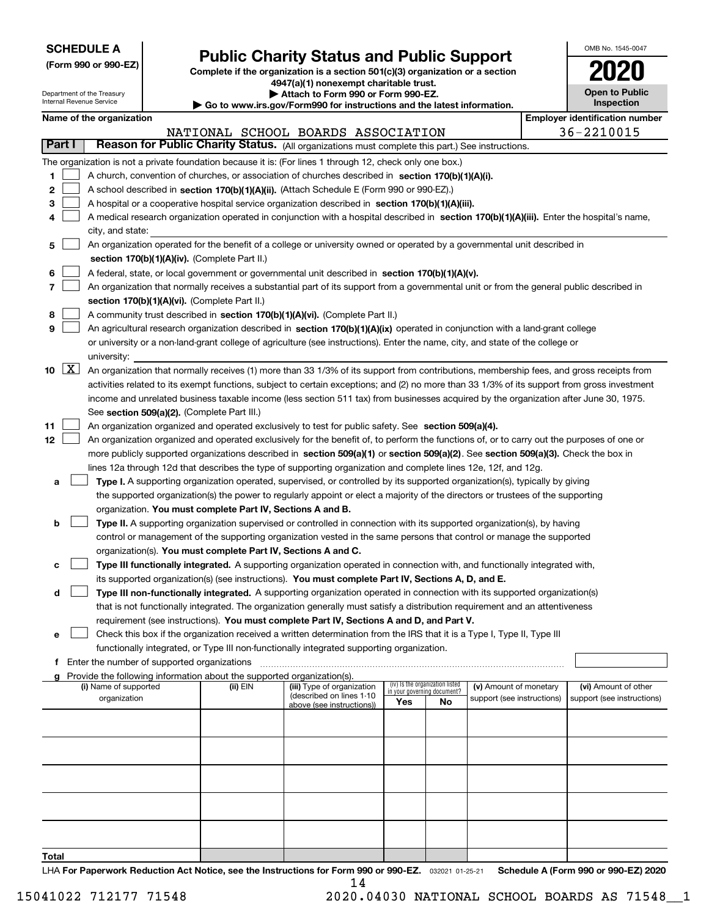| <b>SCHEDULE A</b> |
|-------------------|
|-------------------|

**(Form 990 or 990-EZ)**

## **Public Charity Status and Public Support**

**Complete if the organization is a section 501(c)(3) organization or a section 4947(a)(1) nonexempt charitable trust. | Attach to Form 990 or Form 990-EZ.** 

| OMB No. 1545-0047                   |
|-------------------------------------|
| 2020                                |
| <b>Open to Public</b><br>Inspection |

|        |        | Department of the Treasury<br>Internal Revenue Service |                                             | Attach to Form 990 or Form 990-EZ.<br>$\blacktriangleright$ Go to www.irs.gov/Form990 for instructions and the latest information. |                                                                                                                                              | <b>Open to Public</b><br>Inspection |                                 |                            |  |            |                                       |  |
|--------|--------|--------------------------------------------------------|---------------------------------------------|------------------------------------------------------------------------------------------------------------------------------------|----------------------------------------------------------------------------------------------------------------------------------------------|-------------------------------------|---------------------------------|----------------------------|--|------------|---------------------------------------|--|
|        |        | Name of the organization                               |                                             |                                                                                                                                    |                                                                                                                                              |                                     |                                 |                            |  |            | <b>Employer identification number</b> |  |
|        |        |                                                        |                                             |                                                                                                                                    | NATIONAL SCHOOL BOARDS ASSOCIATION                                                                                                           |                                     |                                 |                            |  | 36-2210015 |                                       |  |
| Part I |        |                                                        |                                             |                                                                                                                                    | Reason for Public Charity Status. (All organizations must complete this part.) See instructions.                                             |                                     |                                 |                            |  |            |                                       |  |
|        |        |                                                        |                                             |                                                                                                                                    | The organization is not a private foundation because it is: (For lines 1 through 12, check only one box.)                                    |                                     |                                 |                            |  |            |                                       |  |
| 1.     |        |                                                        |                                             |                                                                                                                                    | A church, convention of churches, or association of churches described in section 170(b)(1)(A)(i).                                           |                                     |                                 |                            |  |            |                                       |  |
| 2      |        |                                                        |                                             |                                                                                                                                    | A school described in section 170(b)(1)(A)(ii). (Attach Schedule E (Form 990 or 990-EZ).)                                                    |                                     |                                 |                            |  |            |                                       |  |
| 3      |        |                                                        |                                             |                                                                                                                                    | A hospital or a cooperative hospital service organization described in section $170(b)(1)(A)(iii)$ .                                         |                                     |                                 |                            |  |            |                                       |  |
| 4      |        |                                                        |                                             |                                                                                                                                    | A medical research organization operated in conjunction with a hospital described in section 170(b)(1)(A)(iii). Enter the hospital's name,   |                                     |                                 |                            |  |            |                                       |  |
|        |        | city, and state:                                       |                                             |                                                                                                                                    |                                                                                                                                              |                                     |                                 |                            |  |            |                                       |  |
| 5      |        |                                                        |                                             |                                                                                                                                    | An organization operated for the benefit of a college or university owned or operated by a governmental unit described in                    |                                     |                                 |                            |  |            |                                       |  |
|        |        |                                                        |                                             | section $170(b)(1)(A)(iv)$ . (Complete Part II.)                                                                                   |                                                                                                                                              |                                     |                                 |                            |  |            |                                       |  |
| 6      |        |                                                        |                                             |                                                                                                                                    | A federal, state, or local government or governmental unit described in section 170(b)(1)(A)(v).                                             |                                     |                                 |                            |  |            |                                       |  |
| 7      |        |                                                        |                                             |                                                                                                                                    | An organization that normally receives a substantial part of its support from a governmental unit or from the general public described in    |                                     |                                 |                            |  |            |                                       |  |
|        |        |                                                        |                                             | section 170(b)(1)(A)(vi). (Complete Part II.)                                                                                      |                                                                                                                                              |                                     |                                 |                            |  |            |                                       |  |
| 8      |        |                                                        |                                             |                                                                                                                                    | A community trust described in section 170(b)(1)(A)(vi). (Complete Part II.)                                                                 |                                     |                                 |                            |  |            |                                       |  |
| 9      |        |                                                        |                                             |                                                                                                                                    | An agricultural research organization described in section 170(b)(1)(A)(ix) operated in conjunction with a land-grant college                |                                     |                                 |                            |  |            |                                       |  |
|        |        |                                                        |                                             |                                                                                                                                    | or university or a non-land-grant college of agriculture (see instructions). Enter the name, city, and state of the college or               |                                     |                                 |                            |  |            |                                       |  |
|        |        | university:                                            |                                             |                                                                                                                                    |                                                                                                                                              |                                     |                                 |                            |  |            |                                       |  |
|        | 10 $X$ |                                                        |                                             |                                                                                                                                    | An organization that normally receives (1) more than 33 1/3% of its support from contributions, membership fees, and gross receipts from     |                                     |                                 |                            |  |            |                                       |  |
|        |        |                                                        |                                             |                                                                                                                                    | activities related to its exempt functions, subject to certain exceptions; and (2) no more than 33 1/3% of its support from gross investment |                                     |                                 |                            |  |            |                                       |  |
|        |        |                                                        |                                             |                                                                                                                                    | income and unrelated business taxable income (less section 511 tax) from businesses acquired by the organization after June 30, 1975.        |                                     |                                 |                            |  |            |                                       |  |
|        |        |                                                        |                                             | See section 509(a)(2). (Complete Part III.)                                                                                        |                                                                                                                                              |                                     |                                 |                            |  |            |                                       |  |
| 11     |        |                                                        |                                             |                                                                                                                                    | An organization organized and operated exclusively to test for public safety. See section 509(a)(4).                                         |                                     |                                 |                            |  |            |                                       |  |
| 12     |        |                                                        |                                             |                                                                                                                                    | An organization organized and operated exclusively for the benefit of, to perform the functions of, or to carry out the purposes of one or   |                                     |                                 |                            |  |            |                                       |  |
|        |        |                                                        |                                             |                                                                                                                                    | more publicly supported organizations described in section 509(a)(1) or section 509(a)(2). See section 509(a)(3). Check the box in           |                                     |                                 |                            |  |            |                                       |  |
|        |        |                                                        |                                             |                                                                                                                                    | lines 12a through 12d that describes the type of supporting organization and complete lines 12e, 12f, and 12g.                               |                                     |                                 |                            |  |            |                                       |  |
| а      |        |                                                        |                                             |                                                                                                                                    | Type I. A supporting organization operated, supervised, or controlled by its supported organization(s), typically by giving                  |                                     |                                 |                            |  |            |                                       |  |
|        |        |                                                        |                                             |                                                                                                                                    | the supported organization(s) the power to regularly appoint or elect a majority of the directors or trustees of the supporting              |                                     |                                 |                            |  |            |                                       |  |
|        |        |                                                        |                                             | organization. You must complete Part IV, Sections A and B.                                                                         |                                                                                                                                              |                                     |                                 |                            |  |            |                                       |  |
| b      |        |                                                        |                                             |                                                                                                                                    | Type II. A supporting organization supervised or controlled in connection with its supported organization(s), by having                      |                                     |                                 |                            |  |            |                                       |  |
|        |        |                                                        |                                             |                                                                                                                                    | control or management of the supporting organization vested in the same persons that control or manage the supported                         |                                     |                                 |                            |  |            |                                       |  |
|        |        |                                                        |                                             | organization(s). You must complete Part IV, Sections A and C.                                                                      |                                                                                                                                              |                                     |                                 |                            |  |            |                                       |  |
| с      |        |                                                        |                                             |                                                                                                                                    | Type III functionally integrated. A supporting organization operated in connection with, and functionally integrated with,                   |                                     |                                 |                            |  |            |                                       |  |
|        |        |                                                        |                                             |                                                                                                                                    | its supported organization(s) (see instructions). You must complete Part IV, Sections A, D, and E.                                           |                                     |                                 |                            |  |            |                                       |  |
| d      |        |                                                        |                                             |                                                                                                                                    | Type III non-functionally integrated. A supporting organization operated in connection with its supported organization(s)                    |                                     |                                 |                            |  |            |                                       |  |
|        |        |                                                        |                                             |                                                                                                                                    | that is not functionally integrated. The organization generally must satisfy a distribution requirement and an attentiveness                 |                                     |                                 |                            |  |            |                                       |  |
|        |        |                                                        |                                             |                                                                                                                                    | requirement (see instructions). You must complete Part IV, Sections A and D, and Part V.                                                     |                                     |                                 |                            |  |            |                                       |  |
| е      |        |                                                        |                                             |                                                                                                                                    | Check this box if the organization received a written determination from the IRS that it is a Type I, Type II, Type III                      |                                     |                                 |                            |  |            |                                       |  |
|        |        |                                                        |                                             |                                                                                                                                    | functionally integrated, or Type III non-functionally integrated supporting organization.                                                    |                                     |                                 |                            |  |            |                                       |  |
| f.     |        |                                                        | Enter the number of supported organizations | g Provide the following information about the supported organization(s).                                                           |                                                                                                                                              |                                     |                                 |                            |  |            |                                       |  |
|        |        | (i) Name of supported                                  |                                             | (ii) EIN                                                                                                                           | (iii) Type of organization                                                                                                                   |                                     | (iv) Is the organization listed | (v) Amount of monetary     |  |            | (vi) Amount of other                  |  |
|        |        | organization                                           |                                             |                                                                                                                                    | (described on lines 1-10                                                                                                                     | in your governing document?<br>Yes  | No                              | support (see instructions) |  |            | support (see instructions)            |  |
|        |        |                                                        |                                             |                                                                                                                                    | above (see instructions))                                                                                                                    |                                     |                                 |                            |  |            |                                       |  |
|        |        |                                                        |                                             |                                                                                                                                    |                                                                                                                                              |                                     |                                 |                            |  |            |                                       |  |
|        |        |                                                        |                                             |                                                                                                                                    |                                                                                                                                              |                                     |                                 |                            |  |            |                                       |  |
|        |        |                                                        |                                             |                                                                                                                                    |                                                                                                                                              |                                     |                                 |                            |  |            |                                       |  |
|        |        |                                                        |                                             |                                                                                                                                    |                                                                                                                                              |                                     |                                 |                            |  |            |                                       |  |
|        |        |                                                        |                                             |                                                                                                                                    |                                                                                                                                              |                                     |                                 |                            |  |            |                                       |  |
|        |        |                                                        |                                             |                                                                                                                                    |                                                                                                                                              |                                     |                                 |                            |  |            |                                       |  |
|        |        |                                                        |                                             |                                                                                                                                    |                                                                                                                                              |                                     |                                 |                            |  |            |                                       |  |
|        |        |                                                        |                                             |                                                                                                                                    |                                                                                                                                              |                                     |                                 |                            |  |            |                                       |  |
|        |        |                                                        |                                             |                                                                                                                                    |                                                                                                                                              |                                     |                                 |                            |  |            |                                       |  |
| Total  |        |                                                        |                                             |                                                                                                                                    |                                                                                                                                              |                                     |                                 |                            |  |            |                                       |  |

LHA For Paperwork Reduction Act Notice, see the Instructions for Form 990 or 990-EZ. <sub>032021</sub> o1-25-21 Schedule A (Form 990 or 990-EZ) 2020 14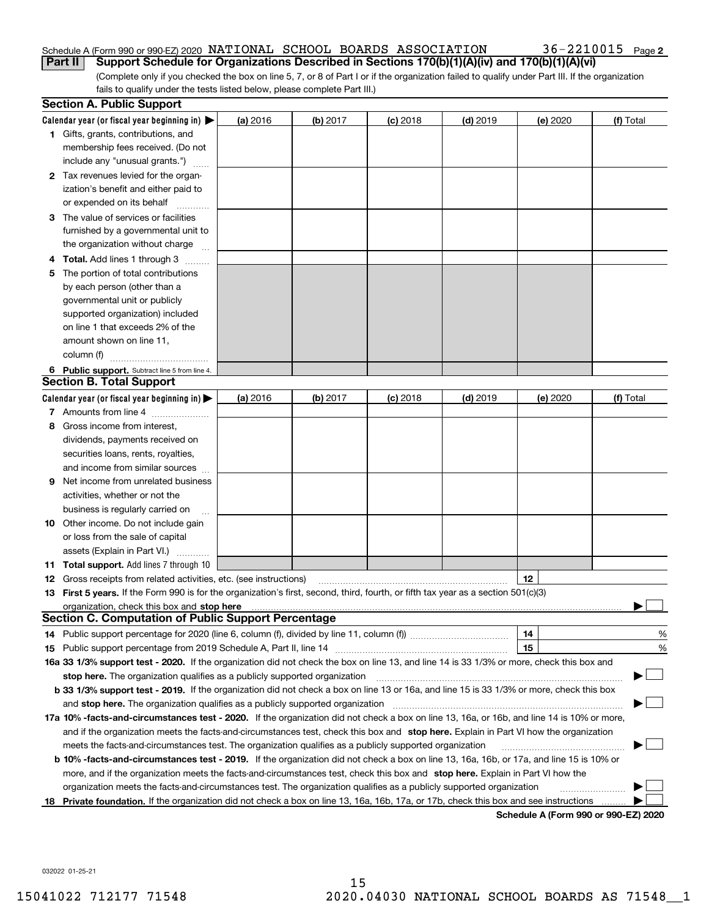#### Schedule A (Form 990 or 990-EZ) 2020 NATIONAL SCHOOL BOARDS ASSOCIATION 36-22I00I5 Page NATIONAL SCHOOL BOARDS ASSOCIATION 36-2210015

(Complete only if you checked the box on line 5, 7, or 8 of Part I or if the organization failed to qualify under Part III. If the organization fails to qualify under the tests listed below, please complete Part III.) **Part II Support Schedule for Organizations Described in Sections 170(b)(1)(A)(iv) and 170(b)(1)(A)(vi)**

|    | <b>Section A. Public Support</b>                                                                                                                                                                                              |          |            |            |            |          |                                      |
|----|-------------------------------------------------------------------------------------------------------------------------------------------------------------------------------------------------------------------------------|----------|------------|------------|------------|----------|--------------------------------------|
|    | Calendar year (or fiscal year beginning in) $\blacktriangleright$                                                                                                                                                             | (a) 2016 | $(b)$ 2017 | $(c)$ 2018 | $(d)$ 2019 | (e) 2020 | (f) Total                            |
|    | <b>1</b> Gifts, grants, contributions, and                                                                                                                                                                                    |          |            |            |            |          |                                      |
|    | membership fees received. (Do not                                                                                                                                                                                             |          |            |            |            |          |                                      |
|    | include any "unusual grants.")                                                                                                                                                                                                |          |            |            |            |          |                                      |
|    | 2 Tax revenues levied for the organ-                                                                                                                                                                                          |          |            |            |            |          |                                      |
|    | ization's benefit and either paid to                                                                                                                                                                                          |          |            |            |            |          |                                      |
|    | or expended on its behalf                                                                                                                                                                                                     |          |            |            |            |          |                                      |
|    | 3 The value of services or facilities                                                                                                                                                                                         |          |            |            |            |          |                                      |
|    | furnished by a governmental unit to                                                                                                                                                                                           |          |            |            |            |          |                                      |
|    | the organization without charge                                                                                                                                                                                               |          |            |            |            |          |                                      |
|    | <b>4 Total.</b> Add lines 1 through 3                                                                                                                                                                                         |          |            |            |            |          |                                      |
| 5. | The portion of total contributions                                                                                                                                                                                            |          |            |            |            |          |                                      |
|    | by each person (other than a                                                                                                                                                                                                  |          |            |            |            |          |                                      |
|    | governmental unit or publicly                                                                                                                                                                                                 |          |            |            |            |          |                                      |
|    | supported organization) included                                                                                                                                                                                              |          |            |            |            |          |                                      |
|    | on line 1 that exceeds 2% of the                                                                                                                                                                                              |          |            |            |            |          |                                      |
|    | amount shown on line 11,                                                                                                                                                                                                      |          |            |            |            |          |                                      |
|    | column (f)                                                                                                                                                                                                                    |          |            |            |            |          |                                      |
|    | 6 Public support. Subtract line 5 from line 4.                                                                                                                                                                                |          |            |            |            |          |                                      |
|    | <b>Section B. Total Support</b>                                                                                                                                                                                               |          |            |            |            |          |                                      |
|    | Calendar year (or fiscal year beginning in) $\blacktriangleright$                                                                                                                                                             | (a) 2016 | (b) 2017   | $(c)$ 2018 | $(d)$ 2019 | (e) 2020 | (f) Total                            |
|    | 7 Amounts from line 4                                                                                                                                                                                                         |          |            |            |            |          |                                      |
| 8  | Gross income from interest,                                                                                                                                                                                                   |          |            |            |            |          |                                      |
|    | dividends, payments received on                                                                                                                                                                                               |          |            |            |            |          |                                      |
|    | securities loans, rents, royalties,                                                                                                                                                                                           |          |            |            |            |          |                                      |
|    | and income from similar sources                                                                                                                                                                                               |          |            |            |            |          |                                      |
| 9  | Net income from unrelated business                                                                                                                                                                                            |          |            |            |            |          |                                      |
|    | activities, whether or not the                                                                                                                                                                                                |          |            |            |            |          |                                      |
|    | business is regularly carried on                                                                                                                                                                                              |          |            |            |            |          |                                      |
|    | <b>10</b> Other income. Do not include gain                                                                                                                                                                                   |          |            |            |            |          |                                      |
|    | or loss from the sale of capital                                                                                                                                                                                              |          |            |            |            |          |                                      |
|    | assets (Explain in Part VI.)                                                                                                                                                                                                  |          |            |            |            |          |                                      |
|    | 11 Total support. Add lines 7 through 10                                                                                                                                                                                      |          |            |            |            |          |                                      |
|    | <b>12</b> Gross receipts from related activities, etc. (see instructions)                                                                                                                                                     |          |            |            |            | 12       |                                      |
|    | 13 First 5 years. If the Form 990 is for the organization's first, second, third, fourth, or fifth tax year as a section 501(c)(3)                                                                                            |          |            |            |            |          |                                      |
|    | organization, check this box and stop here manufactured and state and state and state and state and state and stop here and stop here are all and state and state and state and state and state and state and state and state |          |            |            |            |          |                                      |
|    | <b>Section C. Computation of Public Support Percentage</b>                                                                                                                                                                    |          |            |            |            |          |                                      |
|    | 14 Public support percentage for 2020 (line 6, column (f), divided by line 11, column (f) <i>mummumumum</i>                                                                                                                   |          |            |            |            | 14       | %                                    |
|    |                                                                                                                                                                                                                               |          |            |            |            | 15       | %                                    |
|    | 16a 33 1/3% support test - 2020. If the organization did not check the box on line 13, and line 14 is 33 1/3% or more, check this box and                                                                                     |          |            |            |            |          |                                      |
|    | stop here. The organization qualifies as a publicly supported organization                                                                                                                                                    |          |            |            |            |          |                                      |
|    | b 33 1/3% support test - 2019. If the organization did not check a box on line 13 or 16a, and line 15 is 33 1/3% or more, check this box                                                                                      |          |            |            |            |          |                                      |
|    | and stop here. The organization qualifies as a publicly supported organization                                                                                                                                                |          |            |            |            |          |                                      |
|    | 17a 10% -facts-and-circumstances test - 2020. If the organization did not check a box on line 13, 16a, or 16b, and line 14 is 10% or more,                                                                                    |          |            |            |            |          |                                      |
|    | and if the organization meets the facts-and-circumstances test, check this box and stop here. Explain in Part VI how the organization                                                                                         |          |            |            |            |          |                                      |
|    | meets the facts-and-circumstances test. The organization qualifies as a publicly supported organization                                                                                                                       |          |            |            |            |          |                                      |
|    | <b>b 10% -facts-and-circumstances test - 2019.</b> If the organization did not check a box on line 13, 16a, 16b, or 17a, and line 15 is 10% or                                                                                |          |            |            |            |          |                                      |
|    | more, and if the organization meets the facts-and-circumstances test, check this box and stop here. Explain in Part VI how the                                                                                                |          |            |            |            |          |                                      |
|    | organization meets the facts-and-circumstances test. The organization qualifies as a publicly supported organization                                                                                                          |          |            |            |            |          |                                      |
|    | 18 Private foundation. If the organization did not check a box on line 13, 16a, 16b, 17a, or 17b, check this box and see instructions                                                                                         |          |            |            |            |          |                                      |
|    |                                                                                                                                                                                                                               |          |            |            |            |          | Schedule A (Form 990 or 990-F7) 2020 |

**Schedule A (Form 990 or 990-EZ) 2020**

032022 01-25-21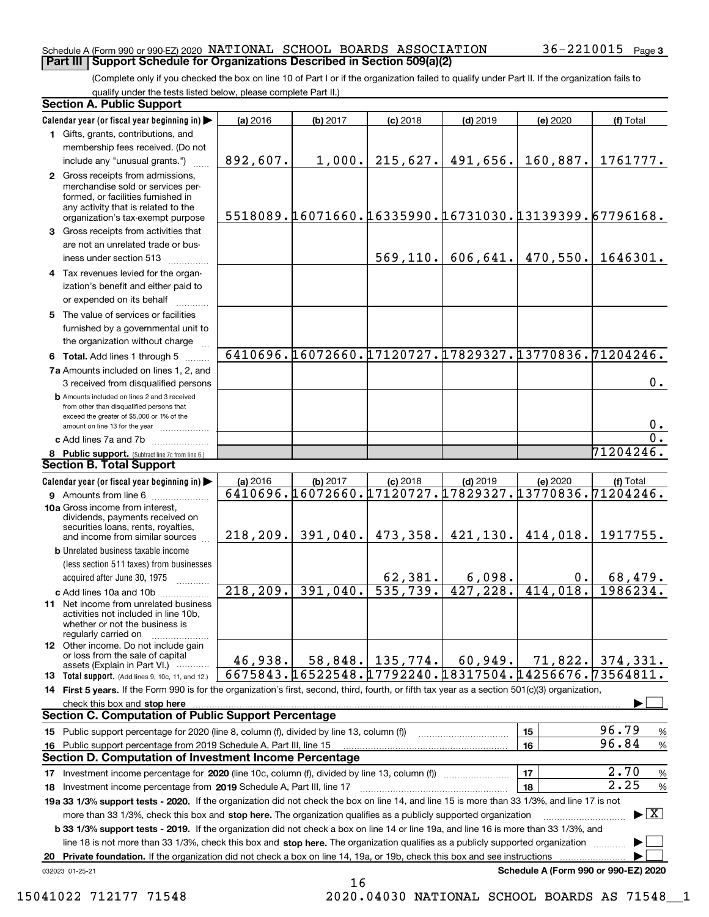#### Schedule A (Form 990 or 990-EZ) 2020  $\,$  <code>NATIONAL SCHOOL BOARDS</code> <code>ASSOCIATION</code>  $\,$  <code>36–2210015</code> <code> Page</code> **Part III Support Schedule for Organizations Described in Section 509(a)(2)**

(Complete only if you checked the box on line 10 of Part I or if the organization failed to qualify under Part II. If the organization fails to qualify under the tests listed below, please complete Part II.)

| Calendar year (or fiscal year beginning in)<br>$(a)$ 2016<br>(b) 2017<br>$(d)$ 2019<br>$(c)$ 2018<br>(e) 2020<br>1 Gifts, grants, contributions, and<br>membership fees received. (Do not<br>215,627.<br>491,656.<br>160,887.<br>892,607.<br>1,000.<br>include any "unusual grants.")<br>2 Gross receipts from admissions,<br>merchandise sold or services per-<br>formed, or facilities furnished in<br>any activity that is related to the<br>5518089. 16071660. 16335990. 16731030. 13139399. 67796168.<br>organization's tax-exempt purpose<br>3 Gross receipts from activities that<br>are not an unrelated trade or bus-<br>470,550.<br>569, 110.<br>606, 641.<br>iness under section 513<br>4 Tax revenues levied for the organ-<br>ization's benefit and either paid to<br>or expended on its behalf<br>5 The value of services or facilities<br>furnished by a governmental unit to<br>the organization without charge<br>6410696.16072660.17120727.17829327.13770836.71204246.<br>6 Total. Add lines 1 through 5<br>7a Amounts included on lines 1, 2, and<br>3 received from disqualified persons<br><b>b</b> Amounts included on lines 2 and 3 received<br>from other than disqualified persons that<br>exceed the greater of \$5,000 or 1% of the<br>amount on line 13 for the year<br>c Add lines 7a and 7b<br>8 Public support. (Subtract line 7c from line 6.)<br>Calendar year (or fiscal year beginning in)<br>$(c)$ 2018<br>$(d)$ 2019<br>(e) 2020<br>(a) 2016<br>(b) 2017 | (f) Total<br>1761777.<br>1646301.<br>$0$ .<br>0.<br>$\overline{0}$ .<br>71204246. |
|-----------------------------------------------------------------------------------------------------------------------------------------------------------------------------------------------------------------------------------------------------------------------------------------------------------------------------------------------------------------------------------------------------------------------------------------------------------------------------------------------------------------------------------------------------------------------------------------------------------------------------------------------------------------------------------------------------------------------------------------------------------------------------------------------------------------------------------------------------------------------------------------------------------------------------------------------------------------------------------------------------------------------------------------------------------------------------------------------------------------------------------------------------------------------------------------------------------------------------------------------------------------------------------------------------------------------------------------------------------------------------------------------------------------------------------------------------------------------------------------------|-----------------------------------------------------------------------------------|
|                                                                                                                                                                                                                                                                                                                                                                                                                                                                                                                                                                                                                                                                                                                                                                                                                                                                                                                                                                                                                                                                                                                                                                                                                                                                                                                                                                                                                                                                                               |                                                                                   |
|                                                                                                                                                                                                                                                                                                                                                                                                                                                                                                                                                                                                                                                                                                                                                                                                                                                                                                                                                                                                                                                                                                                                                                                                                                                                                                                                                                                                                                                                                               |                                                                                   |
| <b>Section B. Total Support</b>                                                                                                                                                                                                                                                                                                                                                                                                                                                                                                                                                                                                                                                                                                                                                                                                                                                                                                                                                                                                                                                                                                                                                                                                                                                                                                                                                                                                                                                               |                                                                                   |
|                                                                                                                                                                                                                                                                                                                                                                                                                                                                                                                                                                                                                                                                                                                                                                                                                                                                                                                                                                                                                                                                                                                                                                                                                                                                                                                                                                                                                                                                                               |                                                                                   |
|                                                                                                                                                                                                                                                                                                                                                                                                                                                                                                                                                                                                                                                                                                                                                                                                                                                                                                                                                                                                                                                                                                                                                                                                                                                                                                                                                                                                                                                                                               |                                                                                   |
|                                                                                                                                                                                                                                                                                                                                                                                                                                                                                                                                                                                                                                                                                                                                                                                                                                                                                                                                                                                                                                                                                                                                                                                                                                                                                                                                                                                                                                                                                               |                                                                                   |
|                                                                                                                                                                                                                                                                                                                                                                                                                                                                                                                                                                                                                                                                                                                                                                                                                                                                                                                                                                                                                                                                                                                                                                                                                                                                                                                                                                                                                                                                                               |                                                                                   |
|                                                                                                                                                                                                                                                                                                                                                                                                                                                                                                                                                                                                                                                                                                                                                                                                                                                                                                                                                                                                                                                                                                                                                                                                                                                                                                                                                                                                                                                                                               |                                                                                   |
|                                                                                                                                                                                                                                                                                                                                                                                                                                                                                                                                                                                                                                                                                                                                                                                                                                                                                                                                                                                                                                                                                                                                                                                                                                                                                                                                                                                                                                                                                               |                                                                                   |
|                                                                                                                                                                                                                                                                                                                                                                                                                                                                                                                                                                                                                                                                                                                                                                                                                                                                                                                                                                                                                                                                                                                                                                                                                                                                                                                                                                                                                                                                                               |                                                                                   |
|                                                                                                                                                                                                                                                                                                                                                                                                                                                                                                                                                                                                                                                                                                                                                                                                                                                                                                                                                                                                                                                                                                                                                                                                                                                                                                                                                                                                                                                                                               |                                                                                   |
|                                                                                                                                                                                                                                                                                                                                                                                                                                                                                                                                                                                                                                                                                                                                                                                                                                                                                                                                                                                                                                                                                                                                                                                                                                                                                                                                                                                                                                                                                               |                                                                                   |
|                                                                                                                                                                                                                                                                                                                                                                                                                                                                                                                                                                                                                                                                                                                                                                                                                                                                                                                                                                                                                                                                                                                                                                                                                                                                                                                                                                                                                                                                                               |                                                                                   |
|                                                                                                                                                                                                                                                                                                                                                                                                                                                                                                                                                                                                                                                                                                                                                                                                                                                                                                                                                                                                                                                                                                                                                                                                                                                                                                                                                                                                                                                                                               |                                                                                   |
|                                                                                                                                                                                                                                                                                                                                                                                                                                                                                                                                                                                                                                                                                                                                                                                                                                                                                                                                                                                                                                                                                                                                                                                                                                                                                                                                                                                                                                                                                               |                                                                                   |
|                                                                                                                                                                                                                                                                                                                                                                                                                                                                                                                                                                                                                                                                                                                                                                                                                                                                                                                                                                                                                                                                                                                                                                                                                                                                                                                                                                                                                                                                                               |                                                                                   |
|                                                                                                                                                                                                                                                                                                                                                                                                                                                                                                                                                                                                                                                                                                                                                                                                                                                                                                                                                                                                                                                                                                                                                                                                                                                                                                                                                                                                                                                                                               |                                                                                   |
|                                                                                                                                                                                                                                                                                                                                                                                                                                                                                                                                                                                                                                                                                                                                                                                                                                                                                                                                                                                                                                                                                                                                                                                                                                                                                                                                                                                                                                                                                               | (f) Total                                                                         |
| 6410696.16072660.17120727.17829327.13770836.71204246.<br>9 Amounts from line 6                                                                                                                                                                                                                                                                                                                                                                                                                                                                                                                                                                                                                                                                                                                                                                                                                                                                                                                                                                                                                                                                                                                                                                                                                                                                                                                                                                                                                |                                                                                   |
| 10a Gross income from interest,<br>dividends, payments received on<br>securities loans, rents, royalties,<br>473, 358.   421, 130.<br>$218, 209.$ 391,040.<br>414,018.<br>and income from similar sources                                                                                                                                                                                                                                                                                                                                                                                                                                                                                                                                                                                                                                                                                                                                                                                                                                                                                                                                                                                                                                                                                                                                                                                                                                                                                     | 1917755.                                                                          |
| <b>b</b> Unrelated business taxable income                                                                                                                                                                                                                                                                                                                                                                                                                                                                                                                                                                                                                                                                                                                                                                                                                                                                                                                                                                                                                                                                                                                                                                                                                                                                                                                                                                                                                                                    |                                                                                   |
| (less section 511 taxes) from businesses                                                                                                                                                                                                                                                                                                                                                                                                                                                                                                                                                                                                                                                                                                                                                                                                                                                                                                                                                                                                                                                                                                                                                                                                                                                                                                                                                                                                                                                      |                                                                                   |
| 62, 381.<br>6,098.<br>$0$ .<br>acquired after June 30, 1975                                                                                                                                                                                                                                                                                                                                                                                                                                                                                                                                                                                                                                                                                                                                                                                                                                                                                                                                                                                                                                                                                                                                                                                                                                                                                                                                                                                                                                   | 68,479.                                                                           |
| 535,739.<br>$\overline{218,209}.$<br>427, 228.<br>391,040.<br>414,018.<br>c Add lines 10a and 10b<br><b>11</b> Net income from unrelated business<br>activities not included in line 10b.<br>whether or not the business is<br>regularly carried on                                                                                                                                                                                                                                                                                                                                                                                                                                                                                                                                                                                                                                                                                                                                                                                                                                                                                                                                                                                                                                                                                                                                                                                                                                           | 1986234.                                                                          |
| <b>12</b> Other income. Do not include gain<br>or loss from the sale of capital<br>$58,848.$ 135,774.<br>60,949.<br>71,822.<br>46,938.<br>assets (Explain in Part VI.)                                                                                                                                                                                                                                                                                                                                                                                                                                                                                                                                                                                                                                                                                                                                                                                                                                                                                                                                                                                                                                                                                                                                                                                                                                                                                                                        | 374,331.                                                                          |
| 6675843. [16522548. [17792240. [18317504. [14256676. 73564811.<br><b>13</b> Total support. (Add lines 9, 10c, 11, and 12.)                                                                                                                                                                                                                                                                                                                                                                                                                                                                                                                                                                                                                                                                                                                                                                                                                                                                                                                                                                                                                                                                                                                                                                                                                                                                                                                                                                    |                                                                                   |
| 14 First 5 years. If the Form 990 is for the organization's first, second, third, fourth, or fifth tax year as a section 501(c)(3) organization,                                                                                                                                                                                                                                                                                                                                                                                                                                                                                                                                                                                                                                                                                                                                                                                                                                                                                                                                                                                                                                                                                                                                                                                                                                                                                                                                              |                                                                                   |
| check this box and stop here measurement and the control of the state of the control of the state of the control of the control of the control of the control of the control of the control of the control of the control of t                                                                                                                                                                                                                                                                                                                                                                                                                                                                                                                                                                                                                                                                                                                                                                                                                                                                                                                                                                                                                                                                                                                                                                                                                                                                |                                                                                   |
| <b>Section C. Computation of Public Support Percentage</b>                                                                                                                                                                                                                                                                                                                                                                                                                                                                                                                                                                                                                                                                                                                                                                                                                                                                                                                                                                                                                                                                                                                                                                                                                                                                                                                                                                                                                                    |                                                                                   |
| 15<br>15 Public support percentage for 2020 (line 8, column (f), divided by line 13, column (f))                                                                                                                                                                                                                                                                                                                                                                                                                                                                                                                                                                                                                                                                                                                                                                                                                                                                                                                                                                                                                                                                                                                                                                                                                                                                                                                                                                                              | 96.79<br>%                                                                        |
| 16<br>Public support percentage from 2019 Schedule A, Part III, line 15<br>16                                                                                                                                                                                                                                                                                                                                                                                                                                                                                                                                                                                                                                                                                                                                                                                                                                                                                                                                                                                                                                                                                                                                                                                                                                                                                                                                                                                                                 | 96.84<br>$\%$                                                                     |
| Section D. Computation of Investment Income Percentage                                                                                                                                                                                                                                                                                                                                                                                                                                                                                                                                                                                                                                                                                                                                                                                                                                                                                                                                                                                                                                                                                                                                                                                                                                                                                                                                                                                                                                        |                                                                                   |
| 17<br>17 Investment income percentage for 2020 (line 10c, column (f), divided by line 13, column (f))                                                                                                                                                                                                                                                                                                                                                                                                                                                                                                                                                                                                                                                                                                                                                                                                                                                                                                                                                                                                                                                                                                                                                                                                                                                                                                                                                                                         | 2.70<br>%<br>2.25                                                                 |
| 18<br>18 Investment income percentage from 2019 Schedule A, Part III, line 17                                                                                                                                                                                                                                                                                                                                                                                                                                                                                                                                                                                                                                                                                                                                                                                                                                                                                                                                                                                                                                                                                                                                                                                                                                                                                                                                                                                                                 | %                                                                                 |
| 19a 33 1/3% support tests - 2020. If the organization did not check the box on line 14, and line 15 is more than 33 1/3%, and line 17 is not                                                                                                                                                                                                                                                                                                                                                                                                                                                                                                                                                                                                                                                                                                                                                                                                                                                                                                                                                                                                                                                                                                                                                                                                                                                                                                                                                  | $\blacktriangleright$ $\boxed{\text{X}}$                                          |
| more than 33 1/3%, check this box and stop here. The organization qualifies as a publicly supported organization<br>b 33 1/3% support tests - 2019. If the organization did not check a box on line 14 or line 19a, and line 16 is more than 33 1/3%, and                                                                                                                                                                                                                                                                                                                                                                                                                                                                                                                                                                                                                                                                                                                                                                                                                                                                                                                                                                                                                                                                                                                                                                                                                                     |                                                                                   |
| line 18 is not more than 33 1/3%, check this box and stop here. The organization qualifies as a publicly supported organization                                                                                                                                                                                                                                                                                                                                                                                                                                                                                                                                                                                                                                                                                                                                                                                                                                                                                                                                                                                                                                                                                                                                                                                                                                                                                                                                                               |                                                                                   |
| Private foundation. If the organization did not check a box on line 14, 19a, or 19b, check this box and see instructions<br>20                                                                                                                                                                                                                                                                                                                                                                                                                                                                                                                                                                                                                                                                                                                                                                                                                                                                                                                                                                                                                                                                                                                                                                                                                                                                                                                                                                |                                                                                   |
| Schedule A (Form 990 or 990-EZ) 2020<br>032023 01-25-21                                                                                                                                                                                                                                                                                                                                                                                                                                                                                                                                                                                                                                                                                                                                                                                                                                                                                                                                                                                                                                                                                                                                                                                                                                                                                                                                                                                                                                       |                                                                                   |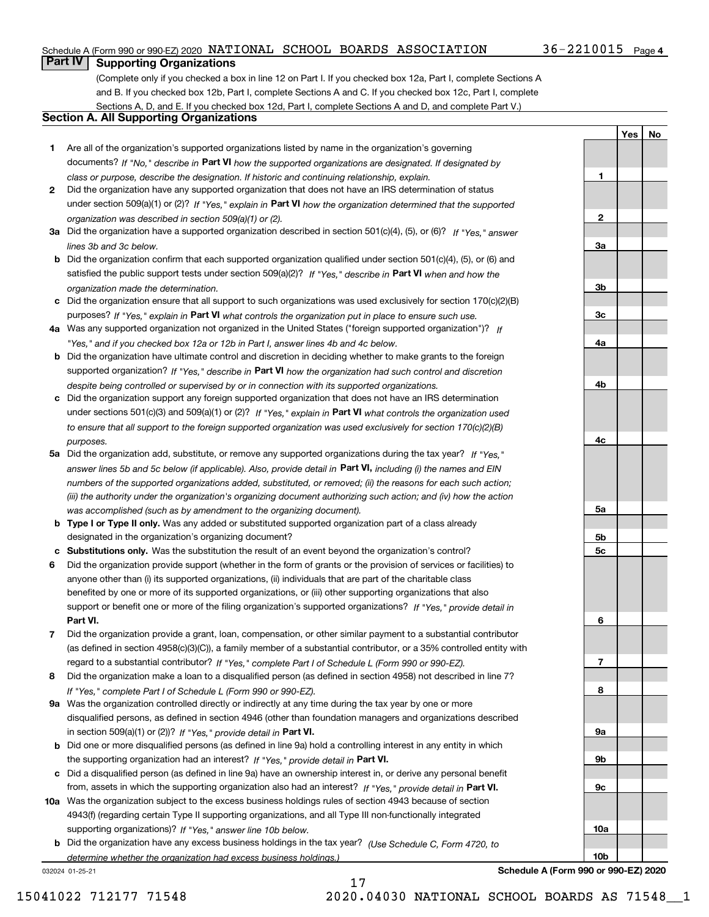#### Schedule A (Form 990 or 990-EZ) 2020  $\,$  <code>NATIONAL SCHOOL BOARDS</code> <code>ASSOCIATION</code>  $\,$  <code>36–2210015</code> <code> Page</code>

#### 36-2210015 Page 4

**1**

**2**

**3a**

**YesNo**

## **Part IV Supporting Organizations**

(Complete only if you checked a box in line 12 on Part I. If you checked box 12a, Part I, complete Sections A and B. If you checked box 12b, Part I, complete Sections A and C. If you checked box 12c, Part I, complete Sections A, D, and E. If you checked box 12d, Part I, complete Sections A and D, and complete Part V.)

#### **Section A. All Supporting Organizations**

- **1** Are all of the organization's supported organizations listed by name in the organization's governing documents? If "No," describe in **Part VI** how the supported organizations are designated. If designated by *class or purpose, describe the designation. If historic and continuing relationship, explain.*
- **2** Did the organization have any supported organization that does not have an IRS determination of status under section 509(a)(1) or (2)? If "Yes," explain in Part VI how the organization determined that the supported *organization was described in section 509(a)(1) or (2).*
- **3a** Did the organization have a supported organization described in section 501(c)(4), (5), or (6)? If "Yes," answer *lines 3b and 3c below.*
- **b** Did the organization confirm that each supported organization qualified under section 501(c)(4), (5), or (6) and satisfied the public support tests under section 509(a)(2)? If "Yes," describe in **Part VI** when and how the *organization made the determination.*
- **c**Did the organization ensure that all support to such organizations was used exclusively for section 170(c)(2)(B) purposes? If "Yes," explain in **Part VI** what controls the organization put in place to ensure such use.
- **4a***If* Was any supported organization not organized in the United States ("foreign supported organization")? *"Yes," and if you checked box 12a or 12b in Part I, answer lines 4b and 4c below.*
- **b** Did the organization have ultimate control and discretion in deciding whether to make grants to the foreign supported organization? If "Yes," describe in **Part VI** how the organization had such control and discretion *despite being controlled or supervised by or in connection with its supported organizations.*
- **c** Did the organization support any foreign supported organization that does not have an IRS determination under sections 501(c)(3) and 509(a)(1) or (2)? If "Yes," explain in **Part VI** what controls the organization used *to ensure that all support to the foreign supported organization was used exclusively for section 170(c)(2)(B) purposes.*
- **5a** Did the organization add, substitute, or remove any supported organizations during the tax year? If "Yes," answer lines 5b and 5c below (if applicable). Also, provide detail in **Part VI,** including (i) the names and EIN *numbers of the supported organizations added, substituted, or removed; (ii) the reasons for each such action; (iii) the authority under the organization's organizing document authorizing such action; and (iv) how the action was accomplished (such as by amendment to the organizing document).*
- **b** Type I or Type II only. Was any added or substituted supported organization part of a class already designated in the organization's organizing document?
- **cSubstitutions only.**  Was the substitution the result of an event beyond the organization's control?
- **6** Did the organization provide support (whether in the form of grants or the provision of services or facilities) to **Part VI.** *If "Yes," provide detail in* support or benefit one or more of the filing organization's supported organizations? anyone other than (i) its supported organizations, (ii) individuals that are part of the charitable class benefited by one or more of its supported organizations, or (iii) other supporting organizations that also
- **7**Did the organization provide a grant, loan, compensation, or other similar payment to a substantial contributor *If "Yes," complete Part I of Schedule L (Form 990 or 990-EZ).* regard to a substantial contributor? (as defined in section 4958(c)(3)(C)), a family member of a substantial contributor, or a 35% controlled entity with
- **8** Did the organization make a loan to a disqualified person (as defined in section 4958) not described in line 7? *If "Yes," complete Part I of Schedule L (Form 990 or 990-EZ).*
- **9a** Was the organization controlled directly or indirectly at any time during the tax year by one or more in section 509(a)(1) or (2))? If "Yes," *provide detail in* <code>Part VI.</code> disqualified persons, as defined in section 4946 (other than foundation managers and organizations described
- **b** Did one or more disqualified persons (as defined in line 9a) hold a controlling interest in any entity in which the supporting organization had an interest? If "Yes," provide detail in P**art VI**.
- **c**Did a disqualified person (as defined in line 9a) have an ownership interest in, or derive any personal benefit from, assets in which the supporting organization also had an interest? If "Yes," provide detail in P**art VI.**
- **10a** Was the organization subject to the excess business holdings rules of section 4943 because of section supporting organizations)? If "Yes," answer line 10b below. 4943(f) (regarding certain Type II supporting organizations, and all Type III non-functionally integrated
- **b** Did the organization have any excess business holdings in the tax year? (Use Schedule C, Form 4720, to *determine whether the organization had excess business holdings.)*

032024 01-25-21



**Schedule A (Form 990 or 990-EZ) 2020**

15041022 712177 71548 2020.04030 NATIONAL SCHOOL BOARDS AS 71548\_\_1

17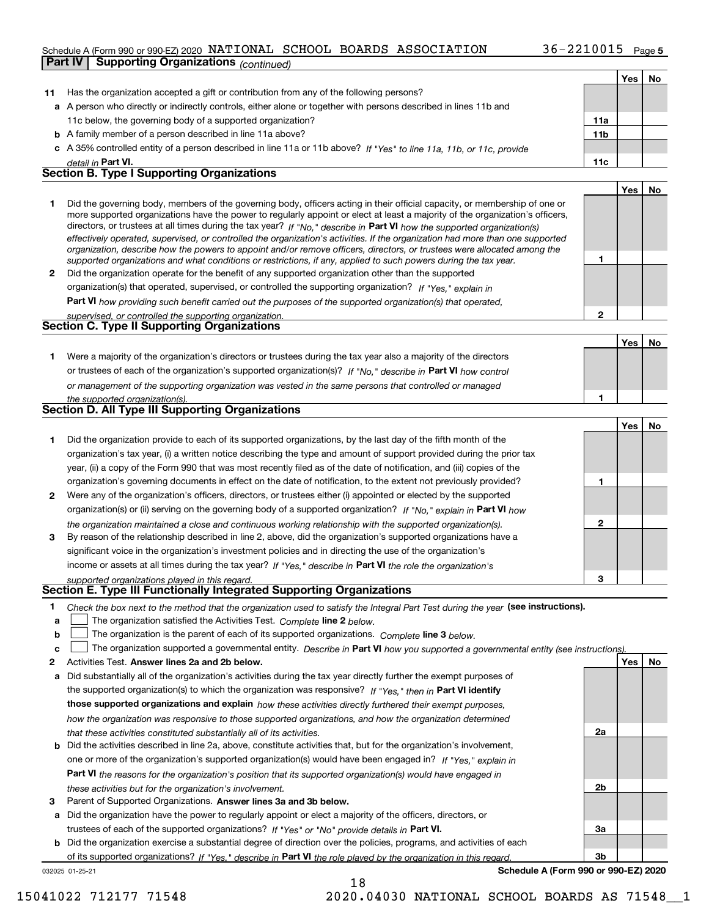#### Schedule A (Form 990 or 990-EZ) 2020  $\,$  <code>NATIONAL SCHOOL BOARDS</code> <code>ASSOCIATION</code>  $\,$  <code>36–2210015</code> <code> Page</code> **Part IV Supporting Organizations** *(continued)*

|              |                                                                                                                                                                                                                                                            |                 | Yes | No |
|--------------|------------------------------------------------------------------------------------------------------------------------------------------------------------------------------------------------------------------------------------------------------------|-----------------|-----|----|
| 11           | Has the organization accepted a gift or contribution from any of the following persons?                                                                                                                                                                    |                 |     |    |
|              | a A person who directly or indirectly controls, either alone or together with persons described in lines 11b and                                                                                                                                           |                 |     |    |
|              | 11c below, the governing body of a supported organization?                                                                                                                                                                                                 | 11a             |     |    |
|              | <b>b</b> A family member of a person described in line 11a above?                                                                                                                                                                                          | 11 <sub>b</sub> |     |    |
|              | c A 35% controlled entity of a person described in line 11a or 11b above? If "Yes" to line 11a, 11b, or 11c, provide                                                                                                                                       |                 |     |    |
|              | detail in Part VI.                                                                                                                                                                                                                                         | 11c             |     |    |
|              | <b>Section B. Type I Supporting Organizations</b>                                                                                                                                                                                                          |                 |     |    |
|              |                                                                                                                                                                                                                                                            |                 | Yes | No |
| 1            | Did the governing body, members of the governing body, officers acting in their official capacity, or membership of one or                                                                                                                                 |                 |     |    |
|              | more supported organizations have the power to regularly appoint or elect at least a majority of the organization's officers,                                                                                                                              |                 |     |    |
|              | directors, or trustees at all times during the tax year? If "No," describe in Part VI how the supported organization(s)                                                                                                                                    |                 |     |    |
|              | effectively operated, supervised, or controlled the organization's activities. If the organization had more than one supported<br>organization, describe how the powers to appoint and/or remove officers, directors, or trustees were allocated among the |                 |     |    |
|              | supported organizations and what conditions or restrictions, if any, applied to such powers during the tax year.                                                                                                                                           | 1               |     |    |
| $\mathbf{2}$ | Did the organization operate for the benefit of any supported organization other than the supported                                                                                                                                                        |                 |     |    |
|              | organization(s) that operated, supervised, or controlled the supporting organization? If "Yes," explain in                                                                                                                                                 |                 |     |    |
|              | Part VI how providing such benefit carried out the purposes of the supported organization(s) that operated,                                                                                                                                                |                 |     |    |
|              | supervised, or controlled the supporting organization.                                                                                                                                                                                                     | $\mathbf{2}$    |     |    |
|              | <b>Section C. Type II Supporting Organizations</b>                                                                                                                                                                                                         |                 |     |    |
|              |                                                                                                                                                                                                                                                            |                 | Yes | No |
| 1            | Were a majority of the organization's directors or trustees during the tax year also a majority of the directors                                                                                                                                           |                 |     |    |
|              | or trustees of each of the organization's supported organization(s)? If "No," describe in Part VI how control                                                                                                                                              |                 |     |    |
|              | or management of the supporting organization was vested in the same persons that controlled or managed                                                                                                                                                     |                 |     |    |
|              | the supported organization(s).                                                                                                                                                                                                                             | 1               |     |    |
|              | <b>Section D. All Type III Supporting Organizations</b>                                                                                                                                                                                                    |                 |     |    |
|              |                                                                                                                                                                                                                                                            |                 | Yes | No |
| 1            | Did the organization provide to each of its supported organizations, by the last day of the fifth month of the                                                                                                                                             |                 |     |    |
|              | organization's tax year, (i) a written notice describing the type and amount of support provided during the prior tax                                                                                                                                      |                 |     |    |
|              | year, (ii) a copy of the Form 990 that was most recently filed as of the date of notification, and (iii) copies of the                                                                                                                                     |                 |     |    |
|              | organization's governing documents in effect on the date of notification, to the extent not previously provided?                                                                                                                                           | 1               |     |    |
| 2            | Were any of the organization's officers, directors, or trustees either (i) appointed or elected by the supported                                                                                                                                           |                 |     |    |
|              | organization(s) or (ii) serving on the governing body of a supported organization? If "No," explain in Part VI how                                                                                                                                         |                 |     |    |
|              | the organization maintained a close and continuous working relationship with the supported organization(s).                                                                                                                                                | 2               |     |    |
| 3            | By reason of the relationship described in line 2, above, did the organization's supported organizations have a                                                                                                                                            |                 |     |    |
|              | significant voice in the organization's investment policies and in directing the use of the organization's                                                                                                                                                 |                 |     |    |
|              | income or assets at all times during the tax year? If "Yes," describe in Part VI the role the organization's                                                                                                                                               |                 |     |    |
|              | supported organizations played in this regard.                                                                                                                                                                                                             | 3               |     |    |
|              | Section E. Type III Functionally Integrated Supporting Organizations                                                                                                                                                                                       |                 |     |    |
| 1            | Check the box next to the method that the organization used to satisfy the Integral Part Test during the year (see instructions).                                                                                                                          |                 |     |    |
| a            | The organization satisfied the Activities Test. Complete line 2 below.                                                                                                                                                                                     |                 |     |    |
| b            | The organization is the parent of each of its supported organizations. Complete line 3 below.                                                                                                                                                              |                 |     |    |
| c            | The organization supported a governmental entity. Describe in Part VI how you supported a governmental entity (see instructions)                                                                                                                           |                 |     |    |
| 2            | Activities Test. Answer lines 2a and 2b below.                                                                                                                                                                                                             |                 | Yes | No |
| а            | Did substantially all of the organization's activities during the tax year directly further the exempt purposes of                                                                                                                                         |                 |     |    |
|              | the supported organization(s) to which the organization was responsive? If "Yes," then in Part VI identify                                                                                                                                                 |                 |     |    |
|              | those supported organizations and explain how these activities directly furthered their exempt purposes,                                                                                                                                                   |                 |     |    |
|              | how the organization was responsive to those supported organizations, and how the organization determined                                                                                                                                                  |                 |     |    |
|              | that these activities constituted substantially all of its activities.                                                                                                                                                                                     | 2a              |     |    |
| b            | Did the activities described in line 2a, above, constitute activities that, but for the organization's involvement,                                                                                                                                        |                 |     |    |
|              | one or more of the organization's supported organization(s) would have been engaged in? If "Yes," explain in                                                                                                                                               |                 |     |    |
|              | Part VI the reasons for the organization's position that its supported organization(s) would have engaged in                                                                                                                                               |                 |     |    |
|              | these activities but for the organization's involvement.                                                                                                                                                                                                   | 2 <sub>b</sub>  |     |    |
| з            | Parent of Supported Organizations. Answer lines 3a and 3b below.                                                                                                                                                                                           |                 |     |    |
| а            | Did the organization have the power to regularly appoint or elect a majority of the officers, directors, or                                                                                                                                                |                 |     |    |
|              | trustees of each of the supported organizations? If "Yes" or "No" provide details in Part VI.                                                                                                                                                              | 3a              |     |    |

**b** Did the organization exercise a substantial degree of direction over the policies, programs, and activities of each trustees of each of the supported organizations? If "Yes" or "No" provide details in P**art VI.** of its supported organizations? If "Yes," describe in Part VI the role played by the organization in this regard.

032025 01-25-21

**Schedule A (Form 990 or 990-EZ) 2020**

**3b**

18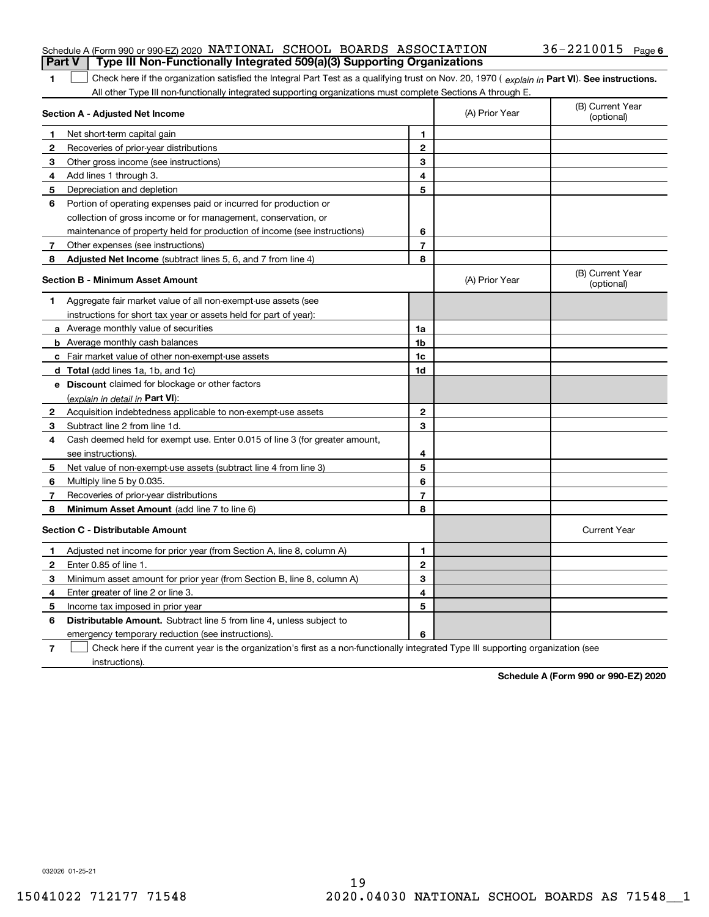#### Schedule A (Form 990 or 990-EZ) 2020  $\,$  <code>NATIONAL SCHOOL BOARDS</code> <code>ASSOCIATION</code>  $\,$  <code>36–2210015</code> <code> Page</code> **Part V Type III Non-Functionally Integrated 509(a)(3) Supporting Organizations**

1 Check here if the organization satisfied the Integral Part Test as a qualifying trust on Nov. 20, 1970 (explain in Part VI). See instructions. All other Type III non-functionally integrated supporting organizations must complete Sections A through E.

|    | Section A - Adjusted Net Income                                                                                                   | (A) Prior Year | (B) Current Year<br>(optional) |                                |
|----|-----------------------------------------------------------------------------------------------------------------------------------|----------------|--------------------------------|--------------------------------|
| 1  | Net short-term capital gain                                                                                                       | 1              |                                |                                |
| 2  | Recoveries of prior-year distributions                                                                                            | $\mathbf{2}$   |                                |                                |
| 3  | Other gross income (see instructions)                                                                                             | 3              |                                |                                |
| 4  | Add lines 1 through 3.                                                                                                            | 4              |                                |                                |
| 5  | Depreciation and depletion                                                                                                        | 5              |                                |                                |
| 6  | Portion of operating expenses paid or incurred for production or                                                                  |                |                                |                                |
|    | collection of gross income or for management, conservation, or                                                                    |                |                                |                                |
|    | maintenance of property held for production of income (see instructions)                                                          | 6              |                                |                                |
| 7  | Other expenses (see instructions)                                                                                                 | $\overline{7}$ |                                |                                |
| 8  | Adjusted Net Income (subtract lines 5, 6, and 7 from line 4)                                                                      | 8              |                                |                                |
|    | <b>Section B - Minimum Asset Amount</b>                                                                                           |                | (A) Prior Year                 | (B) Current Year<br>(optional) |
| 1  | Aggregate fair market value of all non-exempt-use assets (see                                                                     |                |                                |                                |
|    | instructions for short tax year or assets held for part of year):                                                                 |                |                                |                                |
|    | <b>a</b> Average monthly value of securities                                                                                      | 1a             |                                |                                |
|    | <b>b</b> Average monthly cash balances                                                                                            | 1 <sub>b</sub> |                                |                                |
|    | c Fair market value of other non-exempt-use assets                                                                                | 1c             |                                |                                |
|    | <b>d</b> Total (add lines 1a, 1b, and 1c)                                                                                         | 1d             |                                |                                |
|    | e Discount claimed for blockage or other factors                                                                                  |                |                                |                                |
|    | (explain in detail in Part VI):                                                                                                   |                |                                |                                |
| 2  | Acquisition indebtedness applicable to non-exempt-use assets                                                                      | $\mathbf{2}$   |                                |                                |
| З. | Subtract line 2 from line 1d.                                                                                                     | 3              |                                |                                |
| 4  | Cash deemed held for exempt use. Enter 0.015 of line 3 (for greater amount,                                                       |                |                                |                                |
|    | see instructions).                                                                                                                | 4              |                                |                                |
| 5  | Net value of non-exempt-use assets (subtract line 4 from line 3)                                                                  | 5              |                                |                                |
| 6  | Multiply line 5 by 0.035.                                                                                                         | 6              |                                |                                |
| 7  | Recoveries of prior-year distributions                                                                                            | $\overline{7}$ |                                |                                |
| 8  | Minimum Asset Amount (add line 7 to line 6)                                                                                       | 8              |                                |                                |
|    | <b>Section C - Distributable Amount</b>                                                                                           |                |                                | <b>Current Year</b>            |
| 1  | Adjusted net income for prior year (from Section A, line 8, column A)                                                             | 1              |                                |                                |
| 2  | Enter 0.85 of line 1.                                                                                                             | $\overline{2}$ |                                |                                |
| 3  | Minimum asset amount for prior year (from Section B, line 8, column A)                                                            | 3              |                                |                                |
| 4  | Enter greater of line 2 or line 3.                                                                                                | 4              |                                |                                |
| 5  | Income tax imposed in prior year                                                                                                  | 5              |                                |                                |
| 6  | <b>Distributable Amount.</b> Subtract line 5 from line 4, unless subject to                                                       |                |                                |                                |
|    | emergency temporary reduction (see instructions).                                                                                 | 6              |                                |                                |
| 7  | Check here if the current year is the organization's first as a non-functionally integrated Type III supporting organization (see |                |                                |                                |

instructions).

**1**

**Schedule A (Form 990 or 990-EZ) 2020**

032026 01-25-21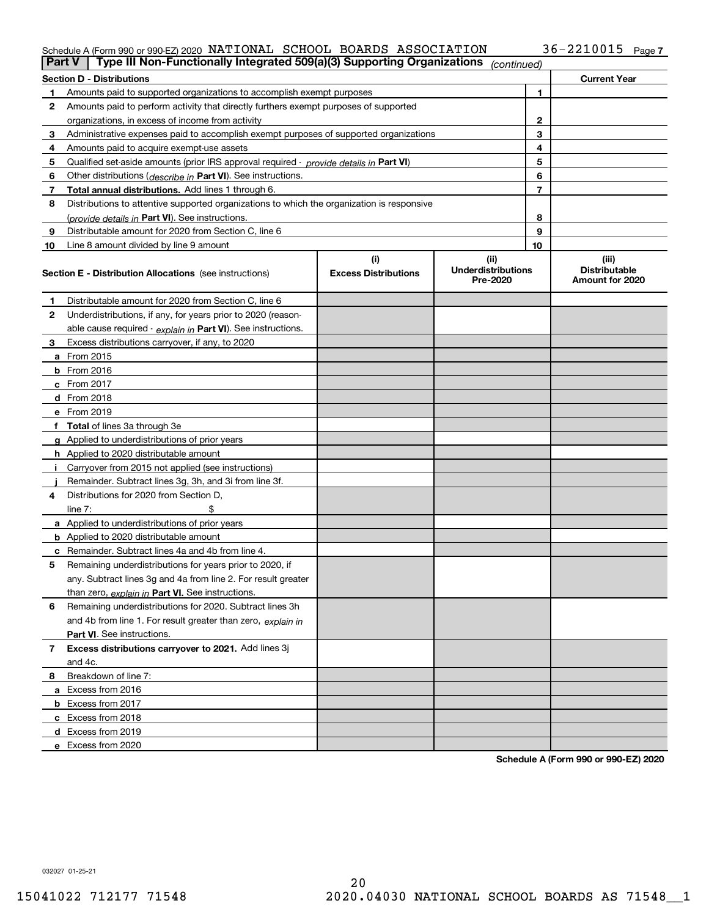#### Schedule A (Form 990 or 990-EZ) 2020 NATIONAL SCHOOL BOARDS ASSOCIATION 36-22I00I5 Page NATIONAL SCHOOL BOARDS ASSOCIATION 36-2210015

| <b>Section D - Distributions</b><br><b>Current Year</b><br>1<br>Amounts paid to supported organizations to accomplish exempt purposes<br>1.<br>Amounts paid to perform activity that directly furthers exempt purposes of supported<br>2<br>2<br>organizations, in excess of income from activity<br>3<br>Administrative expenses paid to accomplish exempt purposes of supported organizations<br>3<br>4<br>Amounts paid to acquire exempt-use assets<br>4<br>5<br>5<br>Qualified set-aside amounts (prior IRS approval required - provide details in Part VI)<br>6<br>Other distributions ( <i>describe in</i> Part VI). See instructions.<br>6<br>7<br>Total annual distributions. Add lines 1 through 6.<br>7<br>8<br>Distributions to attentive supported organizations to which the organization is responsive<br>8<br>(provide details in Part VI). See instructions.<br>9<br>Distributable amount for 2020 from Section C, line 6<br>9<br>10<br>Line 8 amount divided by line 9 amount<br>10<br>(i)<br>(ii)<br>(iii)<br><b>Underdistributions</b><br><b>Distributable</b><br><b>Excess Distributions</b><br><b>Section E - Distribution Allocations</b> (see instructions)<br>Pre-2020<br>Amount for 2020<br>Distributable amount for 2020 from Section C, line 6<br>1<br>2<br>Underdistributions, if any, for years prior to 2020 (reason-<br>able cause required - explain in Part VI). See instructions.<br>Excess distributions carryover, if any, to 2020<br>3<br>a From 2015<br><b>b</b> From 2016<br>$c$ From 2017<br><b>d</b> From 2018<br>e From 2019<br>f Total of lines 3a through 3e<br>g Applied to underdistributions of prior years<br><b>h</b> Applied to 2020 distributable amount<br>Carryover from 2015 not applied (see instructions)<br>Remainder. Subtract lines 3g, 3h, and 3i from line 3f.<br>Distributions for 2020 from Section D,<br>4<br>line $7:$<br>a Applied to underdistributions of prior years<br><b>b</b> Applied to 2020 distributable amount<br>c Remainder. Subtract lines 4a and 4b from line 4.<br>Remaining underdistributions for years prior to 2020, if<br>5<br>any. Subtract lines 3g and 4a from line 2. For result greater<br>than zero, explain in Part VI. See instructions.<br>Remaining underdistributions for 2020. Subtract lines 3h<br>6<br>and 4b from line 1. For result greater than zero, explain in<br>Part VI. See instructions.<br>Excess distributions carryover to 2021. Add lines 3j<br>$\overline{7}$<br>and 4c.<br>Breakdown of line 7:<br>8<br>a Excess from 2016<br><b>b</b> Excess from 2017<br>c Excess from 2018<br>d Excess from 2019 | Part V | Type III Non-Functionally Integrated 509(a)(3) Supporting Organizations |  | (continued) |  |
|------------------------------------------------------------------------------------------------------------------------------------------------------------------------------------------------------------------------------------------------------------------------------------------------------------------------------------------------------------------------------------------------------------------------------------------------------------------------------------------------------------------------------------------------------------------------------------------------------------------------------------------------------------------------------------------------------------------------------------------------------------------------------------------------------------------------------------------------------------------------------------------------------------------------------------------------------------------------------------------------------------------------------------------------------------------------------------------------------------------------------------------------------------------------------------------------------------------------------------------------------------------------------------------------------------------------------------------------------------------------------------------------------------------------------------------------------------------------------------------------------------------------------------------------------------------------------------------------------------------------------------------------------------------------------------------------------------------------------------------------------------------------------------------------------------------------------------------------------------------------------------------------------------------------------------------------------------------------------------------------------------------------------------------------------------------------------------------------------------------------------------------------------------------------------------------------------------------------------------------------------------------------------------------------------------------------------------------------------------------------------------------------------------------------------------------------------------------------------------------------------------------------------------------------------------------------------------------------------------------------|--------|-------------------------------------------------------------------------|--|-------------|--|
|                                                                                                                                                                                                                                                                                                                                                                                                                                                                                                                                                                                                                                                                                                                                                                                                                                                                                                                                                                                                                                                                                                                                                                                                                                                                                                                                                                                                                                                                                                                                                                                                                                                                                                                                                                                                                                                                                                                                                                                                                                                                                                                                                                                                                                                                                                                                                                                                                                                                                                                                                                                                                        |        |                                                                         |  |             |  |
|                                                                                                                                                                                                                                                                                                                                                                                                                                                                                                                                                                                                                                                                                                                                                                                                                                                                                                                                                                                                                                                                                                                                                                                                                                                                                                                                                                                                                                                                                                                                                                                                                                                                                                                                                                                                                                                                                                                                                                                                                                                                                                                                                                                                                                                                                                                                                                                                                                                                                                                                                                                                                        |        |                                                                         |  |             |  |
|                                                                                                                                                                                                                                                                                                                                                                                                                                                                                                                                                                                                                                                                                                                                                                                                                                                                                                                                                                                                                                                                                                                                                                                                                                                                                                                                                                                                                                                                                                                                                                                                                                                                                                                                                                                                                                                                                                                                                                                                                                                                                                                                                                                                                                                                                                                                                                                                                                                                                                                                                                                                                        |        |                                                                         |  |             |  |
|                                                                                                                                                                                                                                                                                                                                                                                                                                                                                                                                                                                                                                                                                                                                                                                                                                                                                                                                                                                                                                                                                                                                                                                                                                                                                                                                                                                                                                                                                                                                                                                                                                                                                                                                                                                                                                                                                                                                                                                                                                                                                                                                                                                                                                                                                                                                                                                                                                                                                                                                                                                                                        |        |                                                                         |  |             |  |
|                                                                                                                                                                                                                                                                                                                                                                                                                                                                                                                                                                                                                                                                                                                                                                                                                                                                                                                                                                                                                                                                                                                                                                                                                                                                                                                                                                                                                                                                                                                                                                                                                                                                                                                                                                                                                                                                                                                                                                                                                                                                                                                                                                                                                                                                                                                                                                                                                                                                                                                                                                                                                        |        |                                                                         |  |             |  |
|                                                                                                                                                                                                                                                                                                                                                                                                                                                                                                                                                                                                                                                                                                                                                                                                                                                                                                                                                                                                                                                                                                                                                                                                                                                                                                                                                                                                                                                                                                                                                                                                                                                                                                                                                                                                                                                                                                                                                                                                                                                                                                                                                                                                                                                                                                                                                                                                                                                                                                                                                                                                                        |        |                                                                         |  |             |  |
|                                                                                                                                                                                                                                                                                                                                                                                                                                                                                                                                                                                                                                                                                                                                                                                                                                                                                                                                                                                                                                                                                                                                                                                                                                                                                                                                                                                                                                                                                                                                                                                                                                                                                                                                                                                                                                                                                                                                                                                                                                                                                                                                                                                                                                                                                                                                                                                                                                                                                                                                                                                                                        |        |                                                                         |  |             |  |
|                                                                                                                                                                                                                                                                                                                                                                                                                                                                                                                                                                                                                                                                                                                                                                                                                                                                                                                                                                                                                                                                                                                                                                                                                                                                                                                                                                                                                                                                                                                                                                                                                                                                                                                                                                                                                                                                                                                                                                                                                                                                                                                                                                                                                                                                                                                                                                                                                                                                                                                                                                                                                        |        |                                                                         |  |             |  |
|                                                                                                                                                                                                                                                                                                                                                                                                                                                                                                                                                                                                                                                                                                                                                                                                                                                                                                                                                                                                                                                                                                                                                                                                                                                                                                                                                                                                                                                                                                                                                                                                                                                                                                                                                                                                                                                                                                                                                                                                                                                                                                                                                                                                                                                                                                                                                                                                                                                                                                                                                                                                                        |        |                                                                         |  |             |  |
|                                                                                                                                                                                                                                                                                                                                                                                                                                                                                                                                                                                                                                                                                                                                                                                                                                                                                                                                                                                                                                                                                                                                                                                                                                                                                                                                                                                                                                                                                                                                                                                                                                                                                                                                                                                                                                                                                                                                                                                                                                                                                                                                                                                                                                                                                                                                                                                                                                                                                                                                                                                                                        |        |                                                                         |  |             |  |
|                                                                                                                                                                                                                                                                                                                                                                                                                                                                                                                                                                                                                                                                                                                                                                                                                                                                                                                                                                                                                                                                                                                                                                                                                                                                                                                                                                                                                                                                                                                                                                                                                                                                                                                                                                                                                                                                                                                                                                                                                                                                                                                                                                                                                                                                                                                                                                                                                                                                                                                                                                                                                        |        |                                                                         |  |             |  |
|                                                                                                                                                                                                                                                                                                                                                                                                                                                                                                                                                                                                                                                                                                                                                                                                                                                                                                                                                                                                                                                                                                                                                                                                                                                                                                                                                                                                                                                                                                                                                                                                                                                                                                                                                                                                                                                                                                                                                                                                                                                                                                                                                                                                                                                                                                                                                                                                                                                                                                                                                                                                                        |        |                                                                         |  |             |  |
|                                                                                                                                                                                                                                                                                                                                                                                                                                                                                                                                                                                                                                                                                                                                                                                                                                                                                                                                                                                                                                                                                                                                                                                                                                                                                                                                                                                                                                                                                                                                                                                                                                                                                                                                                                                                                                                                                                                                                                                                                                                                                                                                                                                                                                                                                                                                                                                                                                                                                                                                                                                                                        |        |                                                                         |  |             |  |
|                                                                                                                                                                                                                                                                                                                                                                                                                                                                                                                                                                                                                                                                                                                                                                                                                                                                                                                                                                                                                                                                                                                                                                                                                                                                                                                                                                                                                                                                                                                                                                                                                                                                                                                                                                                                                                                                                                                                                                                                                                                                                                                                                                                                                                                                                                                                                                                                                                                                                                                                                                                                                        |        |                                                                         |  |             |  |
|                                                                                                                                                                                                                                                                                                                                                                                                                                                                                                                                                                                                                                                                                                                                                                                                                                                                                                                                                                                                                                                                                                                                                                                                                                                                                                                                                                                                                                                                                                                                                                                                                                                                                                                                                                                                                                                                                                                                                                                                                                                                                                                                                                                                                                                                                                                                                                                                                                                                                                                                                                                                                        |        |                                                                         |  |             |  |
|                                                                                                                                                                                                                                                                                                                                                                                                                                                                                                                                                                                                                                                                                                                                                                                                                                                                                                                                                                                                                                                                                                                                                                                                                                                                                                                                                                                                                                                                                                                                                                                                                                                                                                                                                                                                                                                                                                                                                                                                                                                                                                                                                                                                                                                                                                                                                                                                                                                                                                                                                                                                                        |        |                                                                         |  |             |  |
|                                                                                                                                                                                                                                                                                                                                                                                                                                                                                                                                                                                                                                                                                                                                                                                                                                                                                                                                                                                                                                                                                                                                                                                                                                                                                                                                                                                                                                                                                                                                                                                                                                                                                                                                                                                                                                                                                                                                                                                                                                                                                                                                                                                                                                                                                                                                                                                                                                                                                                                                                                                                                        |        |                                                                         |  |             |  |
|                                                                                                                                                                                                                                                                                                                                                                                                                                                                                                                                                                                                                                                                                                                                                                                                                                                                                                                                                                                                                                                                                                                                                                                                                                                                                                                                                                                                                                                                                                                                                                                                                                                                                                                                                                                                                                                                                                                                                                                                                                                                                                                                                                                                                                                                                                                                                                                                                                                                                                                                                                                                                        |        |                                                                         |  |             |  |
|                                                                                                                                                                                                                                                                                                                                                                                                                                                                                                                                                                                                                                                                                                                                                                                                                                                                                                                                                                                                                                                                                                                                                                                                                                                                                                                                                                                                                                                                                                                                                                                                                                                                                                                                                                                                                                                                                                                                                                                                                                                                                                                                                                                                                                                                                                                                                                                                                                                                                                                                                                                                                        |        |                                                                         |  |             |  |
|                                                                                                                                                                                                                                                                                                                                                                                                                                                                                                                                                                                                                                                                                                                                                                                                                                                                                                                                                                                                                                                                                                                                                                                                                                                                                                                                                                                                                                                                                                                                                                                                                                                                                                                                                                                                                                                                                                                                                                                                                                                                                                                                                                                                                                                                                                                                                                                                                                                                                                                                                                                                                        |        |                                                                         |  |             |  |
|                                                                                                                                                                                                                                                                                                                                                                                                                                                                                                                                                                                                                                                                                                                                                                                                                                                                                                                                                                                                                                                                                                                                                                                                                                                                                                                                                                                                                                                                                                                                                                                                                                                                                                                                                                                                                                                                                                                                                                                                                                                                                                                                                                                                                                                                                                                                                                                                                                                                                                                                                                                                                        |        |                                                                         |  |             |  |
|                                                                                                                                                                                                                                                                                                                                                                                                                                                                                                                                                                                                                                                                                                                                                                                                                                                                                                                                                                                                                                                                                                                                                                                                                                                                                                                                                                                                                                                                                                                                                                                                                                                                                                                                                                                                                                                                                                                                                                                                                                                                                                                                                                                                                                                                                                                                                                                                                                                                                                                                                                                                                        |        |                                                                         |  |             |  |
|                                                                                                                                                                                                                                                                                                                                                                                                                                                                                                                                                                                                                                                                                                                                                                                                                                                                                                                                                                                                                                                                                                                                                                                                                                                                                                                                                                                                                                                                                                                                                                                                                                                                                                                                                                                                                                                                                                                                                                                                                                                                                                                                                                                                                                                                                                                                                                                                                                                                                                                                                                                                                        |        |                                                                         |  |             |  |
|                                                                                                                                                                                                                                                                                                                                                                                                                                                                                                                                                                                                                                                                                                                                                                                                                                                                                                                                                                                                                                                                                                                                                                                                                                                                                                                                                                                                                                                                                                                                                                                                                                                                                                                                                                                                                                                                                                                                                                                                                                                                                                                                                                                                                                                                                                                                                                                                                                                                                                                                                                                                                        |        |                                                                         |  |             |  |
|                                                                                                                                                                                                                                                                                                                                                                                                                                                                                                                                                                                                                                                                                                                                                                                                                                                                                                                                                                                                                                                                                                                                                                                                                                                                                                                                                                                                                                                                                                                                                                                                                                                                                                                                                                                                                                                                                                                                                                                                                                                                                                                                                                                                                                                                                                                                                                                                                                                                                                                                                                                                                        |        |                                                                         |  |             |  |
|                                                                                                                                                                                                                                                                                                                                                                                                                                                                                                                                                                                                                                                                                                                                                                                                                                                                                                                                                                                                                                                                                                                                                                                                                                                                                                                                                                                                                                                                                                                                                                                                                                                                                                                                                                                                                                                                                                                                                                                                                                                                                                                                                                                                                                                                                                                                                                                                                                                                                                                                                                                                                        |        |                                                                         |  |             |  |
|                                                                                                                                                                                                                                                                                                                                                                                                                                                                                                                                                                                                                                                                                                                                                                                                                                                                                                                                                                                                                                                                                                                                                                                                                                                                                                                                                                                                                                                                                                                                                                                                                                                                                                                                                                                                                                                                                                                                                                                                                                                                                                                                                                                                                                                                                                                                                                                                                                                                                                                                                                                                                        |        |                                                                         |  |             |  |
|                                                                                                                                                                                                                                                                                                                                                                                                                                                                                                                                                                                                                                                                                                                                                                                                                                                                                                                                                                                                                                                                                                                                                                                                                                                                                                                                                                                                                                                                                                                                                                                                                                                                                                                                                                                                                                                                                                                                                                                                                                                                                                                                                                                                                                                                                                                                                                                                                                                                                                                                                                                                                        |        |                                                                         |  |             |  |
|                                                                                                                                                                                                                                                                                                                                                                                                                                                                                                                                                                                                                                                                                                                                                                                                                                                                                                                                                                                                                                                                                                                                                                                                                                                                                                                                                                                                                                                                                                                                                                                                                                                                                                                                                                                                                                                                                                                                                                                                                                                                                                                                                                                                                                                                                                                                                                                                                                                                                                                                                                                                                        |        |                                                                         |  |             |  |
|                                                                                                                                                                                                                                                                                                                                                                                                                                                                                                                                                                                                                                                                                                                                                                                                                                                                                                                                                                                                                                                                                                                                                                                                                                                                                                                                                                                                                                                                                                                                                                                                                                                                                                                                                                                                                                                                                                                                                                                                                                                                                                                                                                                                                                                                                                                                                                                                                                                                                                                                                                                                                        |        |                                                                         |  |             |  |
|                                                                                                                                                                                                                                                                                                                                                                                                                                                                                                                                                                                                                                                                                                                                                                                                                                                                                                                                                                                                                                                                                                                                                                                                                                                                                                                                                                                                                                                                                                                                                                                                                                                                                                                                                                                                                                                                                                                                                                                                                                                                                                                                                                                                                                                                                                                                                                                                                                                                                                                                                                                                                        |        |                                                                         |  |             |  |
|                                                                                                                                                                                                                                                                                                                                                                                                                                                                                                                                                                                                                                                                                                                                                                                                                                                                                                                                                                                                                                                                                                                                                                                                                                                                                                                                                                                                                                                                                                                                                                                                                                                                                                                                                                                                                                                                                                                                                                                                                                                                                                                                                                                                                                                                                                                                                                                                                                                                                                                                                                                                                        |        |                                                                         |  |             |  |
|                                                                                                                                                                                                                                                                                                                                                                                                                                                                                                                                                                                                                                                                                                                                                                                                                                                                                                                                                                                                                                                                                                                                                                                                                                                                                                                                                                                                                                                                                                                                                                                                                                                                                                                                                                                                                                                                                                                                                                                                                                                                                                                                                                                                                                                                                                                                                                                                                                                                                                                                                                                                                        |        |                                                                         |  |             |  |
|                                                                                                                                                                                                                                                                                                                                                                                                                                                                                                                                                                                                                                                                                                                                                                                                                                                                                                                                                                                                                                                                                                                                                                                                                                                                                                                                                                                                                                                                                                                                                                                                                                                                                                                                                                                                                                                                                                                                                                                                                                                                                                                                                                                                                                                                                                                                                                                                                                                                                                                                                                                                                        |        |                                                                         |  |             |  |
|                                                                                                                                                                                                                                                                                                                                                                                                                                                                                                                                                                                                                                                                                                                                                                                                                                                                                                                                                                                                                                                                                                                                                                                                                                                                                                                                                                                                                                                                                                                                                                                                                                                                                                                                                                                                                                                                                                                                                                                                                                                                                                                                                                                                                                                                                                                                                                                                                                                                                                                                                                                                                        |        |                                                                         |  |             |  |
|                                                                                                                                                                                                                                                                                                                                                                                                                                                                                                                                                                                                                                                                                                                                                                                                                                                                                                                                                                                                                                                                                                                                                                                                                                                                                                                                                                                                                                                                                                                                                                                                                                                                                                                                                                                                                                                                                                                                                                                                                                                                                                                                                                                                                                                                                                                                                                                                                                                                                                                                                                                                                        |        |                                                                         |  |             |  |
|                                                                                                                                                                                                                                                                                                                                                                                                                                                                                                                                                                                                                                                                                                                                                                                                                                                                                                                                                                                                                                                                                                                                                                                                                                                                                                                                                                                                                                                                                                                                                                                                                                                                                                                                                                                                                                                                                                                                                                                                                                                                                                                                                                                                                                                                                                                                                                                                                                                                                                                                                                                                                        |        |                                                                         |  |             |  |
|                                                                                                                                                                                                                                                                                                                                                                                                                                                                                                                                                                                                                                                                                                                                                                                                                                                                                                                                                                                                                                                                                                                                                                                                                                                                                                                                                                                                                                                                                                                                                                                                                                                                                                                                                                                                                                                                                                                                                                                                                                                                                                                                                                                                                                                                                                                                                                                                                                                                                                                                                                                                                        |        |                                                                         |  |             |  |
|                                                                                                                                                                                                                                                                                                                                                                                                                                                                                                                                                                                                                                                                                                                                                                                                                                                                                                                                                                                                                                                                                                                                                                                                                                                                                                                                                                                                                                                                                                                                                                                                                                                                                                                                                                                                                                                                                                                                                                                                                                                                                                                                                                                                                                                                                                                                                                                                                                                                                                                                                                                                                        |        |                                                                         |  |             |  |
|                                                                                                                                                                                                                                                                                                                                                                                                                                                                                                                                                                                                                                                                                                                                                                                                                                                                                                                                                                                                                                                                                                                                                                                                                                                                                                                                                                                                                                                                                                                                                                                                                                                                                                                                                                                                                                                                                                                                                                                                                                                                                                                                                                                                                                                                                                                                                                                                                                                                                                                                                                                                                        |        |                                                                         |  |             |  |
|                                                                                                                                                                                                                                                                                                                                                                                                                                                                                                                                                                                                                                                                                                                                                                                                                                                                                                                                                                                                                                                                                                                                                                                                                                                                                                                                                                                                                                                                                                                                                                                                                                                                                                                                                                                                                                                                                                                                                                                                                                                                                                                                                                                                                                                                                                                                                                                                                                                                                                                                                                                                                        |        |                                                                         |  |             |  |
|                                                                                                                                                                                                                                                                                                                                                                                                                                                                                                                                                                                                                                                                                                                                                                                                                                                                                                                                                                                                                                                                                                                                                                                                                                                                                                                                                                                                                                                                                                                                                                                                                                                                                                                                                                                                                                                                                                                                                                                                                                                                                                                                                                                                                                                                                                                                                                                                                                                                                                                                                                                                                        |        |                                                                         |  |             |  |
|                                                                                                                                                                                                                                                                                                                                                                                                                                                                                                                                                                                                                                                                                                                                                                                                                                                                                                                                                                                                                                                                                                                                                                                                                                                                                                                                                                                                                                                                                                                                                                                                                                                                                                                                                                                                                                                                                                                                                                                                                                                                                                                                                                                                                                                                                                                                                                                                                                                                                                                                                                                                                        |        |                                                                         |  |             |  |
|                                                                                                                                                                                                                                                                                                                                                                                                                                                                                                                                                                                                                                                                                                                                                                                                                                                                                                                                                                                                                                                                                                                                                                                                                                                                                                                                                                                                                                                                                                                                                                                                                                                                                                                                                                                                                                                                                                                                                                                                                                                                                                                                                                                                                                                                                                                                                                                                                                                                                                                                                                                                                        |        |                                                                         |  |             |  |
|                                                                                                                                                                                                                                                                                                                                                                                                                                                                                                                                                                                                                                                                                                                                                                                                                                                                                                                                                                                                                                                                                                                                                                                                                                                                                                                                                                                                                                                                                                                                                                                                                                                                                                                                                                                                                                                                                                                                                                                                                                                                                                                                                                                                                                                                                                                                                                                                                                                                                                                                                                                                                        |        |                                                                         |  |             |  |
|                                                                                                                                                                                                                                                                                                                                                                                                                                                                                                                                                                                                                                                                                                                                                                                                                                                                                                                                                                                                                                                                                                                                                                                                                                                                                                                                                                                                                                                                                                                                                                                                                                                                                                                                                                                                                                                                                                                                                                                                                                                                                                                                                                                                                                                                                                                                                                                                                                                                                                                                                                                                                        |        |                                                                         |  |             |  |
|                                                                                                                                                                                                                                                                                                                                                                                                                                                                                                                                                                                                                                                                                                                                                                                                                                                                                                                                                                                                                                                                                                                                                                                                                                                                                                                                                                                                                                                                                                                                                                                                                                                                                                                                                                                                                                                                                                                                                                                                                                                                                                                                                                                                                                                                                                                                                                                                                                                                                                                                                                                                                        |        |                                                                         |  |             |  |
|                                                                                                                                                                                                                                                                                                                                                                                                                                                                                                                                                                                                                                                                                                                                                                                                                                                                                                                                                                                                                                                                                                                                                                                                                                                                                                                                                                                                                                                                                                                                                                                                                                                                                                                                                                                                                                                                                                                                                                                                                                                                                                                                                                                                                                                                                                                                                                                                                                                                                                                                                                                                                        |        | e Excess from 2020                                                      |  |             |  |

**Schedule A (Form 990 or 990-EZ) 2020**

032027 01-25-21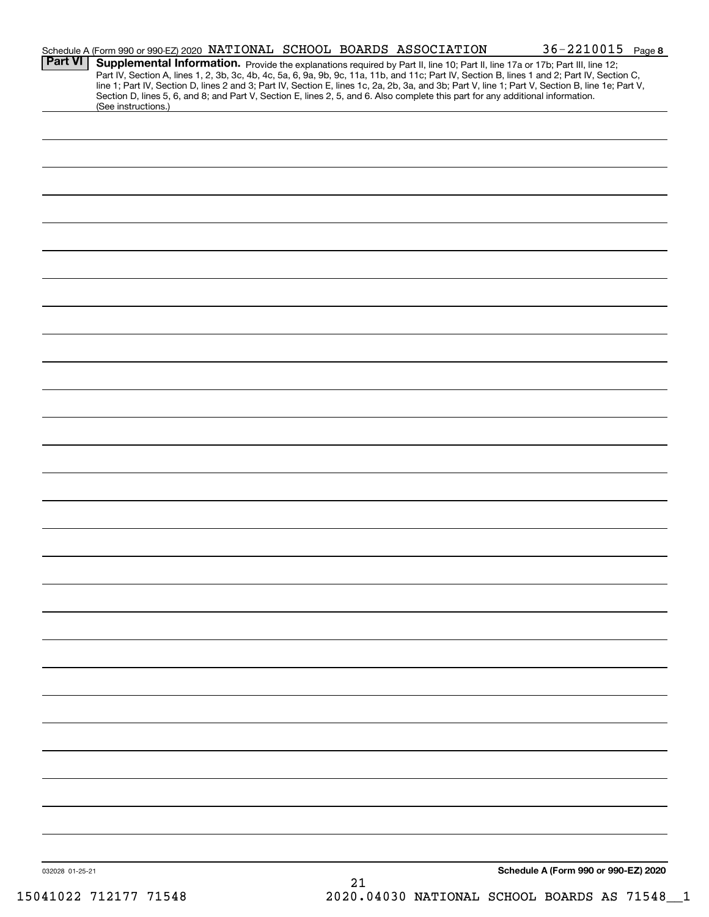| <b>Part VI</b>  | Schedule A (Form 990 or 990-EZ) 2020 NATIONAL SCHOOL BOARDS ASSOCIATION<br>Supplemental Information. Provide the explanations required by Part II, line 10; Part II, line 17a or 17b; Part III, line 12;<br>Part IV, Section A, lines 1, 2, 3b, 3c, 4b, 4c, 5a, 6, 9a, 9b, 9c, 11a, 11b, and 11c; Part IV, Section B, lines 1 and 2; Part IV, Section C,<br>line 1; Part IV, Section D, lines 2 and 3; Part IV, Section E, lines 1c, 2a, 2b, 3a, and 3b; Part V, line 1; Part V, Section B, line 1e; Part V,<br>Section D, lines 5, 6, and 8; and Part V, Section E, lines 2, 5, and 6. Also complete this part for any additional information. |  |    |  | 36-2210015 Page 8                    |  |
|-----------------|-------------------------------------------------------------------------------------------------------------------------------------------------------------------------------------------------------------------------------------------------------------------------------------------------------------------------------------------------------------------------------------------------------------------------------------------------------------------------------------------------------------------------------------------------------------------------------------------------------------------------------------------------|--|----|--|--------------------------------------|--|
|                 | (See instructions.)                                                                                                                                                                                                                                                                                                                                                                                                                                                                                                                                                                                                                             |  |    |  |                                      |  |
|                 |                                                                                                                                                                                                                                                                                                                                                                                                                                                                                                                                                                                                                                                 |  |    |  |                                      |  |
|                 |                                                                                                                                                                                                                                                                                                                                                                                                                                                                                                                                                                                                                                                 |  |    |  |                                      |  |
|                 |                                                                                                                                                                                                                                                                                                                                                                                                                                                                                                                                                                                                                                                 |  |    |  |                                      |  |
|                 |                                                                                                                                                                                                                                                                                                                                                                                                                                                                                                                                                                                                                                                 |  |    |  |                                      |  |
|                 |                                                                                                                                                                                                                                                                                                                                                                                                                                                                                                                                                                                                                                                 |  |    |  |                                      |  |
|                 |                                                                                                                                                                                                                                                                                                                                                                                                                                                                                                                                                                                                                                                 |  |    |  |                                      |  |
|                 |                                                                                                                                                                                                                                                                                                                                                                                                                                                                                                                                                                                                                                                 |  |    |  |                                      |  |
|                 |                                                                                                                                                                                                                                                                                                                                                                                                                                                                                                                                                                                                                                                 |  |    |  |                                      |  |
|                 |                                                                                                                                                                                                                                                                                                                                                                                                                                                                                                                                                                                                                                                 |  |    |  |                                      |  |
|                 |                                                                                                                                                                                                                                                                                                                                                                                                                                                                                                                                                                                                                                                 |  |    |  |                                      |  |
|                 |                                                                                                                                                                                                                                                                                                                                                                                                                                                                                                                                                                                                                                                 |  |    |  |                                      |  |
|                 |                                                                                                                                                                                                                                                                                                                                                                                                                                                                                                                                                                                                                                                 |  |    |  |                                      |  |
|                 |                                                                                                                                                                                                                                                                                                                                                                                                                                                                                                                                                                                                                                                 |  |    |  |                                      |  |
|                 |                                                                                                                                                                                                                                                                                                                                                                                                                                                                                                                                                                                                                                                 |  |    |  |                                      |  |
|                 |                                                                                                                                                                                                                                                                                                                                                                                                                                                                                                                                                                                                                                                 |  |    |  |                                      |  |
|                 |                                                                                                                                                                                                                                                                                                                                                                                                                                                                                                                                                                                                                                                 |  |    |  |                                      |  |
|                 |                                                                                                                                                                                                                                                                                                                                                                                                                                                                                                                                                                                                                                                 |  |    |  |                                      |  |
|                 |                                                                                                                                                                                                                                                                                                                                                                                                                                                                                                                                                                                                                                                 |  |    |  |                                      |  |
|                 |                                                                                                                                                                                                                                                                                                                                                                                                                                                                                                                                                                                                                                                 |  |    |  |                                      |  |
|                 |                                                                                                                                                                                                                                                                                                                                                                                                                                                                                                                                                                                                                                                 |  |    |  |                                      |  |
|                 |                                                                                                                                                                                                                                                                                                                                                                                                                                                                                                                                                                                                                                                 |  |    |  |                                      |  |
|                 |                                                                                                                                                                                                                                                                                                                                                                                                                                                                                                                                                                                                                                                 |  |    |  |                                      |  |
|                 |                                                                                                                                                                                                                                                                                                                                                                                                                                                                                                                                                                                                                                                 |  |    |  |                                      |  |
|                 |                                                                                                                                                                                                                                                                                                                                                                                                                                                                                                                                                                                                                                                 |  |    |  |                                      |  |
|                 |                                                                                                                                                                                                                                                                                                                                                                                                                                                                                                                                                                                                                                                 |  |    |  |                                      |  |
|                 |                                                                                                                                                                                                                                                                                                                                                                                                                                                                                                                                                                                                                                                 |  |    |  |                                      |  |
|                 |                                                                                                                                                                                                                                                                                                                                                                                                                                                                                                                                                                                                                                                 |  |    |  |                                      |  |
|                 |                                                                                                                                                                                                                                                                                                                                                                                                                                                                                                                                                                                                                                                 |  |    |  |                                      |  |
|                 |                                                                                                                                                                                                                                                                                                                                                                                                                                                                                                                                                                                                                                                 |  |    |  |                                      |  |
|                 |                                                                                                                                                                                                                                                                                                                                                                                                                                                                                                                                                                                                                                                 |  |    |  |                                      |  |
|                 |                                                                                                                                                                                                                                                                                                                                                                                                                                                                                                                                                                                                                                                 |  |    |  |                                      |  |
| 032028 01-25-21 |                                                                                                                                                                                                                                                                                                                                                                                                                                                                                                                                                                                                                                                 |  |    |  | Schedule A (Form 990 or 990-EZ) 2020 |  |
|                 |                                                                                                                                                                                                                                                                                                                                                                                                                                                                                                                                                                                                                                                 |  | 21 |  |                                      |  |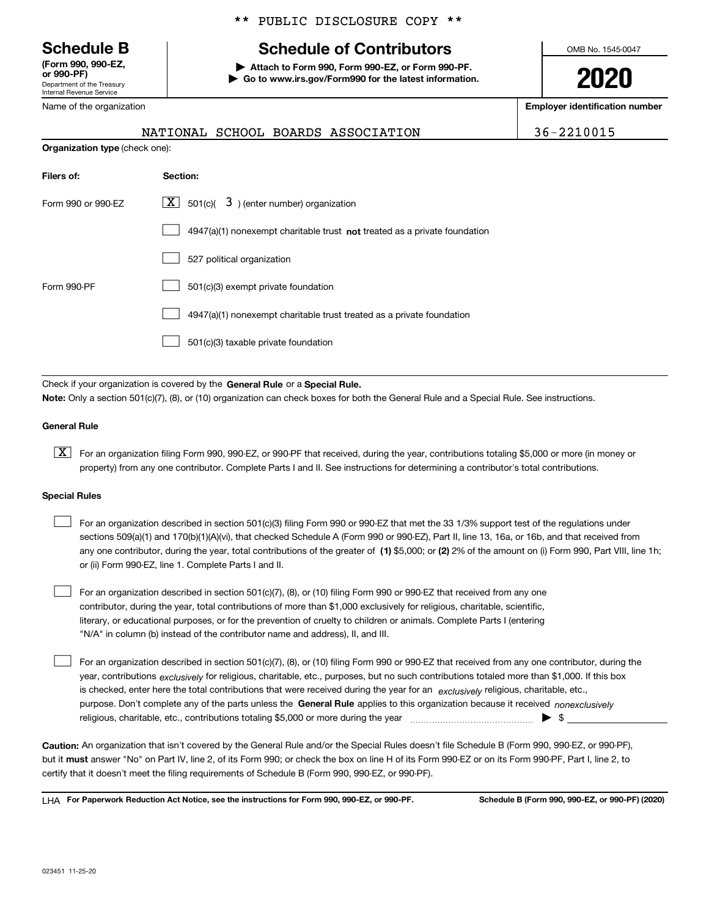Department of the Treasury Internal Revenue Service **(Form 990, 990-EZ, or 990-PF)**

Name of the organization

#### \*\* PUBLIC DISCLOSURE COPY \*\*

# **Schedule B Schedule of Contributors**

**| Attach to Form 990, Form 990-EZ, or Form 990-PF. | Go to www.irs.gov/Form990 for the latest information.** OMB No. 1545-0047

**2020**

**Employer identification number**

|                                       |  | NATIONAL SCHOOL BOARDS ASSOCIATION | 36-2210015 |
|---------------------------------------|--|------------------------------------|------------|
| <b>Organization type</b> (check one): |  |                                    |            |

| Filers of:         | Section:                                                                  |
|--------------------|---------------------------------------------------------------------------|
| Form 990 or 990-FZ | $\lfloor \mathbf{X} \rfloor$ 501(c)( 3) (enter number) organization       |
|                    | 4947(a)(1) nonexempt charitable trust not treated as a private foundation |
|                    | 527 political organization                                                |
| Form 990-PF        | 501(c)(3) exempt private foundation                                       |
|                    | 4947(a)(1) nonexempt charitable trust treated as a private foundation     |
|                    | 501(c)(3) taxable private foundation                                      |

Check if your organization is covered by the **General Rule** or a **Special Rule. Note:**  Only a section 501(c)(7), (8), or (10) organization can check boxes for both the General Rule and a Special Rule. See instructions.

#### **General Rule**

 $\boxed{\textbf{X}}$  For an organization filing Form 990, 990-EZ, or 990-PF that received, during the year, contributions totaling \$5,000 or more (in money or property) from any one contributor. Complete Parts I and II. See instructions for determining a contributor's total contributions.

#### **Special Rules**

| For an organization described in section 501(c)(3) filing Form 990 or 990-EZ that met the 33 1/3% support test of the regulations under               |
|-------------------------------------------------------------------------------------------------------------------------------------------------------|
| sections 509(a)(1) and 170(b)(1)(A)(vi), that checked Schedule A (Form 990 or 990-EZ), Part II, line 13, 16a, or 16b, and that received from          |
| any one contributor, during the year, total contributions of the greater of (1) \$5,000; or (2) 2% of the amount on (i) Form 990, Part VIII, line 1h; |
| or (ii) Form 990-EZ, line 1. Complete Parts I and II.                                                                                                 |

For an organization described in section 501(c)(7), (8), or (10) filing Form 990 or 990-EZ that received from any one contributor, during the year, total contributions of more than \$1,000 exclusively for religious, charitable, scientific, literary, or educational purposes, or for the prevention of cruelty to children or animals. Complete Parts I (entering "N/A" in column (b) instead of the contributor name and address), II, and III.  $\mathcal{L}^{\text{max}}$ 

purpose. Don't complete any of the parts unless the **General Rule** applies to this organization because it received *nonexclusively* year, contributions <sub>exclusively</sub> for religious, charitable, etc., purposes, but no such contributions totaled more than \$1,000. If this box is checked, enter here the total contributions that were received during the year for an  $\;$ exclusively religious, charitable, etc., For an organization described in section 501(c)(7), (8), or (10) filing Form 990 or 990-EZ that received from any one contributor, during the religious, charitable, etc., contributions totaling \$5,000 or more during the year  $\Box$ — $\Box$   $\Box$  $\mathcal{L}^{\text{max}}$ 

**Caution:**  An organization that isn't covered by the General Rule and/or the Special Rules doesn't file Schedule B (Form 990, 990-EZ, or 990-PF),  **must** but it answer "No" on Part IV, line 2, of its Form 990; or check the box on line H of its Form 990-EZ or on its Form 990-PF, Part I, line 2, to certify that it doesn't meet the filing requirements of Schedule B (Form 990, 990-EZ, or 990-PF).

**For Paperwork Reduction Act Notice, see the instructions for Form 990, 990-EZ, or 990-PF. Schedule B (Form 990, 990-EZ, or 990-PF) (2020)** LHA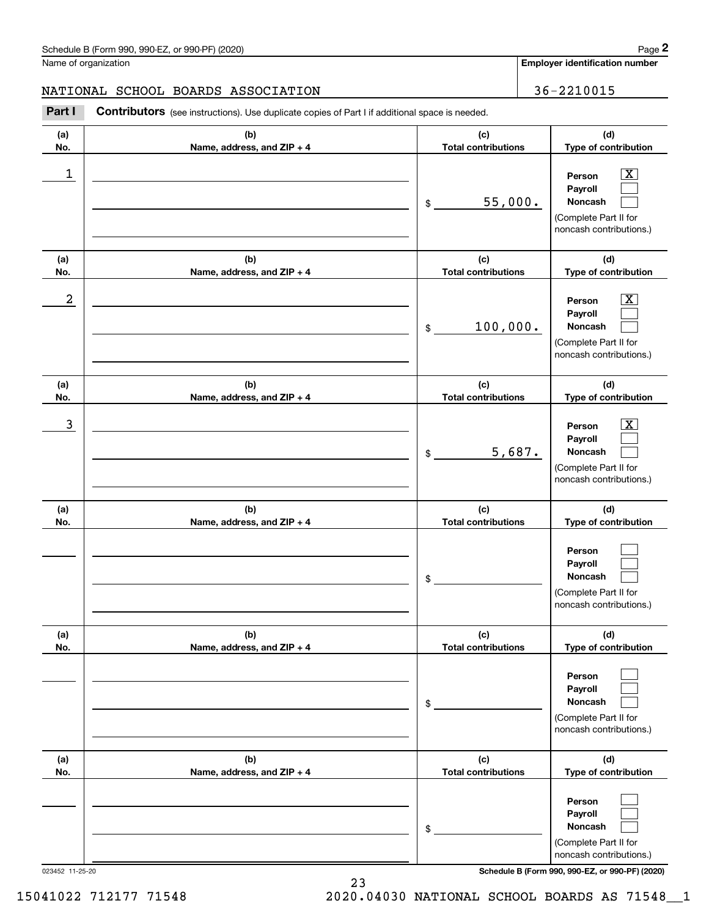**Employer identification number**

#### NATIONAL SCHOOL BOARDS ASSOCIATION 36-2210015

Chedule B (Form 990, 990-EZ, or 990-PF) (2020)<br> **2** alame of organization<br> **2Part I 2010015 2210015 2210015 2210015 2210015 2210015 2210015 2210015 2210015 2210015 2210015 2210015 2210015 221001** 

| (a)<br>No. | (b)<br>Name, address, and ZIP + 4 | (c)<br><b>Total contributions</b> | (d)<br>Type of contribution                                                                                        |
|------------|-----------------------------------|-----------------------------------|--------------------------------------------------------------------------------------------------------------------|
| 1          |                                   | 55,000.<br>\$                     | $\overline{\mathbf{X}}$<br>Person<br>Payroll<br>Noncash<br>(Complete Part II for<br>noncash contributions.)        |
| (a)<br>No. | (b)<br>Name, address, and ZIP + 4 | (c)<br><b>Total contributions</b> | (d)<br>Type of contribution                                                                                        |
| 2          |                                   | 100,000.<br>\$                    | $\overline{\mathbf{X}}$<br>Person<br>Payroll<br>Noncash<br>(Complete Part II for<br>noncash contributions.)        |
| (a)<br>No. | (b)<br>Name, address, and ZIP + 4 | (c)<br><b>Total contributions</b> | (d)<br>Type of contribution                                                                                        |
| 3          |                                   | 5,687.<br>\$                      | $\overline{\mathbf{X}}$<br>Person<br>Payroll<br><b>Noncash</b><br>(Complete Part II for<br>noncash contributions.) |
| (a)<br>No. | (b)<br>Name, address, and ZIP + 4 | (c)<br><b>Total contributions</b> | (d)<br>Type of contribution                                                                                        |
|            |                                   | \$                                | Person<br>Payroll<br><b>Noncash</b><br>(Complete Part II for<br>noncash contributions.)                            |
| (a)<br>No. | (b)<br>Name, address, and ZIP + 4 | (c)<br><b>Total contributions</b> | (d)<br>Type of contribution                                                                                        |
|            |                                   | \$                                | Person<br>Payroll<br>Noncash<br>(Complete Part II for<br>noncash contributions.)                                   |
| (a)<br>No. | (b)<br>Name, address, and ZIP + 4 | (c)<br><b>Total contributions</b> | (d)<br>Type of contribution                                                                                        |
|            |                                   | \$                                | Person<br>Payroll<br>Noncash<br>(Complete Part II for<br>noncash contributions.)                                   |

023452 11-25-20 **Schedule B (Form 990, 990-EZ, or 990-PF) (2020)**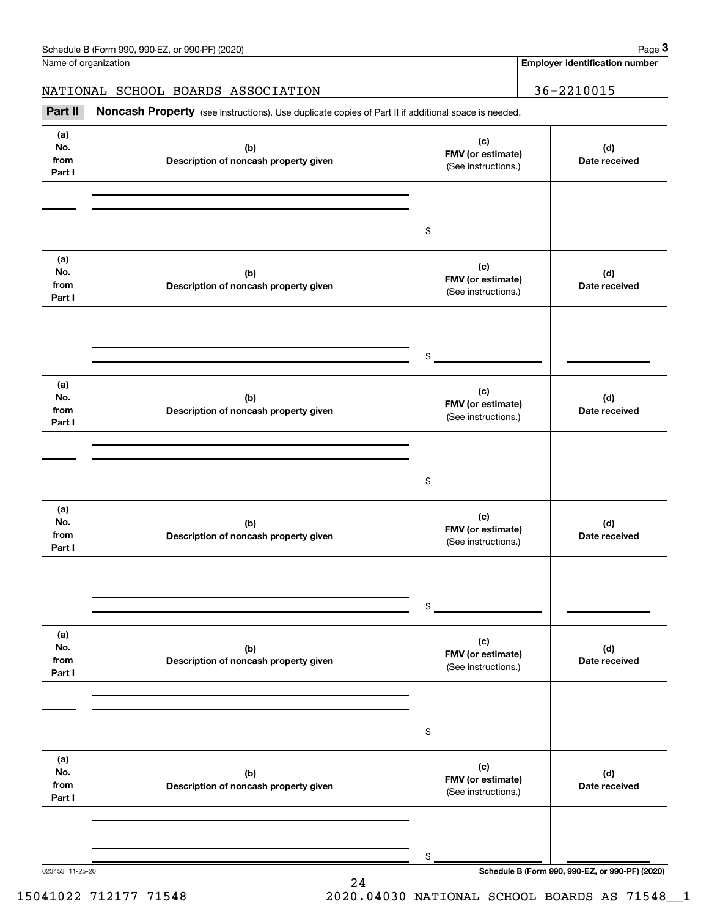Name of organization

**Employer identification number**

NATIONAL SCHOOL BOARDS ASSOCIATION | 36-2210015

Chedule B (Form 990, 990-EZ, or 990-PF) (2020)<br> **2020 Identification number**<br> **36-2210015 36-2210015 Part II Noncash Property** (see instructions). Use duplicate copies of Part II if additional space is needed.

| (a)<br>No.<br>from<br>Part I | (b)<br>Description of noncash property given | (c)<br>FMV (or estimate)<br>(See instructions.) | (d)<br>Date received |
|------------------------------|----------------------------------------------|-------------------------------------------------|----------------------|
|                              |                                              | $\frac{1}{2}$                                   |                      |
| (a)<br>No.<br>from<br>Part I | (b)<br>Description of noncash property given | (c)<br>FMV (or estimate)<br>(See instructions.) | (d)<br>Date received |
|                              |                                              | $\frac{1}{2}$                                   |                      |
| (a)<br>No.<br>from<br>Part I | (b)<br>Description of noncash property given | (c)<br>FMV (or estimate)<br>(See instructions.) | (d)<br>Date received |
|                              |                                              | $\frac{1}{2}$                                   |                      |
| (a)<br>No.<br>from<br>Part I | (b)<br>Description of noncash property given | (c)<br>FMV (or estimate)<br>(See instructions.) | (d)<br>Date received |
|                              |                                              | \$                                              |                      |
| (a)<br>No.<br>from<br>Part I | (b)<br>Description of noncash property given | (c)<br>FMV (or estimate)<br>(See instructions.) | (d)<br>Date received |
|                              |                                              | \$                                              |                      |
| (a)<br>No.<br>from<br>Part I | (b)<br>Description of noncash property given | (c)<br>FMV (or estimate)<br>(See instructions.) | (d)<br>Date received |
|                              |                                              | \$                                              |                      |

24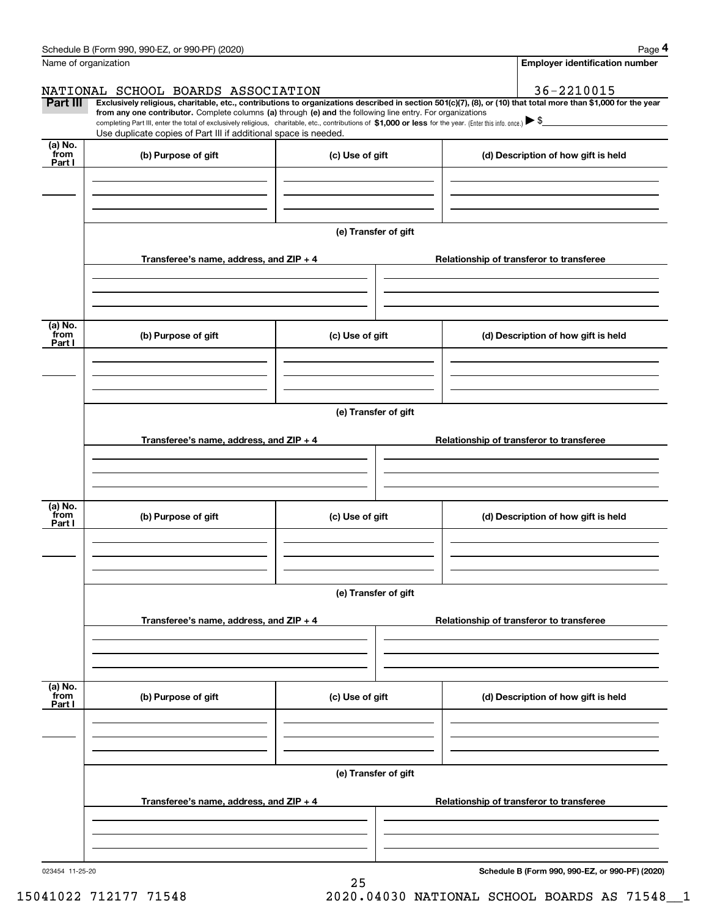|                      | Schedule B (Form 990, 990-EZ, or 990-PF) (2020)                                                                                                                                                                                                                              |                      |  | Page 4                                          |
|----------------------|------------------------------------------------------------------------------------------------------------------------------------------------------------------------------------------------------------------------------------------------------------------------------|----------------------|--|-------------------------------------------------|
| Name of organization |                                                                                                                                                                                                                                                                              |                      |  | <b>Employer identification number</b>           |
|                      | NATIONAL SCHOOL BOARDS ASSOCIATION                                                                                                                                                                                                                                           |                      |  | 36-2210015                                      |
| <b>Part III</b>      | Exclusively religious, charitable, etc., contributions to organizations described in section 501(c)(7), (8), or (10) that total more than \$1,000 for the year<br>from any one contributor. Complete columns (a) through (e) and the following line entry. For organizations |                      |  |                                                 |
|                      | completing Part III, enter the total of exclusively religious, charitable, etc., contributions of \$1,000 or less for the year. (Enter this info. once.) $\blacktriangleright$ \$                                                                                            |                      |  |                                                 |
| (a) No.              | Use duplicate copies of Part III if additional space is needed.                                                                                                                                                                                                              |                      |  |                                                 |
| from<br>Part I       | (b) Purpose of gift                                                                                                                                                                                                                                                          | (c) Use of gift      |  | (d) Description of how gift is held             |
|                      |                                                                                                                                                                                                                                                                              |                      |  |                                                 |
|                      |                                                                                                                                                                                                                                                                              |                      |  |                                                 |
|                      |                                                                                                                                                                                                                                                                              |                      |  |                                                 |
|                      |                                                                                                                                                                                                                                                                              | (e) Transfer of gift |  |                                                 |
|                      |                                                                                                                                                                                                                                                                              |                      |  |                                                 |
|                      | Transferee's name, address, and ZIP + 4                                                                                                                                                                                                                                      |                      |  | Relationship of transferor to transferee        |
|                      |                                                                                                                                                                                                                                                                              |                      |  |                                                 |
|                      |                                                                                                                                                                                                                                                                              |                      |  |                                                 |
| (a) No.              |                                                                                                                                                                                                                                                                              |                      |  |                                                 |
| from<br>Part I       | (b) Purpose of gift                                                                                                                                                                                                                                                          | (c) Use of gift      |  | (d) Description of how gift is held             |
|                      |                                                                                                                                                                                                                                                                              |                      |  |                                                 |
|                      |                                                                                                                                                                                                                                                                              |                      |  |                                                 |
|                      |                                                                                                                                                                                                                                                                              |                      |  |                                                 |
|                      |                                                                                                                                                                                                                                                                              | (e) Transfer of gift |  |                                                 |
|                      |                                                                                                                                                                                                                                                                              |                      |  |                                                 |
|                      | Transferee's name, address, and ZIP + 4                                                                                                                                                                                                                                      |                      |  | Relationship of transferor to transferee        |
|                      |                                                                                                                                                                                                                                                                              |                      |  |                                                 |
|                      |                                                                                                                                                                                                                                                                              |                      |  |                                                 |
| (a) No.              |                                                                                                                                                                                                                                                                              |                      |  |                                                 |
| from<br>Part I       | (b) Purpose of gift                                                                                                                                                                                                                                                          | (c) Use of gift      |  | (d) Description of how gift is held             |
|                      |                                                                                                                                                                                                                                                                              |                      |  |                                                 |
|                      |                                                                                                                                                                                                                                                                              |                      |  |                                                 |
|                      |                                                                                                                                                                                                                                                                              |                      |  |                                                 |
|                      |                                                                                                                                                                                                                                                                              | (e) Transfer of gift |  |                                                 |
|                      |                                                                                                                                                                                                                                                                              |                      |  |                                                 |
|                      | Transferee's name, address, and ZIP + 4                                                                                                                                                                                                                                      |                      |  | Relationship of transferor to transferee        |
|                      |                                                                                                                                                                                                                                                                              |                      |  |                                                 |
|                      |                                                                                                                                                                                                                                                                              |                      |  |                                                 |
| (a) No.              |                                                                                                                                                                                                                                                                              |                      |  |                                                 |
| `from<br>Part I      | (b) Purpose of gift                                                                                                                                                                                                                                                          | (c) Use of gift      |  | (d) Description of how gift is held             |
|                      |                                                                                                                                                                                                                                                                              |                      |  |                                                 |
|                      |                                                                                                                                                                                                                                                                              |                      |  |                                                 |
|                      |                                                                                                                                                                                                                                                                              |                      |  |                                                 |
|                      |                                                                                                                                                                                                                                                                              | (e) Transfer of gift |  |                                                 |
|                      |                                                                                                                                                                                                                                                                              |                      |  |                                                 |
|                      | Transferee's name, address, and $ZIP + 4$                                                                                                                                                                                                                                    |                      |  | Relationship of transferor to transferee        |
|                      |                                                                                                                                                                                                                                                                              |                      |  |                                                 |
|                      |                                                                                                                                                                                                                                                                              |                      |  |                                                 |
| 023454 11-25-20      |                                                                                                                                                                                                                                                                              |                      |  | Schedule B (Form 990, 990-EZ, or 990-PF) (2020) |
|                      |                                                                                                                                                                                                                                                                              |                      |  |                                                 |

25

**Schedule B (Form 990, 990-EZ, or 990-PF) (2020)**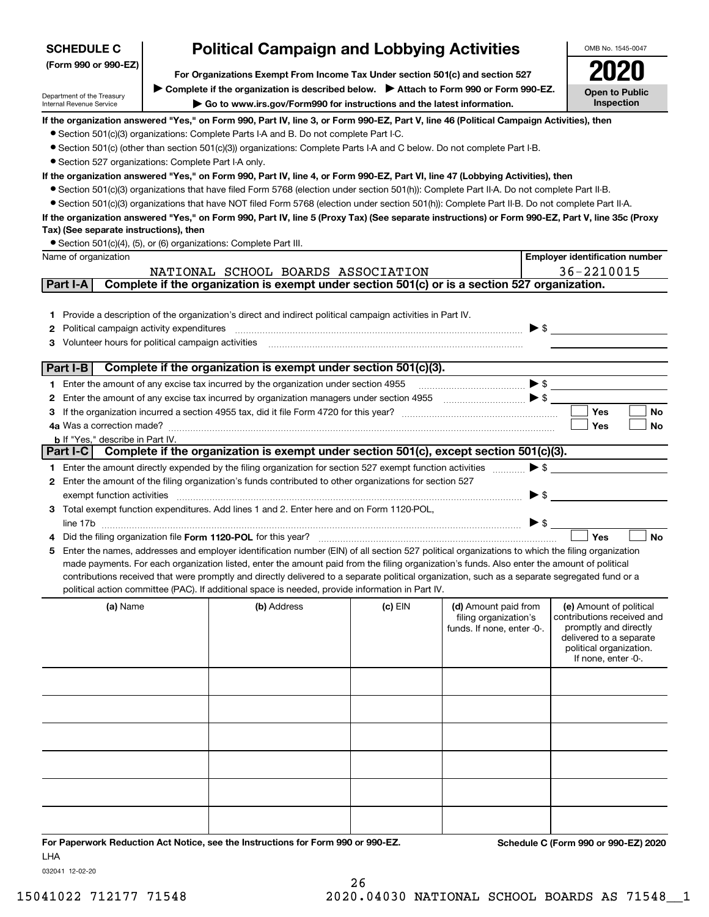| <b>SCHEDULE C</b>                                                                                  | <b>Political Campaign and Lobbying Activities</b>                                                                                                                                                                                                                             |         |                                                                                                                                                                                                                                                                                                                                                                             |                          | OMB No. 1545-0047                                     |
|----------------------------------------------------------------------------------------------------|-------------------------------------------------------------------------------------------------------------------------------------------------------------------------------------------------------------------------------------------------------------------------------|---------|-----------------------------------------------------------------------------------------------------------------------------------------------------------------------------------------------------------------------------------------------------------------------------------------------------------------------------------------------------------------------------|--------------------------|-------------------------------------------------------|
| (Form 990 or 990-EZ)                                                                               | For Organizations Exempt From Income Tax Under section 501(c) and section 527                                                                                                                                                                                                 |         |                                                                                                                                                                                                                                                                                                                                                                             |                          |                                                       |
|                                                                                                    | Complete if the organization is described below.<br>> Attach to Form 990 or Form 990-EZ.                                                                                                                                                                                      |         |                                                                                                                                                                                                                                                                                                                                                                             |                          |                                                       |
| Department of the Treasury<br>Internal Revenue Service                                             | Go to www.irs.gov/Form990 for instructions and the latest information.                                                                                                                                                                                                        |         |                                                                                                                                                                                                                                                                                                                                                                             |                          | <b>Open to Public</b><br>Inspection                   |
|                                                                                                    | If the organization answered "Yes," on Form 990, Part IV, line 3, or Form 990-EZ, Part V, line 46 (Political Campaign Activities), then                                                                                                                                       |         |                                                                                                                                                                                                                                                                                                                                                                             |                          |                                                       |
|                                                                                                    | • Section 501(c)(3) organizations: Complete Parts I-A and B. Do not complete Part I-C.                                                                                                                                                                                        |         |                                                                                                                                                                                                                                                                                                                                                                             |                          |                                                       |
|                                                                                                    | • Section 501(c) (other than section 501(c)(3)) organizations: Complete Parts I-A and C below. Do not complete Part I-B.                                                                                                                                                      |         |                                                                                                                                                                                                                                                                                                                                                                             |                          |                                                       |
| • Section 527 organizations: Complete Part I-A only.                                               |                                                                                                                                                                                                                                                                               |         |                                                                                                                                                                                                                                                                                                                                                                             |                          |                                                       |
|                                                                                                    | If the organization answered "Yes," on Form 990, Part IV, line 4, or Form 990-EZ, Part VI, line 47 (Lobbying Activities), then<br>• Section 501(c)(3) organizations that have filed Form 5768 (election under section 501(h)): Complete Part II-A. Do not complete Part II-B. |         |                                                                                                                                                                                                                                                                                                                                                                             |                          |                                                       |
|                                                                                                    | • Section 501(c)(3) organizations that have NOT filed Form 5768 (election under section 501(h)): Complete Part II-B. Do not complete Part II-A.                                                                                                                               |         |                                                                                                                                                                                                                                                                                                                                                                             |                          |                                                       |
|                                                                                                    | If the organization answered "Yes," on Form 990, Part IV, line 5 (Proxy Tax) (See separate instructions) or Form 990-EZ, Part V, line 35c (Proxy                                                                                                                              |         |                                                                                                                                                                                                                                                                                                                                                                             |                          |                                                       |
| Tax) (See separate instructions), then                                                             |                                                                                                                                                                                                                                                                               |         |                                                                                                                                                                                                                                                                                                                                                                             |                          |                                                       |
|                                                                                                    | • Section 501(c)(4), (5), or (6) organizations: Complete Part III.                                                                                                                                                                                                            |         |                                                                                                                                                                                                                                                                                                                                                                             |                          |                                                       |
| Name of organization                                                                               |                                                                                                                                                                                                                                                                               |         |                                                                                                                                                                                                                                                                                                                                                                             |                          | <b>Employer identification number</b>                 |
|                                                                                                    | NATIONAL SCHOOL BOARDS ASSOCIATION                                                                                                                                                                                                                                            |         |                                                                                                                                                                                                                                                                                                                                                                             |                          | 36-2210015                                            |
| Part I-A                                                                                           | Complete if the organization is exempt under section 501(c) or is a section 527 organization.                                                                                                                                                                                 |         |                                                                                                                                                                                                                                                                                                                                                                             |                          |                                                       |
|                                                                                                    |                                                                                                                                                                                                                                                                               |         |                                                                                                                                                                                                                                                                                                                                                                             |                          |                                                       |
|                                                                                                    | 1 Provide a description of the organization's direct and indirect political campaign activities in Part IV.                                                                                                                                                                   |         |                                                                                                                                                                                                                                                                                                                                                                             |                          |                                                       |
| Political campaign activity expenditures<br>2<br>Volunteer hours for political campaign activities |                                                                                                                                                                                                                                                                               |         |                                                                                                                                                                                                                                                                                                                                                                             | $\blacktriangleright$ \$ |                                                       |
|                                                                                                    |                                                                                                                                                                                                                                                                               |         |                                                                                                                                                                                                                                                                                                                                                                             |                          |                                                       |
| Part I-B                                                                                           | Complete if the organization is exempt under section 501(c)(3).                                                                                                                                                                                                               |         |                                                                                                                                                                                                                                                                                                                                                                             |                          |                                                       |
|                                                                                                    | 1 Enter the amount of any excise tax incurred by the organization under section 4955                                                                                                                                                                                          |         | $\begin{picture}(20,10) \put(0,0){\vector(1,0){10}} \put(15,0){\vector(1,0){10}} \put(15,0){\vector(1,0){10}} \put(15,0){\vector(1,0){10}} \put(15,0){\vector(1,0){10}} \put(15,0){\vector(1,0){10}} \put(15,0){\vector(1,0){10}} \put(15,0){\vector(1,0){10}} \put(15,0){\vector(1,0){10}} \put(15,0){\vector(1,0){10}} \put(15,0){\vector(1,0){10}} \put(15,0){\vector(1$ |                          |                                                       |
| 2                                                                                                  |                                                                                                                                                                                                                                                                               |         |                                                                                                                                                                                                                                                                                                                                                                             |                          |                                                       |
|                                                                                                    |                                                                                                                                                                                                                                                                               |         |                                                                                                                                                                                                                                                                                                                                                                             |                          | Yes<br>No                                             |
| 4a Was a correction made?                                                                          |                                                                                                                                                                                                                                                                               |         |                                                                                                                                                                                                                                                                                                                                                                             |                          | Yes<br>No                                             |
| <b>b</b> If "Yes," describe in Part IV.                                                            | Part I-C Complete if the organization is exempt under section 501(c), except section 501(c)(3).                                                                                                                                                                               |         |                                                                                                                                                                                                                                                                                                                                                                             |                          |                                                       |
|                                                                                                    |                                                                                                                                                                                                                                                                               |         |                                                                                                                                                                                                                                                                                                                                                                             |                          |                                                       |
|                                                                                                    | 1 Enter the amount directly expended by the filing organization for section 527 exempt function activities                                                                                                                                                                    |         |                                                                                                                                                                                                                                                                                                                                                                             | $\triangleright$ \$      |                                                       |
| exempt function activities                                                                         | 2 Enter the amount of the filing organization's funds contributed to other organizations for section 527                                                                                                                                                                      |         |                                                                                                                                                                                                                                                                                                                                                                             | $\blacktriangleright$ \$ |                                                       |
|                                                                                                    | 3 Total exempt function expenditures. Add lines 1 and 2. Enter here and on Form 1120-POL,                                                                                                                                                                                     |         |                                                                                                                                                                                                                                                                                                                                                                             |                          |                                                       |
|                                                                                                    |                                                                                                                                                                                                                                                                               |         |                                                                                                                                                                                                                                                                                                                                                                             | $\triangleright$ \$      |                                                       |
|                                                                                                    | Did the filing organization file Form 1120-POL for this year?                                                                                                                                                                                                                 |         |                                                                                                                                                                                                                                                                                                                                                                             |                          | Yes<br><b>No</b>                                      |
| 5                                                                                                  | Enter the names, addresses and employer identification number (EIN) of all section 527 political organizations to which the filing organization                                                                                                                               |         |                                                                                                                                                                                                                                                                                                                                                                             |                          |                                                       |
|                                                                                                    | made payments. For each organization listed, enter the amount paid from the filing organization's funds. Also enter the amount of political                                                                                                                                   |         |                                                                                                                                                                                                                                                                                                                                                                             |                          |                                                       |
|                                                                                                    | contributions received that were promptly and directly delivered to a separate political organization, such as a separate segregated fund or a                                                                                                                                |         |                                                                                                                                                                                                                                                                                                                                                                             |                          |                                                       |
|                                                                                                    | political action committee (PAC). If additional space is needed, provide information in Part IV.                                                                                                                                                                              |         |                                                                                                                                                                                                                                                                                                                                                                             |                          |                                                       |
| (a) Name                                                                                           | (b) Address                                                                                                                                                                                                                                                                   | (c) EIN | (d) Amount paid from<br>filing organization's                                                                                                                                                                                                                                                                                                                               |                          | (e) Amount of political<br>contributions received and |
|                                                                                                    |                                                                                                                                                                                                                                                                               |         | funds. If none, enter -0-.                                                                                                                                                                                                                                                                                                                                                  |                          | promptly and directly                                 |
|                                                                                                    |                                                                                                                                                                                                                                                                               |         |                                                                                                                                                                                                                                                                                                                                                                             |                          | delivered to a separate<br>political organization.    |
|                                                                                                    |                                                                                                                                                                                                                                                                               |         |                                                                                                                                                                                                                                                                                                                                                                             |                          | If none, enter -0-.                                   |
|                                                                                                    |                                                                                                                                                                                                                                                                               |         |                                                                                                                                                                                                                                                                                                                                                                             |                          |                                                       |
|                                                                                                    |                                                                                                                                                                                                                                                                               |         |                                                                                                                                                                                                                                                                                                                                                                             |                          |                                                       |
|                                                                                                    |                                                                                                                                                                                                                                                                               |         |                                                                                                                                                                                                                                                                                                                                                                             |                          |                                                       |
|                                                                                                    |                                                                                                                                                                                                                                                                               |         |                                                                                                                                                                                                                                                                                                                                                                             |                          |                                                       |
|                                                                                                    |                                                                                                                                                                                                                                                                               |         |                                                                                                                                                                                                                                                                                                                                                                             |                          |                                                       |
|                                                                                                    |                                                                                                                                                                                                                                                                               |         |                                                                                                                                                                                                                                                                                                                                                                             |                          |                                                       |
|                                                                                                    |                                                                                                                                                                                                                                                                               |         |                                                                                                                                                                                                                                                                                                                                                                             |                          |                                                       |
|                                                                                                    |                                                                                                                                                                                                                                                                               |         |                                                                                                                                                                                                                                                                                                                                                                             |                          |                                                       |
|                                                                                                    |                                                                                                                                                                                                                                                                               |         |                                                                                                                                                                                                                                                                                                                                                                             |                          |                                                       |
|                                                                                                    |                                                                                                                                                                                                                                                                               |         |                                                                                                                                                                                                                                                                                                                                                                             |                          |                                                       |
|                                                                                                    |                                                                                                                                                                                                                                                                               |         |                                                                                                                                                                                                                                                                                                                                                                             |                          |                                                       |
|                                                                                                    | For Paperwork Reduction Act Notice, see the Instructions for Form 990 or 990-EZ.                                                                                                                                                                                              |         |                                                                                                                                                                                                                                                                                                                                                                             |                          | Schedule C (Form 990 or 990-EZ) 2020                  |

032041 12-02-20 LHA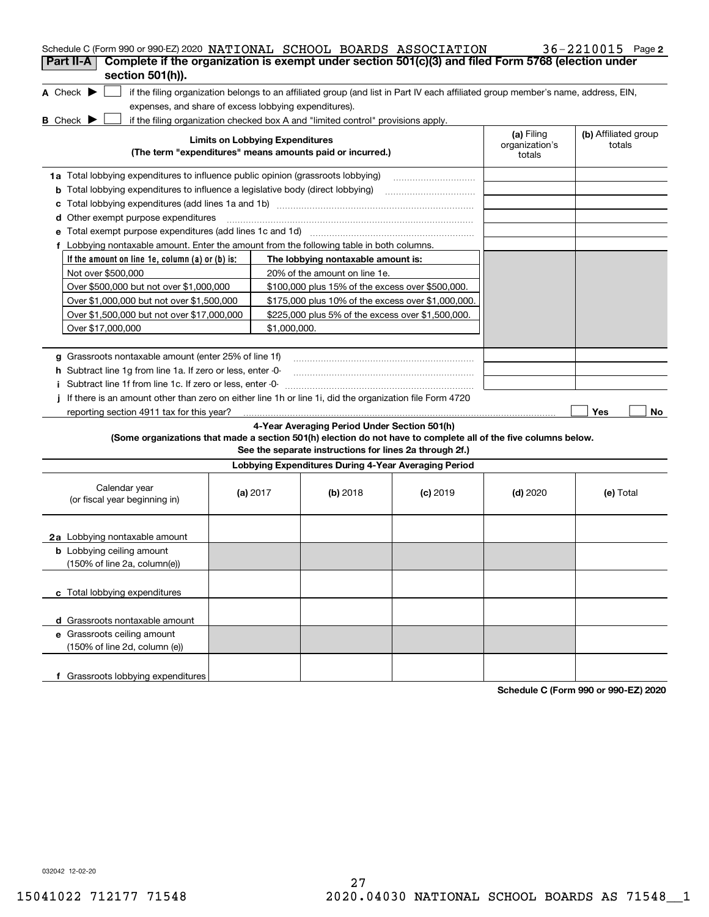| Schedule C (Form 990 or 990-EZ) 2020 NATIONAL SCHOOL BOARDS ASSOCIATION                                                                                                                                                     |              |                                                                                                         |            |                                        | 36-2210015 Page 2              |
|-----------------------------------------------------------------------------------------------------------------------------------------------------------------------------------------------------------------------------|--------------|---------------------------------------------------------------------------------------------------------|------------|----------------------------------------|--------------------------------|
| Complete if the organization is exempt under section 501(c)(3) and filed Form 5768 (election under<br>Part II-A<br>section 501(h)).                                                                                         |              |                                                                                                         |            |                                        |                                |
| A Check $\blacktriangleright$<br>if the filing organization belongs to an affiliated group (and list in Part IV each affiliated group member's name, address, EIN,<br>expenses, and share of excess lobbying expenditures). |              |                                                                                                         |            |                                        |                                |
| <b>B</b> Check $\blacktriangleright$<br>if the filing organization checked box A and "limited control" provisions apply.                                                                                                    |              |                                                                                                         |            |                                        |                                |
| <b>Limits on Lobbying Expenditures</b><br>(The term "expenditures" means amounts paid or incurred.)                                                                                                                         |              |                                                                                                         |            | (a) Filing<br>organization's<br>totals | (b) Affiliated group<br>totals |
| <b>1a</b> Total lobbying expenditures to influence public opinion (grassroots lobbying)                                                                                                                                     |              |                                                                                                         |            |                                        |                                |
| <b>b</b> Total lobbying expenditures to influence a legislative body (direct lobbying)                                                                                                                                      |              |                                                                                                         |            |                                        |                                |
| с                                                                                                                                                                                                                           |              |                                                                                                         |            |                                        |                                |
| Other exempt purpose expenditures<br>d                                                                                                                                                                                      |              |                                                                                                         |            |                                        |                                |
| е                                                                                                                                                                                                                           |              |                                                                                                         |            |                                        |                                |
| f Lobbying nontaxable amount. Enter the amount from the following table in both columns.                                                                                                                                    |              |                                                                                                         |            |                                        |                                |
| If the amount on line 1e, column (a) or (b) is:                                                                                                                                                                             |              | The lobbying nontaxable amount is:                                                                      |            |                                        |                                |
| Not over \$500,000                                                                                                                                                                                                          |              | 20% of the amount on line 1e.                                                                           |            |                                        |                                |
| Over \$500,000 but not over \$1,000,000                                                                                                                                                                                     |              | \$100,000 plus 15% of the excess over \$500,000.                                                        |            |                                        |                                |
| Over \$1,000,000 but not over \$1,500,000                                                                                                                                                                                   |              | \$175,000 plus 10% of the excess over \$1,000,000.                                                      |            |                                        |                                |
| Over \$1,500,000 but not over \$17,000,000                                                                                                                                                                                  |              | \$225,000 plus 5% of the excess over \$1,500,000.                                                       |            |                                        |                                |
| Over \$17,000,000                                                                                                                                                                                                           | \$1.000.000. |                                                                                                         |            |                                        |                                |
|                                                                                                                                                                                                                             |              |                                                                                                         |            |                                        |                                |
| g Grassroots nontaxable amount (enter 25% of line 1f)                                                                                                                                                                       |              |                                                                                                         |            |                                        |                                |
| <b>h</b> Subtract line 1g from line 1a. If zero or less, enter 0-                                                                                                                                                           |              |                                                                                                         |            |                                        |                                |
| i Subtract line 1f from line 1c. If zero or less, enter -0-                                                                                                                                                                 |              |                                                                                                         |            |                                        |                                |
| If there is an amount other than zero on either line 1h or line 1i, did the organization file Form 4720                                                                                                                     |              |                                                                                                         |            |                                        |                                |
| reporting section 4911 tax for this year?                                                                                                                                                                                   |              |                                                                                                         |            |                                        | Yes<br>No                      |
| (Some organizations that made a section 501(h) election do not have to complete all of the five columns below.                                                                                                              |              | 4-Year Averaging Period Under Section 501(h)<br>See the separate instructions for lines 2a through 2f.) |            |                                        |                                |
|                                                                                                                                                                                                                             |              | Lobbying Expenditures During 4-Year Averaging Period                                                    |            |                                        |                                |
| Calendar year<br>(or fiscal year beginning in)                                                                                                                                                                              | (a) $2017$   | (b) 2018                                                                                                | $(c)$ 2019 | $(d)$ 2020                             | (e) Total                      |
| 2a Lobbying nontaxable amount                                                                                                                                                                                               |              |                                                                                                         |            |                                        |                                |
| <b>b</b> Lobbying ceiling amount<br>(150% of line 2a, column(e))                                                                                                                                                            |              |                                                                                                         |            |                                        |                                |
| c Total lobbying expenditures                                                                                                                                                                                               |              |                                                                                                         |            |                                        |                                |
| d Grassroots nontaxable amount                                                                                                                                                                                              |              |                                                                                                         |            |                                        |                                |
| e Grassroots ceiling amount                                                                                                                                                                                                 |              |                                                                                                         |            |                                        |                                |
| (150% of line 2d, column (e))                                                                                                                                                                                               |              |                                                                                                         |            |                                        |                                |
| f Grassroots lobbying expenditures                                                                                                                                                                                          |              |                                                                                                         |            |                                        |                                |

**Schedule C (Form 990 or 990-EZ) 2020**

032042 12-02-20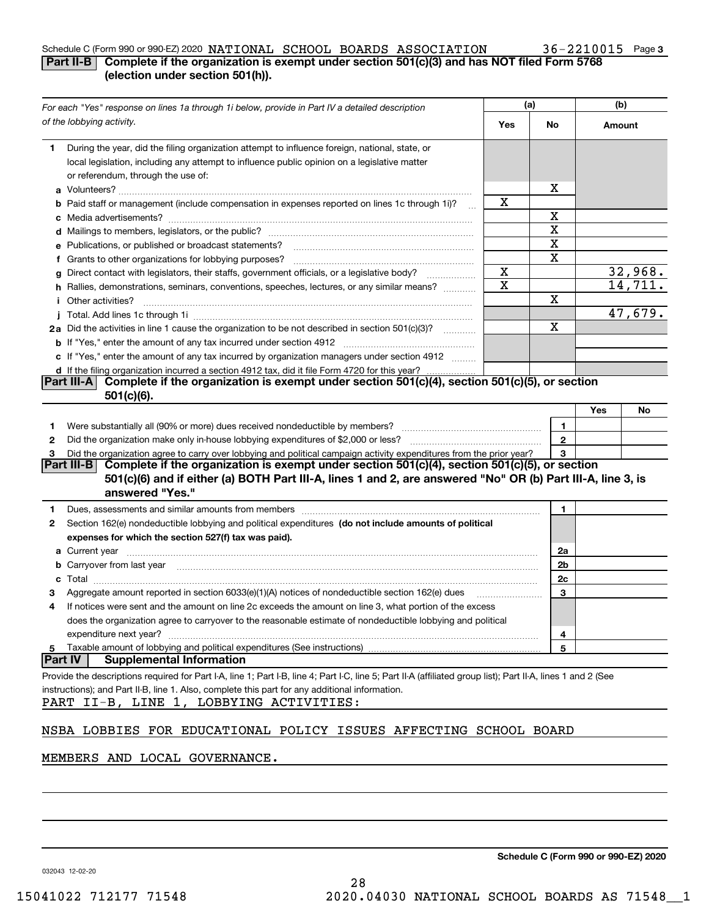### Schedule C (Form 990 or 990-EZ) 2020 NATIONAL SCHOOL BOARDS ASSOCIATION 36-2210015 Page

## **Part II-B** Complete if the organization is exempt under section 501(c)(3) and has NOT filed Form 5768 **(election under section 501(h)).**

| For each "Yes" response on lines 1a through 1i below, provide in Part IV a detailed description                                                                                                                                     | (a)         |                | (b)    |         |
|-------------------------------------------------------------------------------------------------------------------------------------------------------------------------------------------------------------------------------------|-------------|----------------|--------|---------|
| of the lobbying activity.                                                                                                                                                                                                           | Yes         | No             | Amount |         |
| During the year, did the filing organization attempt to influence foreign, national, state, or<br>1                                                                                                                                 |             |                |        |         |
| local legislation, including any attempt to influence public opinion on a legislative matter                                                                                                                                        |             |                |        |         |
| or referendum, through the use of:                                                                                                                                                                                                  |             |                |        |         |
|                                                                                                                                                                                                                                     |             | х              |        |         |
| <b>b</b> Paid staff or management (include compensation in expenses reported on lines 1c through 1i)?                                                                                                                               | x           |                |        |         |
|                                                                                                                                                                                                                                     |             | X              |        |         |
|                                                                                                                                                                                                                                     |             | X              |        |         |
| e Publications, or published or broadcast statements?                                                                                                                                                                               |             | X              |        |         |
| f Grants to other organizations for lobbying purposes?                                                                                                                                                                              |             | x              |        |         |
| g Direct contact with legislators, their staffs, government officials, or a legislative body?                                                                                                                                       | X           |                |        | 32,968. |
| h Rallies, demonstrations, seminars, conventions, speeches, lectures, or any similar means?                                                                                                                                         | $\mathbf X$ |                |        | 14,711. |
| <i>i</i> Other activities?                                                                                                                                                                                                          |             | Χ              |        |         |
|                                                                                                                                                                                                                                     |             |                |        | 47,679. |
| 2a Did the activities in line 1 cause the organization to be not described in section 501(c)(3)?                                                                                                                                    |             | $\mathbf X$    |        |         |
|                                                                                                                                                                                                                                     |             |                |        |         |
| c If "Yes," enter the amount of any tax incurred by organization managers under section 4912                                                                                                                                        |             |                |        |         |
| d If the filing organization incurred a section 4912 tax, did it file Form 4720 for this year?                                                                                                                                      |             |                |        |         |
| Complete if the organization is exempt under section 501(c)(4), section 501(c)(5), or section<br> Part III-A                                                                                                                        |             |                |        |         |
| $501(c)(6)$ .                                                                                                                                                                                                                       |             |                |        |         |
|                                                                                                                                                                                                                                     |             |                | Yes    | No      |
| 1.                                                                                                                                                                                                                                  |             | 1              |        |         |
| 2                                                                                                                                                                                                                                   |             | $\overline{2}$ |        |         |
| Did the organization agree to carry over lobbying and political campaign activity expenditures from the prior year?<br>З                                                                                                            |             | 3              |        |         |
| Complete if the organization is exempt under section 501(c)(4), section 501(c)(5), or section<br> Part III-B <br>501(c)(6) and if either (a) BOTH Part III-A, lines 1 and 2, are answered "No" OR (b) Part III-A, line 3, is        |             |                |        |         |
| answered "Yes."                                                                                                                                                                                                                     |             |                |        |         |
| Dues, assessments and similar amounts from members [11] matter content to the state of the state of the state of the state of the state of the state of the state of the state of the state of the state of the state of the s<br>1 |             | 1              |        |         |
| Section 162(e) nondeductible lobbying and political expenditures (do not include amounts of political<br>2                                                                                                                          |             |                |        |         |
| expenses for which the section 527(f) tax was paid).                                                                                                                                                                                |             |                |        |         |
|                                                                                                                                                                                                                                     |             | 2a             |        |         |
| b Carryover from last year manufactured and continuum control of the control of the control of the control of the control of the control of the control of the control of the control of the control of the control of the con      |             | 2b             |        |         |
| c                                                                                                                                                                                                                                   |             | 2c             |        |         |
| Aggregate amount reported in section 6033(e)(1)(A) notices of nondeductible section 162(e) dues                                                                                                                                     |             | 3              |        |         |
| If notices were sent and the amount on line 2c exceeds the amount on line 3, what portion of the excess<br>4                                                                                                                        |             |                |        |         |
| does the organization agree to carryover to the reasonable estimate of nondeductible lobbying and political                                                                                                                         |             |                |        |         |
| expenditure next year?                                                                                                                                                                                                              |             | 4              |        |         |
| Taxable amount of lobbying and political expenditures (See instructions)<br>5                                                                                                                                                       |             | 5              |        |         |
| <b>Part IV</b><br><b>Supplemental Information</b>                                                                                                                                                                                   |             |                |        |         |
| Provide the descriptions required for Part I-A, line 1; Part I-B, line 4; Part I-C, line 5; Part II-A (affiliated group list); Part II-A, lines 1 and 2 (See                                                                        |             |                |        |         |
| instructions); and Part II-B, line 1. Also, complete this part for any additional information.                                                                                                                                      |             |                |        |         |
| PART II-B, LINE 1, LOBBYING ACTIVITIES:                                                                                                                                                                                             |             |                |        |         |
|                                                                                                                                                                                                                                     |             |                |        |         |
| NSBA LOBBIES FOR EDUCATIONAL POLICY ISSUES AFFECTING SCHOOL BOARD                                                                                                                                                                   |             |                |        |         |

### MEMBERS AND LOCAL GOVERNANCE.

**Schedule C (Form 990 or 990-EZ) 2020**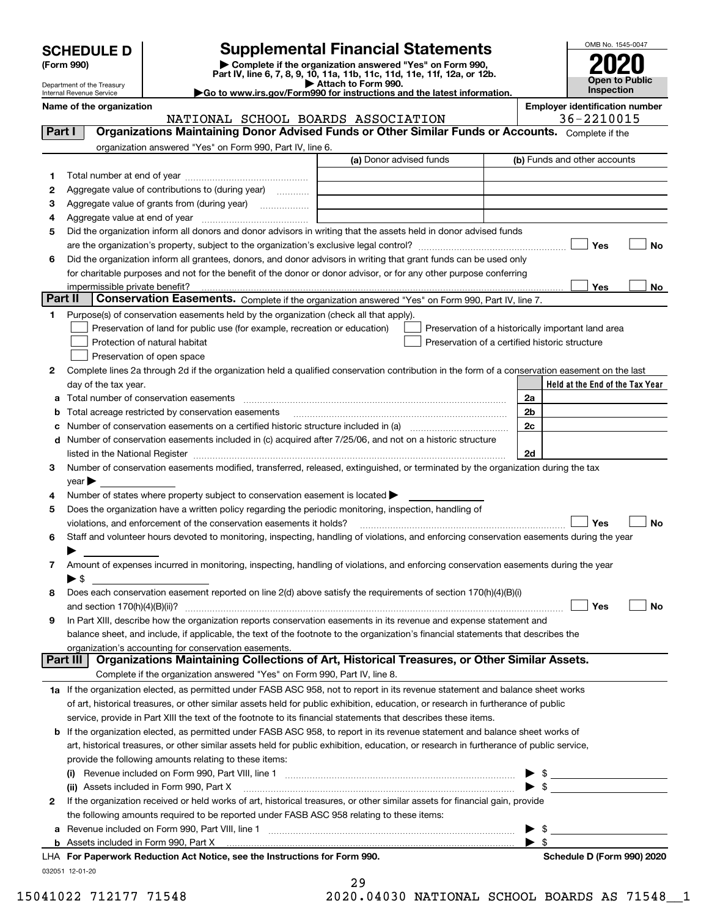| <b>SCHEDULE D</b> |  |
|-------------------|--|
|-------------------|--|

| (Form 990) |  |
|------------|--|
|------------|--|

## **Supplemental Financial Statements**

(Form 990)<br>
Pepartment of the Treasury<br>
Department of the Treasury<br>
Department of the Treasury<br>
Department of the Treasury<br> **Co to www.irs.gov/Form990 for instructions and the latest information.**<br> **Co to www.irs.gov/Form9** 



Department of the Treasury Internal Revenue Service

**Name of the organization Employer identification number**

NATIONAL SCHOOL BOARDS ASSOCIATION 36-2210015

| Part I  | Organizations Maintaining Donor Advised Funds or Other Similar Funds or Accounts. Complete if the                                              |                         |                                                    |
|---------|------------------------------------------------------------------------------------------------------------------------------------------------|-------------------------|----------------------------------------------------|
|         | organization answered "Yes" on Form 990, Part IV, line 6.                                                                                      |                         |                                                    |
|         |                                                                                                                                                | (a) Donor advised funds | (b) Funds and other accounts                       |
| 1       |                                                                                                                                                |                         |                                                    |
| 2       | Aggregate value of contributions to (during year)                                                                                              |                         |                                                    |
| з       |                                                                                                                                                |                         |                                                    |
| 4       |                                                                                                                                                |                         |                                                    |
| 5       | Did the organization inform all donors and donor advisors in writing that the assets held in donor advised funds                               |                         |                                                    |
|         |                                                                                                                                                |                         | Yes<br>No                                          |
| 6       | Did the organization inform all grantees, donors, and donor advisors in writing that grant funds can be used only                              |                         |                                                    |
|         | for charitable purposes and not for the benefit of the donor or donor advisor, or for any other purpose conferring                             |                         |                                                    |
|         | impermissible private benefit?                                                                                                                 |                         | Yes<br>No                                          |
| Part II | Conservation Easements. Complete if the organization answered "Yes" on Form 990, Part IV, line 7.                                              |                         |                                                    |
| 1       | Purpose(s) of conservation easements held by the organization (check all that apply).                                                          |                         |                                                    |
|         | Preservation of land for public use (for example, recreation or education)                                                                     |                         | Preservation of a historically important land area |
|         | Protection of natural habitat                                                                                                                  |                         | Preservation of a certified historic structure     |
|         | Preservation of open space                                                                                                                     |                         |                                                    |
| 2       | Complete lines 2a through 2d if the organization held a qualified conservation contribution in the form of a conservation easement on the last |                         |                                                    |
|         | day of the tax year.                                                                                                                           |                         | Held at the End of the Tax Year                    |
| а       | Total number of conservation easements                                                                                                         |                         | 2a                                                 |
|         | Total acreage restricted by conservation easements                                                                                             |                         | 2b                                                 |
|         | Number of conservation easements on a certified historic structure included in (a) manufacture included in (a)                                 |                         | 2c                                                 |
| d       | Number of conservation easements included in (c) acquired after 7/25/06, and not on a historic structure                                       |                         |                                                    |
|         |                                                                                                                                                |                         | 2d                                                 |
| 3       | Number of conservation easements modified, transferred, released, extinguished, or terminated by the organization during the tax               |                         |                                                    |
|         | year                                                                                                                                           |                         |                                                    |
| 4       | Number of states where property subject to conservation easement is located >                                                                  |                         |                                                    |
| 5       | Does the organization have a written policy regarding the periodic monitoring, inspection, handling of                                         |                         |                                                    |
|         | violations, and enforcement of the conservation easements it holds?                                                                            |                         | Yes<br>No                                          |
| 6       | Staff and volunteer hours devoted to monitoring, inspecting, handling of violations, and enforcing conservation easements during the year      |                         |                                                    |
| 7       | Amount of expenses incurred in monitoring, inspecting, handling of violations, and enforcing conservation easements during the year            |                         |                                                    |
|         | $\blacktriangleright$ \$                                                                                                                       |                         |                                                    |
| 8       | Does each conservation easement reported on line 2(d) above satisfy the requirements of section 170(h)(4)(B)(i)                                |                         |                                                    |
|         | and section $170(h)(4)(B)(ii)?$                                                                                                                |                         | Yes<br>No                                          |
| 9       | In Part XIII, describe how the organization reports conservation easements in its revenue and expense statement and                            |                         |                                                    |
|         | balance sheet, and include, if applicable, the text of the footnote to the organization's financial statements that describes the              |                         |                                                    |
|         | organization's accounting for conservation easements.                                                                                          |                         |                                                    |
|         | Organizations Maintaining Collections of Art, Historical Treasures, or Other Similar Assets.<br>Part III                                       |                         |                                                    |
|         | Complete if the organization answered "Yes" on Form 990, Part IV, line 8.                                                                      |                         |                                                    |
|         | 1a If the organization elected, as permitted under FASB ASC 958, not to report in its revenue statement and balance sheet works                |                         |                                                    |
|         | of art, historical treasures, or other similar assets held for public exhibition, education, or research in furtherance of public              |                         |                                                    |
|         | service, provide in Part XIII the text of the footnote to its financial statements that describes these items.                                 |                         |                                                    |
| b       | If the organization elected, as permitted under FASB ASC 958, to report in its revenue statement and balance sheet works of                    |                         |                                                    |
|         | art, historical treasures, or other similar assets held for public exhibition, education, or research in furtherance of public service,        |                         |                                                    |
|         | provide the following amounts relating to these items:                                                                                         |                         |                                                    |
|         |                                                                                                                                                |                         |                                                    |
|         | (ii) Assets included in Form 990, Part X                                                                                                       |                         |                                                    |
| 2       | If the organization received or held works of art, historical treasures, or other similar assets for financial gain, provide                   |                         |                                                    |
|         | the following amounts required to be reported under FASB ASC 958 relating to these items:                                                      |                         |                                                    |
|         |                                                                                                                                                |                         | \$                                                 |
|         | <b>b</b> Assets included in Form 990, Part X                                                                                                   |                         | $\blacktriangleright$ s                            |
|         | LHA For Paperwork Reduction Act Notice, see the Instructions for Form 990.                                                                     |                         | Schedule D (Form 990) 2020                         |

032051 12-01-20

| 29 |  |   |  |
|----|--|---|--|
| ົດ |  | . |  |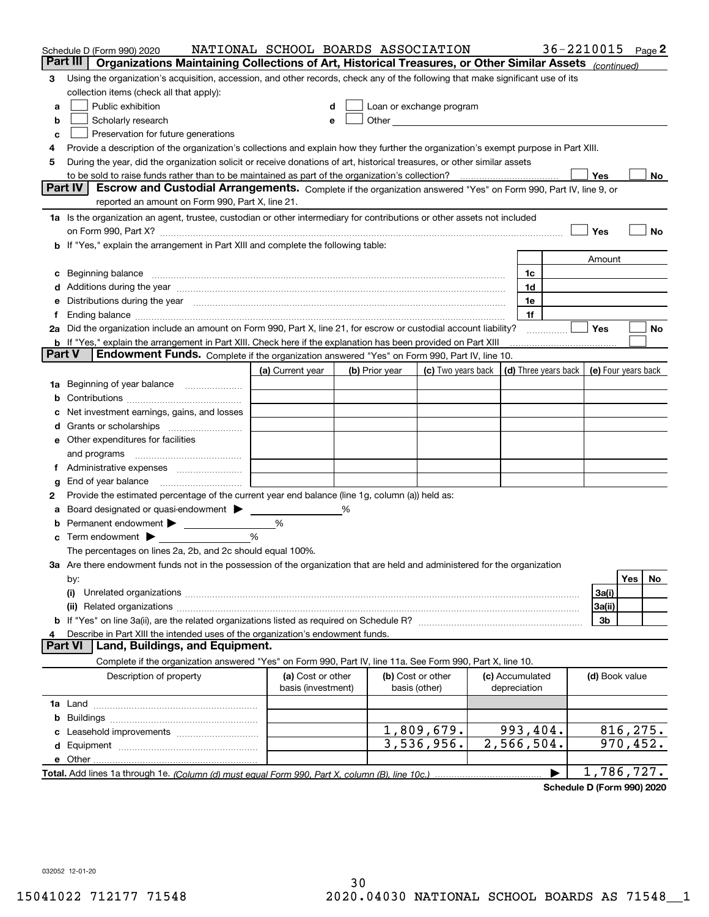|        | Schedule D (Form 990) 2020                                                                                                                                                                                                     | NATIONAL SCHOOL BOARDS ASSOCIATION |   |                |                                                                                                                                                                                                                                |                      | 36-2210015 |                     |           | Page $2$ |
|--------|--------------------------------------------------------------------------------------------------------------------------------------------------------------------------------------------------------------------------------|------------------------------------|---|----------------|--------------------------------------------------------------------------------------------------------------------------------------------------------------------------------------------------------------------------------|----------------------|------------|---------------------|-----------|----------|
|        | Organizations Maintaining Collections of Art, Historical Treasures, or Other Similar Assets (continued)<br>Part III                                                                                                            |                                    |   |                |                                                                                                                                                                                                                                |                      |            |                     |           |          |
| 3      | Using the organization's acquisition, accession, and other records, check any of the following that make significant use of its                                                                                                |                                    |   |                |                                                                                                                                                                                                                                |                      |            |                     |           |          |
|        | collection items (check all that apply):                                                                                                                                                                                       |                                    |   |                |                                                                                                                                                                                                                                |                      |            |                     |           |          |
| a      | Public exhibition                                                                                                                                                                                                              |                                    |   |                | Loan or exchange program                                                                                                                                                                                                       |                      |            |                     |           |          |
| b      | Scholarly research                                                                                                                                                                                                             | е                                  |   |                | Other and the control of the control of the control of the control of the control of the control of the control of the control of the control of the control of the control of the control of the control of the control of th |                      |            |                     |           |          |
| c      | Preservation for future generations                                                                                                                                                                                            |                                    |   |                |                                                                                                                                                                                                                                |                      |            |                     |           |          |
| 4      | Provide a description of the organization's collections and explain how they further the organization's exempt purpose in Part XIII.                                                                                           |                                    |   |                |                                                                                                                                                                                                                                |                      |            |                     |           |          |
| 5      | During the year, did the organization solicit or receive donations of art, historical treasures, or other similar assets                                                                                                       |                                    |   |                |                                                                                                                                                                                                                                |                      |            |                     |           |          |
|        | to be sold to raise funds rather than to be maintained as part of the organization's collection?                                                                                                                               |                                    |   |                |                                                                                                                                                                                                                                |                      |            | Yes                 |           | No       |
|        | Part IV<br>Escrow and Custodial Arrangements. Complete if the organization answered "Yes" on Form 990, Part IV, line 9, or                                                                                                     |                                    |   |                |                                                                                                                                                                                                                                |                      |            |                     |           |          |
|        | reported an amount on Form 990, Part X, line 21.                                                                                                                                                                               |                                    |   |                |                                                                                                                                                                                                                                |                      |            |                     |           |          |
|        | 1a Is the organization an agent, trustee, custodian or other intermediary for contributions or other assets not included                                                                                                       |                                    |   |                |                                                                                                                                                                                                                                |                      |            |                     |           |          |
|        |                                                                                                                                                                                                                                |                                    |   |                |                                                                                                                                                                                                                                |                      |            | Yes                 |           | No       |
|        | b If "Yes," explain the arrangement in Part XIII and complete the following table:                                                                                                                                             |                                    |   |                |                                                                                                                                                                                                                                |                      |            |                     |           |          |
|        |                                                                                                                                                                                                                                |                                    |   |                |                                                                                                                                                                                                                                |                      |            | Amount              |           |          |
|        | Beginning balance                                                                                                                                                                                                              |                                    |   |                |                                                                                                                                                                                                                                | 1c<br>1d             |            |                     |           |          |
|        | Additions during the year manufactured and an anti-manufactured and the year manufactured and all the year manufactured and all the year manufactured and all the year manufactured and all the year manufactured and all the  |                                    |   |                |                                                                                                                                                                                                                                | 1e                   |            |                     |           |          |
|        | Distributions during the year manufactured and continuum control of the year manufactured and control of the year manufactured and control of the year manufactured and control of the year manufactured and control of the ye |                                    |   |                |                                                                                                                                                                                                                                | 1f                   |            |                     |           |          |
|        | 2a Did the organization include an amount on Form 990, Part X, line 21, for escrow or custodial account liability?                                                                                                             |                                    |   |                |                                                                                                                                                                                                                                |                      |            | Yes                 |           | No       |
|        | <b>b</b> If "Yes," explain the arrangement in Part XIII. Check here if the explanation has been provided on Part XIII                                                                                                          |                                    |   |                |                                                                                                                                                                                                                                |                      |            |                     |           |          |
| Part V | Endowment Funds. Complete if the organization answered "Yes" on Form 990, Part IV, line 10.                                                                                                                                    |                                    |   |                |                                                                                                                                                                                                                                |                      |            |                     |           |          |
|        |                                                                                                                                                                                                                                | (a) Current year                   |   | (b) Prior year | (c) Two years back                                                                                                                                                                                                             | (d) Three years back |            | (e) Four years back |           |          |
| 1a     | Beginning of year balance                                                                                                                                                                                                      |                                    |   |                |                                                                                                                                                                                                                                |                      |            |                     |           |          |
|        |                                                                                                                                                                                                                                |                                    |   |                |                                                                                                                                                                                                                                |                      |            |                     |           |          |
|        | Net investment earnings, gains, and losses                                                                                                                                                                                     |                                    |   |                |                                                                                                                                                                                                                                |                      |            |                     |           |          |
|        |                                                                                                                                                                                                                                |                                    |   |                |                                                                                                                                                                                                                                |                      |            |                     |           |          |
| е      | Other expenditures for facilities                                                                                                                                                                                              |                                    |   |                |                                                                                                                                                                                                                                |                      |            |                     |           |          |
|        | and programs                                                                                                                                                                                                                   |                                    |   |                |                                                                                                                                                                                                                                |                      |            |                     |           |          |
|        |                                                                                                                                                                                                                                |                                    |   |                |                                                                                                                                                                                                                                |                      |            |                     |           |          |
| g      | End of year balance                                                                                                                                                                                                            |                                    |   |                |                                                                                                                                                                                                                                |                      |            |                     |           |          |
| 2      | Provide the estimated percentage of the current year end balance (line 1g, column (a)) held as:                                                                                                                                |                                    |   |                |                                                                                                                                                                                                                                |                      |            |                     |           |          |
|        | Board designated or quasi-endowment                                                                                                                                                                                            |                                    | % |                |                                                                                                                                                                                                                                |                      |            |                     |           |          |
|        | Permanent endowment                                                                                                                                                                                                            | %                                  |   |                |                                                                                                                                                                                                                                |                      |            |                     |           |          |
| с      | Term endowment $\blacktriangleright$                                                                                                                                                                                           | %                                  |   |                |                                                                                                                                                                                                                                |                      |            |                     |           |          |
|        | The percentages on lines 2a, 2b, and 2c should equal 100%.                                                                                                                                                                     |                                    |   |                |                                                                                                                                                                                                                                |                      |            |                     |           |          |
|        | 3a Are there endowment funds not in the possession of the organization that are held and administered for the organization                                                                                                     |                                    |   |                |                                                                                                                                                                                                                                |                      |            |                     |           |          |
|        | by:                                                                                                                                                                                                                            |                                    |   |                |                                                                                                                                                                                                                                |                      |            |                     | Yes       | No       |
|        | (i)                                                                                                                                                                                                                            |                                    |   |                |                                                                                                                                                                                                                                |                      |            | 3a(i)               |           |          |
|        |                                                                                                                                                                                                                                |                                    |   |                |                                                                                                                                                                                                                                |                      |            | 3a(ii)              |           |          |
|        |                                                                                                                                                                                                                                |                                    |   |                |                                                                                                                                                                                                                                |                      |            | 3b                  |           |          |
|        | Describe in Part XIII the intended uses of the organization's endowment funds.<br>Land, Buildings, and Equipment.<br>Part VI                                                                                                   |                                    |   |                |                                                                                                                                                                                                                                |                      |            |                     |           |          |
|        | Complete if the organization answered "Yes" on Form 990, Part IV, line 11a. See Form 990, Part X, line 10.                                                                                                                     |                                    |   |                |                                                                                                                                                                                                                                |                      |            |                     |           |          |
|        | Description of property                                                                                                                                                                                                        | (a) Cost or other                  |   |                | (b) Cost or other                                                                                                                                                                                                              | (c) Accumulated      |            | (d) Book value      |           |          |
|        |                                                                                                                                                                                                                                | basis (investment)                 |   |                | basis (other)                                                                                                                                                                                                                  | depreciation         |            |                     |           |          |
|        |                                                                                                                                                                                                                                |                                    |   |                |                                                                                                                                                                                                                                |                      |            |                     |           |          |
| b      |                                                                                                                                                                                                                                |                                    |   |                |                                                                                                                                                                                                                                |                      |            |                     |           |          |
|        |                                                                                                                                                                                                                                |                                    |   |                | 1,809,679.                                                                                                                                                                                                                     | 993,404.             |            |                     | 816, 275. |          |
| d      |                                                                                                                                                                                                                                |                                    |   |                | 3,536,956.                                                                                                                                                                                                                     | 2,566,504.           |            |                     | 970, 452. |          |
|        | e Other                                                                                                                                                                                                                        |                                    |   |                |                                                                                                                                                                                                                                |                      |            |                     |           |          |
|        |                                                                                                                                                                                                                                |                                    |   |                |                                                                                                                                                                                                                                |                      |            | 1,786,727.          |           |          |
|        |                                                                                                                                                                                                                                |                                    |   |                |                                                                                                                                                                                                                                |                      |            |                     |           |          |

**Schedule D (Form 990) 2020**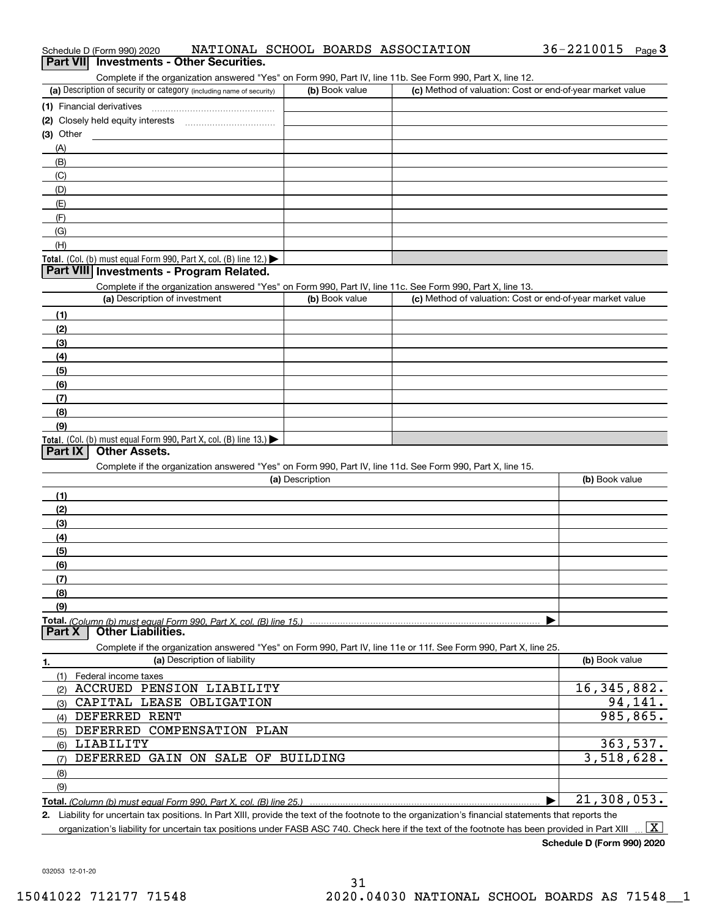| OUTINICIO II LIIC ORGINZANON ANSWEICU TES ON FONTI 330, FAILTY, INTELTIO, OCC FONN 330, FAILTA, INTELLZ.          |                 |                                                           |                |
|-------------------------------------------------------------------------------------------------------------------|-----------------|-----------------------------------------------------------|----------------|
| (a) Description of security or category (including name of security)                                              | (b) Book value  | (c) Method of valuation: Cost or end-of-year market value |                |
| (1) Financial derivatives                                                                                         |                 |                                                           |                |
|                                                                                                                   |                 |                                                           |                |
| (3) Other                                                                                                         |                 |                                                           |                |
| (A)                                                                                                               |                 |                                                           |                |
| (B)                                                                                                               |                 |                                                           |                |
| (C)                                                                                                               |                 |                                                           |                |
| (D)                                                                                                               |                 |                                                           |                |
| (E)                                                                                                               |                 |                                                           |                |
|                                                                                                                   |                 |                                                           |                |
| (F)                                                                                                               |                 |                                                           |                |
| (G)                                                                                                               |                 |                                                           |                |
| (H)                                                                                                               |                 |                                                           |                |
| Total. (Col. (b) must equal Form 990, Part X, col. (B) line 12.) $\blacktriangleright$                            |                 |                                                           |                |
| Part VIII Investments - Program Related.                                                                          |                 |                                                           |                |
| Complete if the organization answered "Yes" on Form 990, Part IV, line 11c. See Form 990, Part X, line 13.        |                 |                                                           |                |
| (a) Description of investment                                                                                     | (b) Book value  | (c) Method of valuation: Cost or end-of-year market value |                |
| (1)                                                                                                               |                 |                                                           |                |
| (2)                                                                                                               |                 |                                                           |                |
| (3)                                                                                                               |                 |                                                           |                |
| (4)                                                                                                               |                 |                                                           |                |
| (5)                                                                                                               |                 |                                                           |                |
| (6)                                                                                                               |                 |                                                           |                |
| (7)                                                                                                               |                 |                                                           |                |
| (8)                                                                                                               |                 |                                                           |                |
| (9)                                                                                                               |                 |                                                           |                |
| Total. (Col. (b) must equal Form 990, Part X, col. (B) line 13.)                                                  |                 |                                                           |                |
| <b>Other Assets.</b><br>Part IX                                                                                   |                 |                                                           |                |
| Complete if the organization answered "Yes" on Form 990, Part IV, line 11d. See Form 990, Part X, line 15.        |                 |                                                           |                |
|                                                                                                                   | (a) Description |                                                           | (b) Book value |
| (1)                                                                                                               |                 |                                                           |                |
| (2)                                                                                                               |                 |                                                           |                |
| (3)                                                                                                               |                 |                                                           |                |
| (4)                                                                                                               |                 |                                                           |                |
| (5)                                                                                                               |                 |                                                           |                |
| (6)                                                                                                               |                 |                                                           |                |
| (7)                                                                                                               |                 |                                                           |                |
| (8)                                                                                                               |                 |                                                           |                |
| (9)                                                                                                               |                 |                                                           |                |
|                                                                                                                   |                 |                                                           |                |
| Total. (Column (b) must equal Form 990. Part X, col. (B) line 15.)<br><b>Other Liabilities.</b><br><b>Part X</b>  |                 |                                                           |                |
|                                                                                                                   |                 |                                                           |                |
| Complete if the organization answered "Yes" on Form 990, Part IV, line 11e or 11f. See Form 990, Part X, line 25. |                 |                                                           | (b) Book value |
| (a) Description of liability<br>1.                                                                                |                 |                                                           |                |
| (1) Federal income taxes                                                                                          |                 |                                                           |                |
| ACCRUED PENSION LIABILITY<br>(2)                                                                                  |                 |                                                           | 16, 345, 882.  |
| CAPITAL LEASE OBLIGATION<br>(3)                                                                                   |                 |                                                           | 94,141.        |
| (4) DEFERRED RENT                                                                                                 |                 |                                                           | 985, 865.      |
| DEFERRED COMPENSATION PLAN<br>(5)                                                                                 |                 |                                                           |                |
| LIABILITY<br>(6)                                                                                                  |                 |                                                           | 363,537.       |
| DEFERRED GAIN ON SALE OF<br>(7)                                                                                   | <b>BUILDING</b> |                                                           | 3,518,628.     |
| (8)                                                                                                               |                 |                                                           |                |
| (9)                                                                                                               |                 |                                                           |                |
| Total. (Column (b) must equal Form 990, Part X, col. (B) line 25.)                                                |                 |                                                           | 21,308,053.    |
|                                                                                                                   |                 |                                                           |                |

**2.** Liability for uncertain tax positions. In Part XIII, provide the text of the footnote to the organization's financial statements that reports the organization's liability for uncertain tax positions under FASB ASC 740. Check here if the text of the footnote has been provided in Part XIII  $\boxed{\text{X}}$ 

032053 12-01-20

# Schedule D (Form 990) 2020 NATIONAL SCHOOL BOARDS ASSOCIATION 36-2210015 <sub>Page</sub> 3<br>| **Part VII** | Investments - Other Securities.

Complete if the organization answered "Yes" on Form 990, Part IV, line 11b. See Form 990, Part X, line 12.

| (a) Description of security or category (including name of security) | (b) Book value | (c) Method of valuation: Cost or end-of-year market value |
|----------------------------------------------------------------------|----------------|-----------------------------------------------------------|
| 1) Financial derivatives                                             |                |                                                           |
| 2) Closely held equity interests                                     |                |                                                           |
| 3) Other                                                             |                |                                                           |
| (A)                                                                  |                |                                                           |
| (B)                                                                  |                |                                                           |
| (C)                                                                  |                |                                                           |
| (D)                                                                  |                |                                                           |
| (E)                                                                  |                |                                                           |
| (F)                                                                  |                |                                                           |
| (G)                                                                  |                |                                                           |
| (H)                                                                  |                |                                                           |
| $\int$ otal (Col (b) must equal Form 990 Part X col (B) line 12)     |                |                                                           |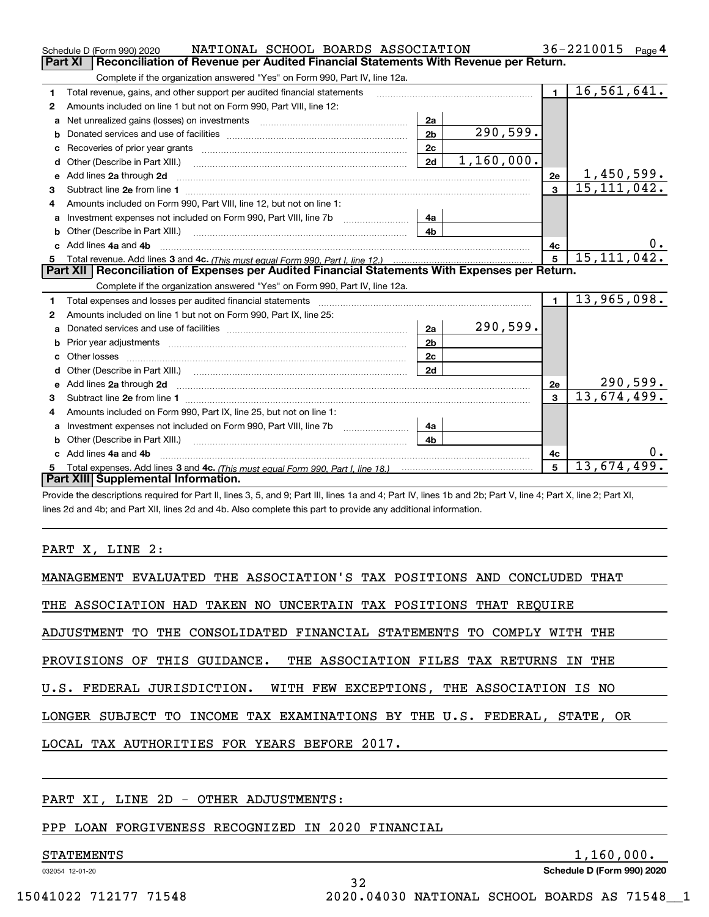|         | NATIONAL SCHOOL BOARDS ASSOCIATION<br>Schedule D (Form 990) 2020                                                                                                                                                                     |                |            |                | 36-2210015<br>Page $4$     |
|---------|--------------------------------------------------------------------------------------------------------------------------------------------------------------------------------------------------------------------------------------|----------------|------------|----------------|----------------------------|
| Part XI | Reconciliation of Revenue per Audited Financial Statements With Revenue per Return.                                                                                                                                                  |                |            |                |                            |
|         | Complete if the organization answered "Yes" on Form 990, Part IV, line 12a.                                                                                                                                                          |                |            |                |                            |
| 1       | Total revenue, gains, and other support per audited financial statements                                                                                                                                                             |                |            | $\blacksquare$ | $\overline{16, 561, 641.}$ |
| 2       | Amounts included on line 1 but not on Form 990, Part VIII, line 12:                                                                                                                                                                  |                |            |                |                            |
| a       |                                                                                                                                                                                                                                      | 2a             |            |                |                            |
| b       |                                                                                                                                                                                                                                      | 2 <sub>b</sub> | 290,599.   |                |                            |
|         |                                                                                                                                                                                                                                      | 2c             |            |                |                            |
| d       | Other (Describe in Part XIII.) <b>2006</b> 2007 2010 2010 2010 2010 2011 2012 2013 2014 2014 2015 2016 2017 2018 2019 2016 2017 2018 2019 2016 2017 2018 2019 2016 2017 2018 2019 2018 2019 2019 2016 2017 2018 2019 2018 2019 2019  | 2d             | 1,160,000. |                |                            |
| е       | Add lines 2a through 2d                                                                                                                                                                                                              |                |            | 2e             | <u>1,450,599.</u>          |
| 3       |                                                                                                                                                                                                                                      |                |            | $\overline{3}$ | 15, 111, 042.              |
| 4       | Amounts included on Form 990, Part VIII, line 12, but not on line 1:                                                                                                                                                                 |                |            |                |                            |
| a       |                                                                                                                                                                                                                                      | 4a             |            |                |                            |
|         |                                                                                                                                                                                                                                      | 4 <sub>b</sub> |            |                |                            |
| c.      | Add lines 4a and 4b                                                                                                                                                                                                                  |                |            | 4c             |                            |
|         |                                                                                                                                                                                                                                      |                |            |                |                            |
|         |                                                                                                                                                                                                                                      |                |            | 5              | 15, 111, 042.              |
|         | Part XII   Reconciliation of Expenses per Audited Financial Statements With Expenses per Return.                                                                                                                                     |                |            |                |                            |
|         | Complete if the organization answered "Yes" on Form 990, Part IV, line 12a.                                                                                                                                                          |                |            |                |                            |
| 1       | Total expenses and losses per audited financial statements                                                                                                                                                                           |                |            | $\blacksquare$ | 13,965,098.                |
| 2       | Amounts included on line 1 but not on Form 990, Part IX, line 25:                                                                                                                                                                    |                |            |                |                            |
| a       |                                                                                                                                                                                                                                      | 2a             | 290,599.   |                |                            |
| b       |                                                                                                                                                                                                                                      | 2 <sub>b</sub> |            |                |                            |
|         | Other losses                                                                                                                                                                                                                         | 2c             |            |                |                            |
| d       | Other (Describe in Part XIII.) (2000) (2000) (2000) (2000) (2000) (2000) (2000) (2000) (2000) (2000) (2000) (2000) (2000) (2000) (2000) (2000) (2000) (2000) (2000) (2000) (2000) (2000) (2000) (2000) (2000) (2000) (2000) (2       | 2d             |            |                |                            |
| е       | Add lines 2a through 2d <b>continuum continuum contract and all the contract and all the contract and all the contract of the contract of the contract of the contract of the contract of the contract of the contract of the co</b> |                |            | 2e             | <u>290,599.</u>            |
| 3       |                                                                                                                                                                                                                                      |                |            | $\mathbf{3}$   | 13,674,499.                |
| 4       | Amounts included on Form 990, Part IX, line 25, but not on line 1:                                                                                                                                                                   |                |            |                |                            |
| a       | Investment expenses not included on Form 990, Part VIII, line 7b [1000000000000000000000000000000000                                                                                                                                 | 4a             |            |                |                            |
| b       | Other (Describe in Part XIII.)                                                                                                                                                                                                       | 4 <sub>b</sub> |            |                |                            |
| c       | Add lines 4a and 4b                                                                                                                                                                                                                  |                |            | 4c             |                            |
|         | Part XIII Supplemental Information.                                                                                                                                                                                                  |                |            | 5              | 13,674,499.                |

Provide the descriptions required for Part II, lines 3, 5, and 9; Part III, lines 1a and 4; Part IV, lines 1b and 2b; Part V, line 4; Part X, line 2; Part XI, lines 2d and 4b; and Part XII, lines 2d and 4b. Also complete this part to provide any additional information.

#### PART X, LINE 2:

| MANAGEMENT EVALUATED THE ASSOCIATION'S TAX POSITIONS AND CONCLUDED THAT  |
|--------------------------------------------------------------------------|
| THE ASSOCIATION HAD TAKEN NO UNCERTAIN TAX POSITIONS THAT REOUIRE        |
| ADJUSTMENT TO THE CONSOLIDATED FINANCIAL STATEMENTS TO COMPLY WITH THE   |
| PROVISIONS OF THIS GUIDANCE. THE ASSOCIATION FILES TAX RETURNS IN THE    |
| U.S. FEDERAL JURISDICTION. WITH FEW EXCEPTIONS, THE ASSOCIATION IS NO    |
| LONGER SUBJECT TO INCOME TAX EXAMINATIONS BY THE U.S. FEDERAL, STATE, OR |
| LOCAL TAX AUTHORITIES FOR YEARS BEFORE 2017.                             |
|                                                                          |

32

PART XI, LINE 2D - OTHER ADJUSTMENTS:

PPP LOAN FORGIVENESS RECOGNIZED IN 2020 FINANCIAL

#### STATEMENTS 1,160,000.

032054 12-01-20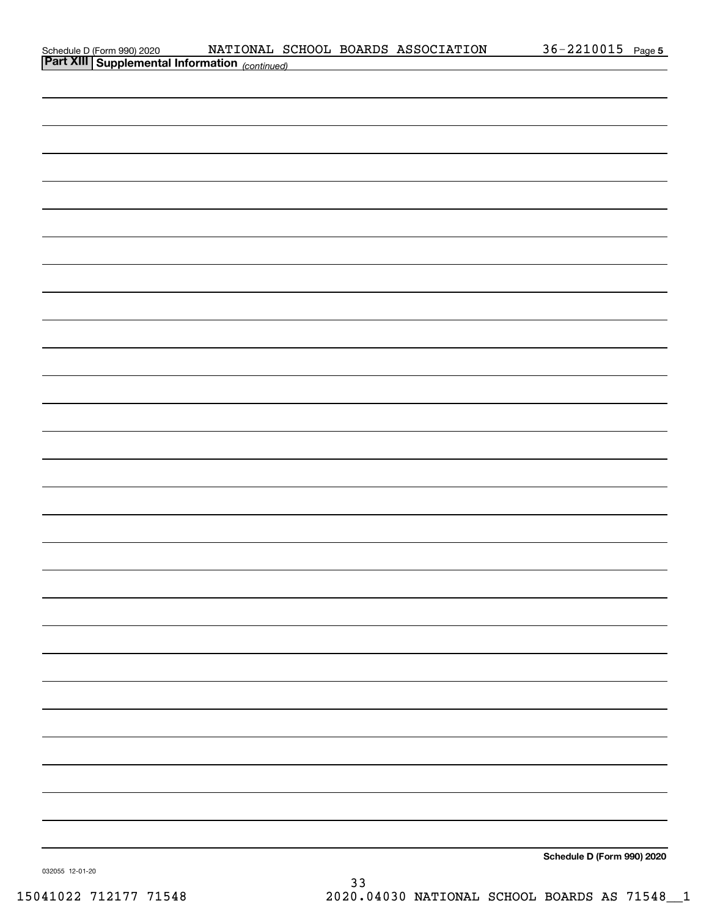| Schedule D (Form 990) 2020  |  |  |
|-----------------------------|--|--|
| $R \rightarrow \text{VIII}$ |  |  |

| <b>Part XIII Supplemental Information</b> (continued) |                            |
|-------------------------------------------------------|----------------------------|
|                                                       |                            |
|                                                       |                            |
|                                                       |                            |
|                                                       |                            |
|                                                       |                            |
|                                                       |                            |
|                                                       |                            |
|                                                       |                            |
|                                                       |                            |
|                                                       |                            |
|                                                       |                            |
|                                                       |                            |
|                                                       |                            |
|                                                       |                            |
|                                                       |                            |
|                                                       |                            |
|                                                       |                            |
|                                                       |                            |
|                                                       |                            |
|                                                       |                            |
|                                                       |                            |
|                                                       |                            |
|                                                       |                            |
|                                                       |                            |
|                                                       |                            |
|                                                       |                            |
|                                                       |                            |
|                                                       |                            |
|                                                       |                            |
|                                                       |                            |
|                                                       | Schedule D (Form 990) 2020 |
|                                                       |                            |

032055 12-01-20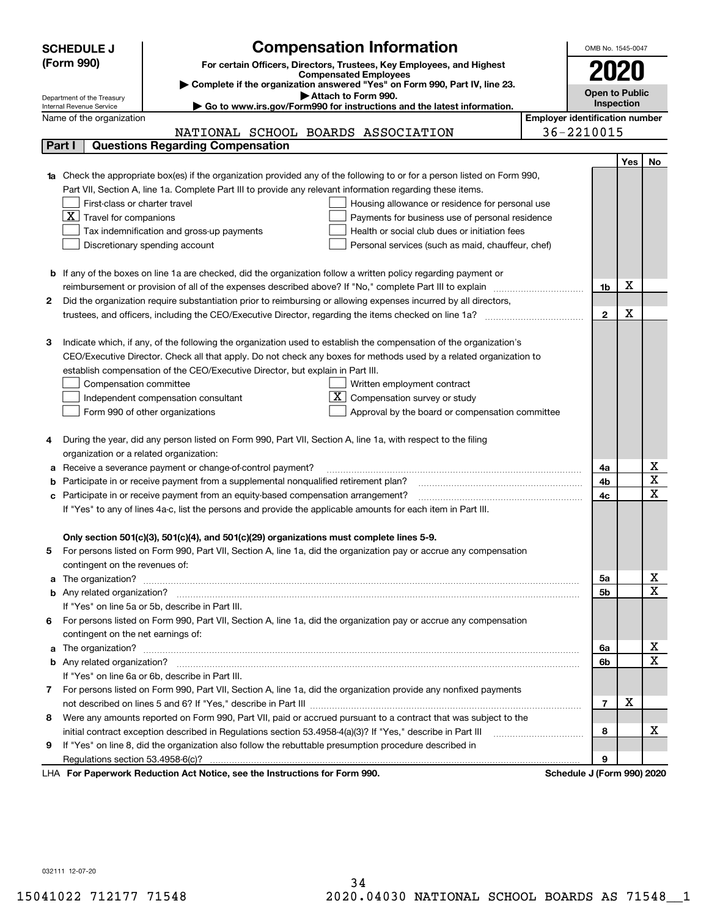|        | <b>Compensation Information</b><br><b>SCHEDULE J</b>                                                                                                                                                                               | OMB No. 1545-0047     |     |    |  |  |  |
|--------|------------------------------------------------------------------------------------------------------------------------------------------------------------------------------------------------------------------------------------|-----------------------|-----|----|--|--|--|
|        | (Form 990)<br>For certain Officers, Directors, Trustees, Key Employees, and Highest                                                                                                                                                | 2020                  |     |    |  |  |  |
|        | <b>Compensated Employees</b>                                                                                                                                                                                                       |                       |     |    |  |  |  |
|        | Complete if the organization answered "Yes" on Form 990, Part IV, line 23.<br>Attach to Form 990.                                                                                                                                  | <b>Open to Public</b> |     |    |  |  |  |
|        | Department of the Treasury<br>Go to www.irs.gov/Form990 for instructions and the latest information.<br>Internal Revenue Service                                                                                                   | Inspection            |     |    |  |  |  |
|        | <b>Employer identification number</b><br>Name of the organization                                                                                                                                                                  |                       |     |    |  |  |  |
|        | 36-2210015<br>NATIONAL SCHOOL BOARDS ASSOCIATION                                                                                                                                                                                   |                       |     |    |  |  |  |
| Part I | <b>Questions Regarding Compensation</b>                                                                                                                                                                                            |                       |     |    |  |  |  |
|        |                                                                                                                                                                                                                                    |                       | Yes | No |  |  |  |
|        | Check the appropriate box(es) if the organization provided any of the following to or for a person listed on Form 990,                                                                                                             |                       |     |    |  |  |  |
|        | Part VII, Section A, line 1a. Complete Part III to provide any relevant information regarding these items.                                                                                                                         |                       |     |    |  |  |  |
|        | First-class or charter travel<br>Housing allowance or residence for personal use                                                                                                                                                   |                       |     |    |  |  |  |
|        | $\overline{X}$ Travel for companions<br>Payments for business use of personal residence                                                                                                                                            |                       |     |    |  |  |  |
|        | Tax indemnification and gross-up payments<br>Health or social club dues or initiation fees                                                                                                                                         |                       |     |    |  |  |  |
|        | Discretionary spending account<br>Personal services (such as maid, chauffeur, chef)                                                                                                                                                |                       |     |    |  |  |  |
|        |                                                                                                                                                                                                                                    |                       |     |    |  |  |  |
|        | <b>b</b> If any of the boxes on line 1a are checked, did the organization follow a written policy regarding payment or<br>reimbursement or provision of all of the expenses described above? If "No," complete Part III to explain | 1b                    | X   |    |  |  |  |
| 2      | Did the organization require substantiation prior to reimbursing or allowing expenses incurred by all directors,                                                                                                                   |                       |     |    |  |  |  |
|        |                                                                                                                                                                                                                                    |                       |     |    |  |  |  |
|        |                                                                                                                                                                                                                                    | $\mathbf{2}$          | X   |    |  |  |  |
| з      | Indicate which, if any, of the following the organization used to establish the compensation of the organization's                                                                                                                 |                       |     |    |  |  |  |
|        | CEO/Executive Director. Check all that apply. Do not check any boxes for methods used by a related organization to                                                                                                                 |                       |     |    |  |  |  |
|        | establish compensation of the CEO/Executive Director, but explain in Part III.                                                                                                                                                     |                       |     |    |  |  |  |
|        | Compensation committee<br>Written employment contract                                                                                                                                                                              |                       |     |    |  |  |  |
|        | Compensation survey or study<br>Independent compensation consultant                                                                                                                                                                |                       |     |    |  |  |  |
|        | Form 990 of other organizations<br>Approval by the board or compensation committee                                                                                                                                                 |                       |     |    |  |  |  |
|        |                                                                                                                                                                                                                                    |                       |     |    |  |  |  |
| 4      | During the year, did any person listed on Form 990, Part VII, Section A, line 1a, with respect to the filing                                                                                                                       |                       |     |    |  |  |  |
|        | organization or a related organization:                                                                                                                                                                                            |                       |     |    |  |  |  |
| а      | Receive a severance payment or change-of-control payment?                                                                                                                                                                          | 4a                    |     | х  |  |  |  |
| b      | Participate in or receive payment from a supplemental nonqualified retirement plan?                                                                                                                                                | 4b                    |     | X  |  |  |  |
| c      | Participate in or receive payment from an equity-based compensation arrangement?                                                                                                                                                   | 4c                    |     | X  |  |  |  |
|        | If "Yes" to any of lines 4a-c, list the persons and provide the applicable amounts for each item in Part III.                                                                                                                      |                       |     |    |  |  |  |
|        |                                                                                                                                                                                                                                    |                       |     |    |  |  |  |
|        | Only section 501(c)(3), 501(c)(4), and 501(c)(29) organizations must complete lines 5-9.<br>For persons listed on Form 990, Part VII, Section A, line 1a, did the organization pay or accrue any compensation                      |                       |     |    |  |  |  |
|        |                                                                                                                                                                                                                                    |                       |     |    |  |  |  |
| a      | contingent on the revenues of:                                                                                                                                                                                                     | 5a                    |     | x  |  |  |  |
|        |                                                                                                                                                                                                                                    | 5b                    |     | X  |  |  |  |
|        | If "Yes" on line 5a or 5b, describe in Part III.                                                                                                                                                                                   |                       |     |    |  |  |  |
| 6.     | For persons listed on Form 990, Part VII, Section A, line 1a, did the organization pay or accrue any compensation                                                                                                                  |                       |     |    |  |  |  |
|        | contingent on the net earnings of:                                                                                                                                                                                                 |                       |     |    |  |  |  |
| a      |                                                                                                                                                                                                                                    | 6a                    |     | x  |  |  |  |
|        |                                                                                                                                                                                                                                    | 6b                    |     | X  |  |  |  |
|        | If "Yes" on line 6a or 6b, describe in Part III.                                                                                                                                                                                   |                       |     |    |  |  |  |
|        | 7 For persons listed on Form 990, Part VII, Section A, line 1a, did the organization provide any nonfixed payments                                                                                                                 |                       |     |    |  |  |  |
|        |                                                                                                                                                                                                                                    | $\overline{7}$        | х   |    |  |  |  |
| 8      | Were any amounts reported on Form 990, Part VII, paid or accrued pursuant to a contract that was subject to the                                                                                                                    |                       |     |    |  |  |  |
|        | initial contract exception described in Regulations section 53.4958-4(a)(3)? If "Yes," describe in Part III                                                                                                                        | 8                     |     | х  |  |  |  |
| 9      | If "Yes" on line 8, did the organization also follow the rebuttable presumption procedure described in                                                                                                                             |                       |     |    |  |  |  |
|        | Regulations section 53.4958-6(c)?                                                                                                                                                                                                  | 9                     |     |    |  |  |  |
|        | <b>Department Beduction Act Notice, eac the Instructions for Form 000</b><br>Schoolule I (Form 000) 2020                                                                                                                           |                       |     |    |  |  |  |

LHA For Paperwork Reduction Act Notice, see the Instructions for Form 990. Schedule J (Form 990) 2020

032111 12-07-20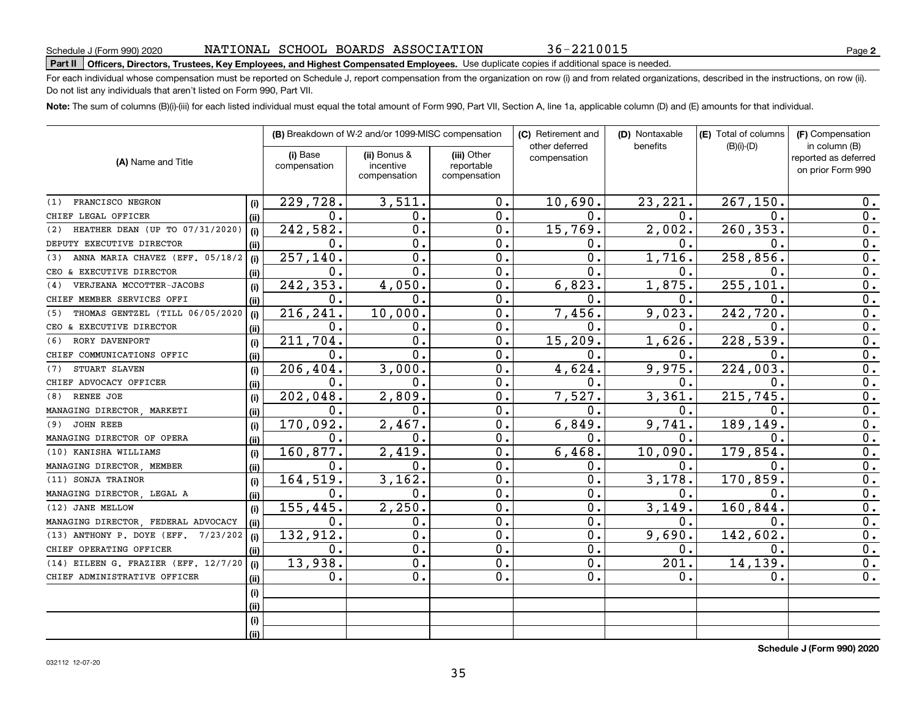For each individual whose compensation must be reported on Schedule J, report compensation from the organization on row (i) and from related organizations, described in the instructions, on row (ii). Do not list any individuals that aren't listed on Form 990, Part VII.

**Note:**  The sum of columns (B)(i)-(iii) for each listed individual must equal the total amount of Form 990, Part VII, Section A, line 1a, applicable column (D) and (E) amounts for that individual.

|                                        |             |                          | (B) Breakdown of W-2 and/or 1099-MISC compensation |                                           | (C) Retirement and<br>other deferred | (D) Nontaxable<br>benefits | (E) Total of columns<br>$(B)(i)-(D)$ | (F) Compensation<br>in column (B)         |  |  |
|----------------------------------------|-------------|--------------------------|----------------------------------------------------|-------------------------------------------|--------------------------------------|----------------------------|--------------------------------------|-------------------------------------------|--|--|
| (A) Name and Title                     |             | (i) Base<br>compensation | (ii) Bonus &<br>incentive<br>compensation          | (iii) Other<br>reportable<br>compensation | compensation                         |                            |                                      | reported as deferred<br>on prior Form 990 |  |  |
| FRANCISCO NEGRON<br>(1)                |             | 229,728.                 | 3,511.                                             | 0.                                        | 10,690.                              | 23, 221.                   | 267, 150.                            | 0.                                        |  |  |
| CHIEF LEGAL OFFICER                    | (i)         | 0.                       | 0.                                                 | 0.                                        | 0.                                   | 0.                         | $\mathbf 0$ .                        | 0.                                        |  |  |
| HEATHER DEAN (UP TO 07/31/2020)<br>(2) | (ii)        | 242,582.                 | $\mathbf 0$ .                                      | 0.                                        | 15,769.                              | 2,002.                     | 260, 353.                            | 0.                                        |  |  |
| DEPUTY EXECUTIVE DIRECTOR              | (i)<br>(ii) | 0.                       | $\mathbf 0$                                        | 0.                                        | 0.                                   | 0.                         | 0.                                   | $\overline{0}$ .                          |  |  |
| ANNA MARIA CHAVEZ (EFF. 05/18/2<br>(3) | (i)         | 257,140.                 | $\mathbf 0$ .                                      | 0.                                        | $\mathbf{0}$ .                       | 1,716.                     | 258,856.                             | $\overline{0}$ .                          |  |  |
| CEO & EXECUTIVE DIRECTOR               | (ii)        | 0.                       | $\mathbf 0$ .                                      | 0.                                        | $\overline{0}$ .                     | Ο.                         | 0.                                   | $\overline{0}$ .                          |  |  |
| VERJEANA MCCOTTER-JACOBS<br>(4)        | (i)         | 242,353.                 | 4,050.                                             | 0.                                        | 6,823.                               | 1,875.                     | 255, 101.                            | 0.                                        |  |  |
| CHIEF MEMBER SERVICES OFFI             | (ii)        | ο.                       | 0.                                                 | 0.                                        | 0.                                   | О.                         | $\mathbf 0$ .                        | 0.                                        |  |  |
| THOMAS GENTZEL (TILL 06/05/2020<br>(5) | (i)         | 216,241.                 | 10,000.                                            | 0.                                        | 7,456.                               | 9,023.                     | 242,720.                             | 0.                                        |  |  |
| CEO & EXECUTIVE DIRECTOR               | (ii)        | 0.                       | 0.                                                 | 0.                                        | 0.                                   | 0.                         | $\mathbf 0$ .                        | 0.                                        |  |  |
| RORY DAVENPORT<br>(6)                  | (i)         | 211,704.                 | $\mathbf 0$ .                                      | 0.                                        | 15, 209.                             | 1,626.                     | 228,539.                             | 0.                                        |  |  |
| CHIEF COMMUNICATIONS OFFIC             | (ii)        | 0.                       | $\mathbf 0$ .                                      | 0.                                        | 0.                                   | О.                         | $\mathbf 0$ .                        | 0.                                        |  |  |
| STUART SLAVEN<br>(7)                   | (i)         | 206,404.                 | 3,000.                                             | 0.                                        | 4,624.                               | 9,975.                     | 224,003.                             | 0.                                        |  |  |
| CHIEF ADVOCACY OFFICER                 | (ii)        | 0.                       | 0.                                                 | $\mathbf 0$ .                             | 0.                                   | 0.                         | 0.                                   | 0.                                        |  |  |
| RENEE JOE<br>(8)                       | (i)         | 202,048.                 | 2,809.                                             | 0.                                        | 7,527.                               | 3,361.                     | 215,745.                             | $\overline{0}$ .                          |  |  |
| MANAGING DIRECTOR, MARKETI             | (iii)       | 0.                       | $\mathbf 0$ .                                      | 0.                                        | 0.                                   | 0.                         | $\mathbf 0$ .                        | $\overline{0}$ .                          |  |  |
| <b>JOHN REEB</b><br>(9)                | (i)         | 170,092.                 | 2,467.                                             | 0.                                        | 6,849.                               | 9,741.                     | 189,149.                             | 0.                                        |  |  |
| MANAGING DIRECTOR OF OPERA             | (iii)       | $\mathbf 0$ .            | $\mathbf 0$ .                                      | $\mathbf 0$ .                             | 0.                                   | $\mathbf 0$ .              | $\mathbf 0$ .                        | 0.                                        |  |  |
| (10) KANISHA WILLIAMS                  | (i)         | 160,877.                 | 2,419.                                             | $\mathbf 0$ .                             | 6,468.                               | 10,090.                    | 179,854.                             | 0.                                        |  |  |
| MANAGING DIRECTOR, MEMBER              | (ii)        | 0.                       | $\mathbf 0$ .                                      | 0.                                        | 0.                                   | 0.                         | 0.                                   | 0.                                        |  |  |
| (11) SONJA TRAINOR                     | (i)         | 164,519.                 | 3, 162.                                            | 0.                                        | $\overline{0}$ .                     | 3,178.                     | 170,859.                             | 0.                                        |  |  |
| MANAGING DIRECTOR, LEGAL A             | (ii)        | 0.                       | 0.                                                 | 0.                                        | $\mathbf 0$ .                        | 0.                         | 0.                                   | 0.                                        |  |  |
| (12) JANE MELLOW                       | (i)         | 155, 445.                | 2,250.                                             | $\mathbf 0$ .                             | $\mathbf 0$ .                        | 3,149.                     | 160,844                              | 0.                                        |  |  |
| MANAGING DIRECTOR, FEDERAL ADVOCACY    | (ii)        | $\mathbf 0$ .            | 0.                                                 | $\mathbf 0$ .                             | $\mathbf 0$ .                        | о.                         | 0.                                   | 0.                                        |  |  |
| (13) ANTHONY P. DOYE (EFF. 7/23/202    | (i)         | 132,912.                 | $\mathbf 0$ .                                      | $\mathbf 0$ .                             | 0.                                   | 9,690.                     | 142,602.                             | 0.                                        |  |  |
| CHIEF OPERATING OFFICER                | (ii)        | 0.                       | $\mathbf 0$ .                                      | $\mathbf 0$ .                             | $\mathbf 0$ .                        | о.                         | 0.                                   | 0.                                        |  |  |
| (14) EILEEN G. FRAZIER (EFF. 12/7/20   | (i)         | 13,938.                  | $\mathbf 0$ .                                      | $\mathbf 0$ .                             | 0.                                   | 201.                       | 14,139.                              | $0$ .                                     |  |  |
| CHIEF ADMINISTRATIVE OFFICER           | (ii)        | 0.                       | 0.                                                 | 0.                                        | 0.                                   | 0.                         | 0.                                   | 0.                                        |  |  |
|                                        | (i)         |                          |                                                    |                                           |                                      |                            |                                      |                                           |  |  |
|                                        | (ii)        |                          |                                                    |                                           |                                      |                            |                                      |                                           |  |  |
|                                        | (i)         |                          |                                                    |                                           |                                      |                            |                                      |                                           |  |  |
|                                        | (ii)        |                          |                                                    |                                           |                                      |                            |                                      |                                           |  |  |

**Schedule J (Form 990) 2020**

36-2210015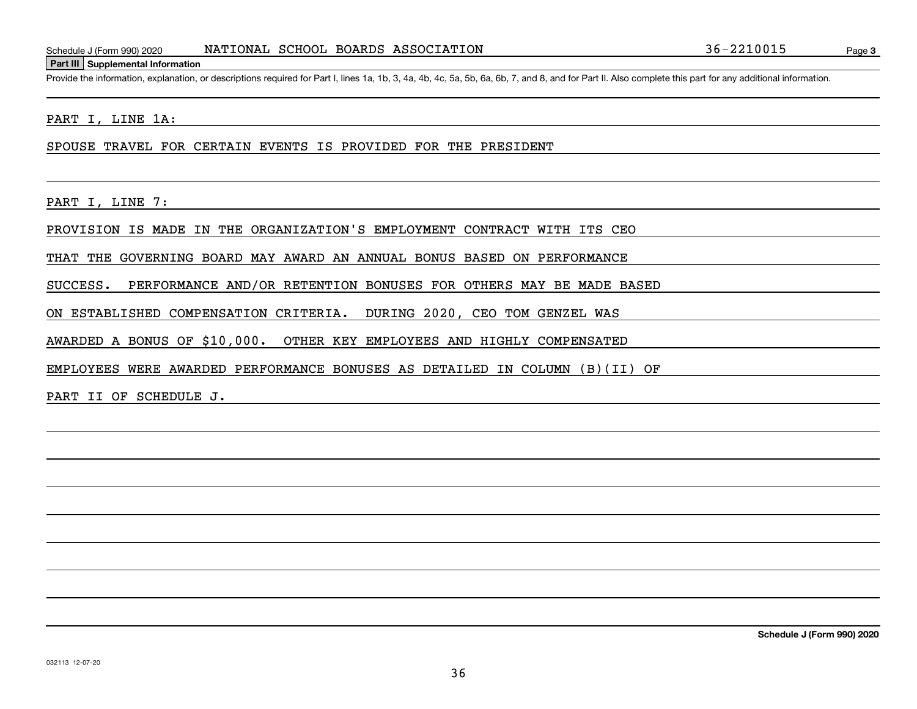#### **Part III Supplemental Information**

Schedule J (Form 990) 2020 NATIONAL SCHOOL BOARDS ASSOCIATION 36-2210015<br>Part III Supplemental Information<br>Provide the information, explanation, or descriptions required for Part I, lines 1a, 1b, 3, 4a, 4b, 4c, 5a, 5b, 6a,

PART I, LINE 1A:

SPOUSE TRAVEL FOR CERTAIN EVENTS IS PROVIDED FOR THE PRESIDENT

PART I, LINE 7:

PROVISION IS MADE IN THE ORGANIZATION'S EMPLOYMENT CONTRACT WITH ITS CEO

THAT THE GOVERNING BOARD MAY AWARD AN ANNUAL BONUS BASED ON PERFORMANCE

SUCCESS. PERFORMANCE AND/OR RETENTION BONUSES FOR OTHERS MAY BE MADE BASED

ON ESTABLISHED COMPENSATION CRITERIA. DURING 2020, CEO TOM GENZEL WAS

AWARDED A BONUS OF \$10,000. OTHER KEY EMPLOYEES AND HIGHLY COMPENSATED

EMPLOYEES WERE AWARDED PERFORMANCE BONUSES AS DETAILED IN COLUMN (B)(II) OF

PART II OF SCHEDULE J.

**Schedule J (Form 990) 2020**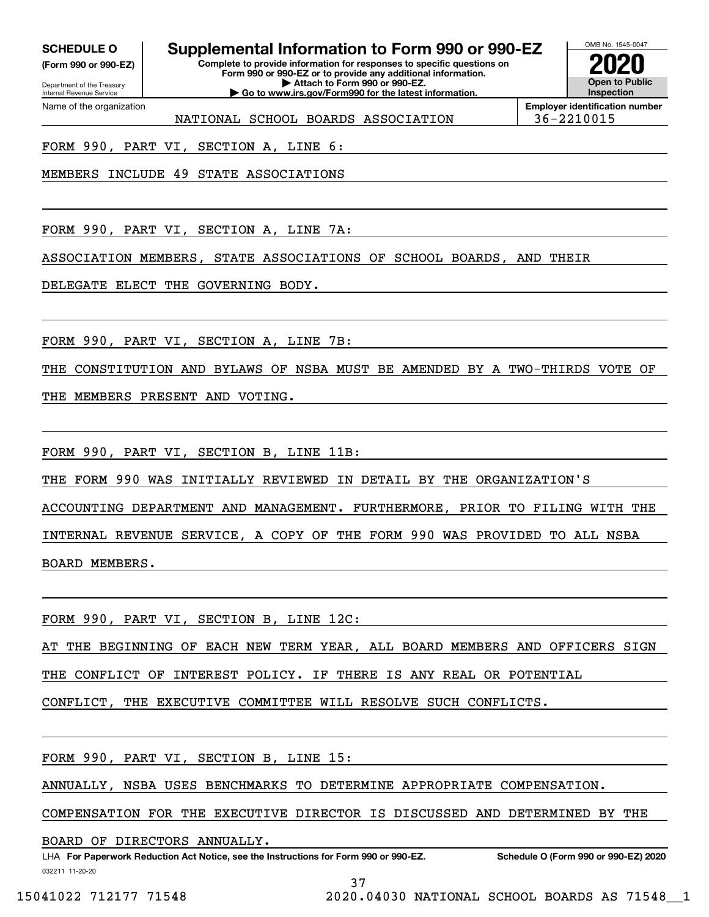**(Form 990 or 990-EZ)**

Department of the Treasury Internal Revenue Service Name of the organization

## **SCHEDULE O Supplemental Information to Form 990 or 990-EZ**

**Complete to provide information for responses to specific questions on Form 990 or 990-EZ or to provide any additional information. | Attach to Form 990 or 990-EZ. | Go to www.irs.gov/Form990 for the latest information.**



**Employer identification number** NATIONAL SCHOOL BOARDS ASSOCIATION 36-2210015

FORM 990, PART VI, SECTION A, LINE 6:

MEMBERS INCLUDE 49 STATE ASSOCIATIONS

FORM 990, PART VI, SECTION A, LINE 7A:

ASSOCIATION MEMBERS, STATE ASSOCIATIONS OF SCHOOL BOARDS, AND THEIR

DELEGATE ELECT THE GOVERNING BODY.

FORM 990, PART VI, SECTION A, LINE 7B:

THE CONSTITUTION AND BYLAWS OF NSBA MUST BE AMENDED BY A TWO-THIRDS VOTE OF

THE MEMBERS PRESENT AND VOTING.

FORM 990, PART VI, SECTION B, LINE 11B:

THE FORM 990 WAS INITIALLY REVIEWED IN DETAIL BY THE ORGANIZATION'S

ACCOUNTING DEPARTMENT AND MANAGEMENT. FURTHERMORE, PRIOR TO FILING WITH THE

INTERNAL REVENUE SERVICE, A COPY OF THE FORM 990 WAS PROVIDED TO ALL NSBA

BOARD MEMBERS.

FORM 990, PART VI, SECTION B, LINE 12C:

THE BEGINNING OF EACH NEW TERM YEAR, ALL BOARD MEMBERS AND OFFICERS SIGN THE CONFLICT OF INTEREST POLICY. IF THERE IS ANY REAL OR POTENTIAL

CONFLICT, THE EXECUTIVE COMMITTEE WILL RESOLVE SUCH CONFLICTS.

FORM 990, PART VI, SECTION B, LINE 15:

ANNUALLY, NSBA USES BENCHMARKS TO DETERMINE APPROPRIATE COMPENSATION.

COMPENSATION FOR THE EXECUTIVE DIRECTOR IS DISCUSSED AND DETERMINED BY THE

BOARD OF DIRECTORS ANNUALLY.

032211 11-20-20 LHA For Paperwork Reduction Act Notice, see the Instructions for Form 990 or 990-EZ. Schedule O (Form 990 or 990-EZ) 2020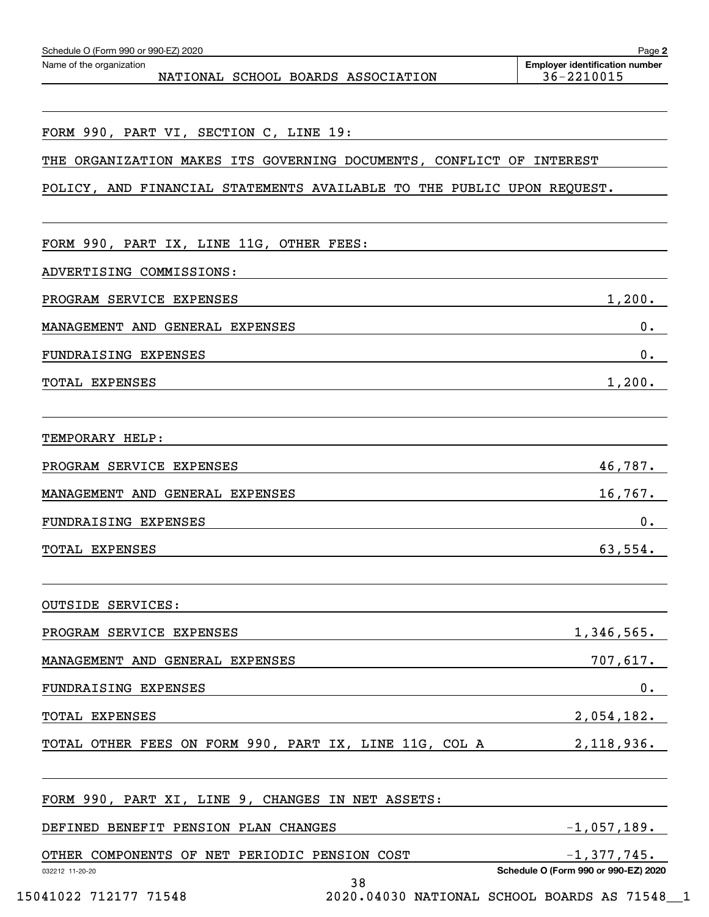| Schedule O (Form 990 or 990-EZ) 2020                                    | Page 2                                              |
|-------------------------------------------------------------------------|-----------------------------------------------------|
| Name of the organization<br>NATIONAL SCHOOL BOARDS ASSOCIATION          | <b>Employer identification number</b><br>36-2210015 |
|                                                                         |                                                     |
| FORM 990, PART VI, SECTION C, LINE 19:                                  |                                                     |
| ORGANIZATION MAKES ITS GOVERNING DOCUMENTS, CONFLICT OF INTEREST<br>THE |                                                     |
| POLICY, AND FINANCIAL STATEMENTS AVAILABLE TO THE PUBLIC UPON REQUEST.  |                                                     |
| FORM 990, PART IX, LINE 11G, OTHER FEES:                                |                                                     |
| ADVERTISING COMMISSIONS:                                                |                                                     |
| PROGRAM SERVICE EXPENSES                                                | 1,200.                                              |
| MANAGEMENT AND GENERAL EXPENSES                                         | 0.                                                  |
| FUNDRAISING EXPENSES                                                    | 0.                                                  |
| TOTAL EXPENSES                                                          | 1,200.                                              |
| TEMPORARY HELP:                                                         |                                                     |
| PROGRAM SERVICE EXPENSES                                                | 46,787.                                             |
| MANAGEMENT AND GENERAL EXPENSES                                         | 16,767.                                             |
| FUNDRAISING EXPENSES                                                    | 0.                                                  |
| TOTAL EXPENSES                                                          | 63,554.                                             |
| <b>OUTSIDE SERVICES:</b>                                                |                                                     |
| PROGRAM SERVICE EXPENSES                                                | 1,346,565.                                          |
| MANAGEMENT AND GENERAL EXPENSES                                         | 707,617.                                            |
| FUNDRAISING EXPENSES                                                    | $0$ .                                               |
| TOTAL EXPENSES                                                          | 2,054,182.                                          |
| TOTAL OTHER FEES ON FORM 990, PART IX, LINE 11G, COL A                  | 2,118,936.                                          |
| FORM 990, PART XI, LINE 9, CHANGES IN NET ASSETS:                       |                                                     |
| DEFINED BENEFIT PENSION PLAN CHANGES                                    | $-1,057,189.$                                       |
| OTHER COMPONENTS OF NET PERIODIC PENSION COST                           | $-1,377,745$ .                                      |
| 032212 11-20-20<br>38                                                   | Schedule O (Form 990 or 990-EZ) 2020                |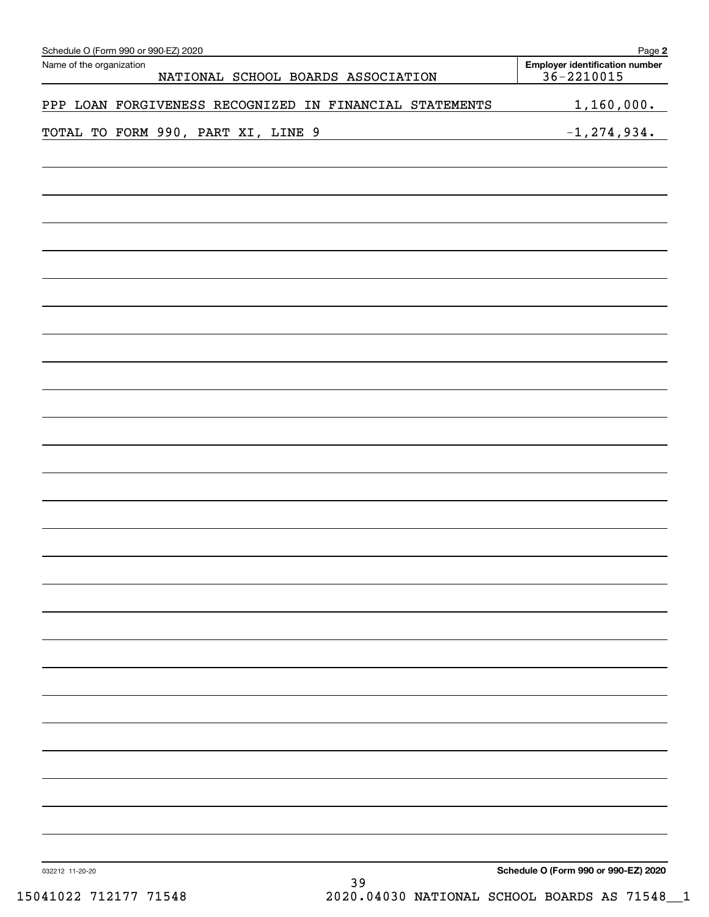| Schedule O (Form 990 or 990-EZ) 2020<br>Name of the organization | Page 2<br><b>Employer identification number</b> |
|------------------------------------------------------------------|-------------------------------------------------|
| NATIONAL SCHOOL BOARDS ASSOCIATION                               | $36 - 2210015$                                  |
| PPP LOAN FORGIVENESS RECOGNIZED IN FINANCIAL STATEMENTS          | 1,160,000.                                      |
| TOTAL TO FORM 990, PART XI, LINE 9                               | $-1, 274, 934.$                                 |
|                                                                  |                                                 |
|                                                                  |                                                 |
|                                                                  |                                                 |
|                                                                  |                                                 |
|                                                                  |                                                 |
|                                                                  |                                                 |
|                                                                  |                                                 |
|                                                                  |                                                 |
|                                                                  |                                                 |
|                                                                  |                                                 |
|                                                                  |                                                 |
|                                                                  |                                                 |
|                                                                  |                                                 |
|                                                                  |                                                 |
|                                                                  |                                                 |
|                                                                  |                                                 |
|                                                                  |                                                 |
|                                                                  |                                                 |
|                                                                  |                                                 |
|                                                                  |                                                 |
|                                                                  |                                                 |
|                                                                  |                                                 |
|                                                                  |                                                 |
|                                                                  |                                                 |
| 032212 11-20-20<br>39                                            | Schedule O (Form 990 or 990-EZ) 2020            |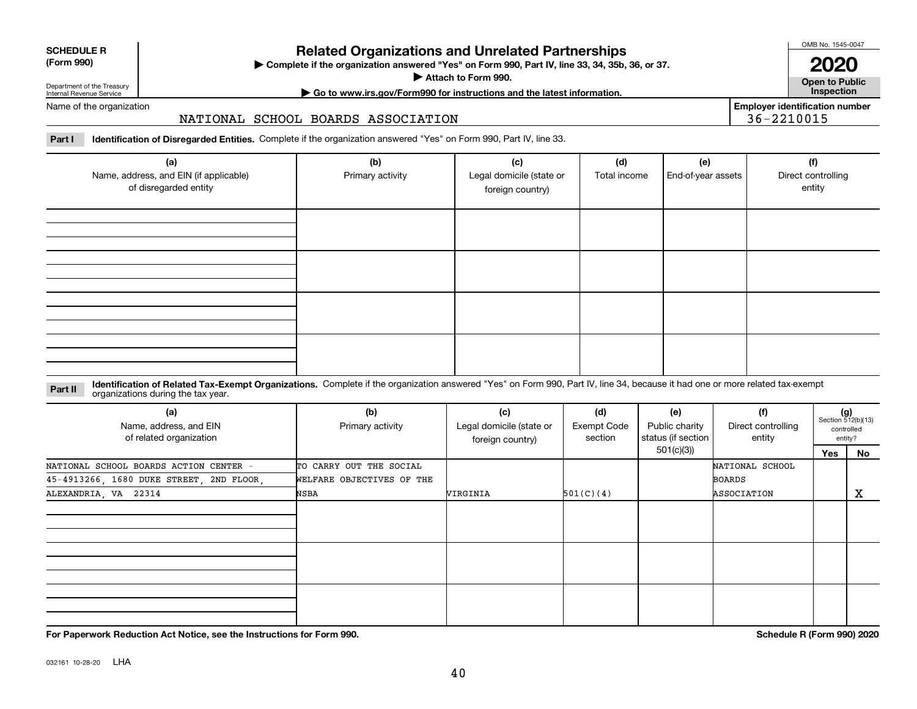|  | ______ |
|--|--------|

## 032161 10-28-20 LHA

**For Paperwork Reduction Act Notice, see the Instructions for Form 990. Schedule R (Form 990) 2020**

# **Related Organizations and Unrelated Partnerships**

**Complete if the organization answered "Yes" on Form 990, Part IV, line 33, 34, 35b, 36, or 37.** |

**Attach to Form 990.**  |

## Department of the Treasury Internal Revenue Service

Name of the organization

#### NATIONAL SCHOOL BOARDS ASSOCIATION

**Part I Identification of Disregarded Entities.**  Complete if the organization answered "Yes" on Form 990, Part IV, line 33.

| (a)<br>Name, address, and EIN (if applicable)<br>of disregarded entity | (b)<br>Primary activity | (c)<br>Legal domicile (state or<br>foreign country) | (d)<br>Total income | (e)<br>End-of-year assets | (f)<br>Direct controlling<br>entity |
|------------------------------------------------------------------------|-------------------------|-----------------------------------------------------|---------------------|---------------------------|-------------------------------------|
|                                                                        |                         |                                                     |                     |                           |                                     |
|                                                                        |                         |                                                     |                     |                           |                                     |
|                                                                        |                         |                                                     |                     |                           |                                     |
|                                                                        |                         |                                                     |                     |                           |                                     |

#### **Identification of Related Tax-Exempt Organizations.** Complete if the organization answered "Yes" on Form 990, Part IV, line 34, because it had one or more related tax-exempt **Part II** organizations during the tax year.

| (a)<br>Name, address, and EIN<br>of related organization | (b)<br>Primary activity   | (c)<br>Legal domicile (state or<br>foreign country) | (d)<br>Exempt Code<br>section | (e)<br>Public charity<br>status (if section | (f)<br>Direct controlling<br>entity | $(g)$<br>Section 512(b)(13) | controlled<br>entity? |
|----------------------------------------------------------|---------------------------|-----------------------------------------------------|-------------------------------|---------------------------------------------|-------------------------------------|-----------------------------|-----------------------|
|                                                          |                           |                                                     |                               | 501(c)(3))                                  |                                     | Yes                         | No                    |
| NATIONAL SCHOOL BOARDS ACTION CENTER -                   | TO CARRY OUT THE SOCIAL   |                                                     |                               |                                             | NATIONAL SCHOOL                     |                             |                       |
| 45-4913266, 1680 DUKE STREET, 2ND FLOOR,                 | WELFARE OBJECTIVES OF THE |                                                     |                               |                                             | <b>BOARDS</b>                       |                             |                       |
| ALEXANDRIA, VA 22314                                     | NSBA                      | <b>VIRGINIA</b>                                     | 501(C)(4)                     |                                             | ASSOCIATION                         |                             | X                     |
|                                                          |                           |                                                     |                               |                                             |                                     |                             |                       |
|                                                          |                           |                                                     |                               |                                             |                                     |                             |                       |
|                                                          |                           |                                                     |                               |                                             |                                     |                             |                       |

**Employer identification number** 36-2210015

OMB No. 1545-0047

**2020**

**Open to Public | Go to www.irs.gov/Form990 for instructions and the latest information. Inspection**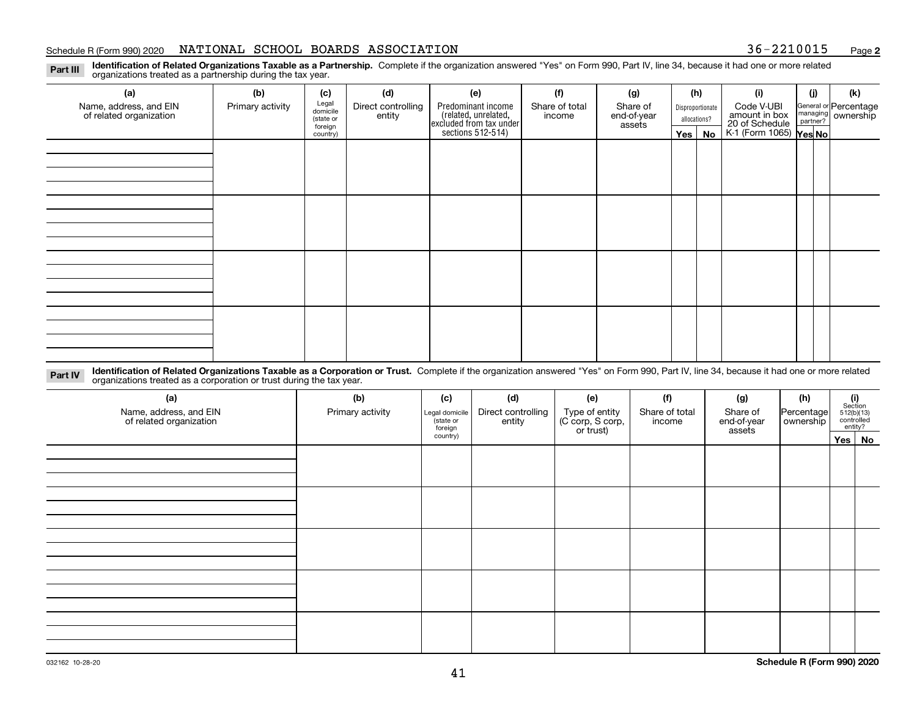#### Schedule R (Form 990) 2020 **NATIONAL SCHOOL BOARDS ASSOCIATION** 36-2210015 <sub>Page</sub>

**2**

**Identification of Related Organizations Taxable as a Partnership.** Complete if the organization answered "Yes" on Form 990, Part IV, line 34, because it had one or more related **Part III** organizations treated as a partnership during the tax year.

| (a)                                               | (b)              | (c)                  | (d)                          | (e)                                                                  | (f)                      | (g)                     | (h)              | (i)                                                       | (i) | (k)                                                     |
|---------------------------------------------------|------------------|----------------------|------------------------------|----------------------------------------------------------------------|--------------------------|-------------------------|------------------|-----------------------------------------------------------|-----|---------------------------------------------------------|
| Name, address, and EIN<br>of related organization | Primary activity | Legal<br>domicile    | Direct controlling<br>entity | Predominant income                                                   | Share of total<br>income | Share of<br>end-of-year | Disproportionate | Code V-UBI                                                |     | General or Percentage<br>managing ownership<br>partner? |
|                                                   |                  | (state or<br>foreign |                              |                                                                      |                          | assets                  | allocations?     |                                                           |     |                                                         |
|                                                   |                  | country)             |                              | (related, unrelated,<br>excluded from tax under<br>sections 512-514) |                          |                         | Yes   No         | amount in box<br>20 of Schedule<br>K-1 (Form 1065) Yes No |     |                                                         |
|                                                   |                  |                      |                              |                                                                      |                          |                         |                  |                                                           |     |                                                         |
|                                                   |                  |                      |                              |                                                                      |                          |                         |                  |                                                           |     |                                                         |
|                                                   |                  |                      |                              |                                                                      |                          |                         |                  |                                                           |     |                                                         |
|                                                   |                  |                      |                              |                                                                      |                          |                         |                  |                                                           |     |                                                         |
|                                                   |                  |                      |                              |                                                                      |                          |                         |                  |                                                           |     |                                                         |
|                                                   |                  |                      |                              |                                                                      |                          |                         |                  |                                                           |     |                                                         |
|                                                   |                  |                      |                              |                                                                      |                          |                         |                  |                                                           |     |                                                         |
|                                                   |                  |                      |                              |                                                                      |                          |                         |                  |                                                           |     |                                                         |
|                                                   |                  |                      |                              |                                                                      |                          |                         |                  |                                                           |     |                                                         |
|                                                   |                  |                      |                              |                                                                      |                          |                         |                  |                                                           |     |                                                         |
|                                                   |                  |                      |                              |                                                                      |                          |                         |                  |                                                           |     |                                                         |
|                                                   |                  |                      |                              |                                                                      |                          |                         |                  |                                                           |     |                                                         |
|                                                   |                  |                      |                              |                                                                      |                          |                         |                  |                                                           |     |                                                         |
|                                                   |                  |                      |                              |                                                                      |                          |                         |                  |                                                           |     |                                                         |
|                                                   |                  |                      |                              |                                                                      |                          |                         |                  |                                                           |     |                                                         |
|                                                   |                  |                      |                              |                                                                      |                          |                         |                  |                                                           |     |                                                         |
|                                                   |                  |                      |                              |                                                                      |                          |                         |                  |                                                           |     |                                                         |

**Identification of Related Organizations Taxable as a Corporation or Trust.** Complete if the organization answered "Yes" on Form 990, Part IV, line 34, because it had one or more related **Part IV** organizations treated as a corporation or trust during the tax year.

| (a)<br>Name, address, and EIN<br>of related organization | (b)<br>Primary activity | (c)<br>Legal domicile<br>(state or<br>foreign | (d)<br>Direct controlling<br>entity | (e)<br>Type of entity<br>(C corp, S corp,<br>or trust) | (f)<br>Share of total<br>income | (g)<br>Share of<br>end-of-year<br>assets | (h)<br>Percentage<br>  ownership | $\begin{array}{c} \textbf{(i)}\\ \text{Section}\\ 512 \text{(b)} \text{(13)}\\ \text{controlled}\end{array}$<br>entity? |        |
|----------------------------------------------------------|-------------------------|-----------------------------------------------|-------------------------------------|--------------------------------------------------------|---------------------------------|------------------------------------------|----------------------------------|-------------------------------------------------------------------------------------------------------------------------|--------|
|                                                          |                         | country)                                      |                                     |                                                        |                                 |                                          |                                  |                                                                                                                         | Yes No |
|                                                          |                         |                                               |                                     |                                                        |                                 |                                          |                                  |                                                                                                                         |        |
|                                                          |                         |                                               |                                     |                                                        |                                 |                                          |                                  |                                                                                                                         |        |
|                                                          |                         |                                               |                                     |                                                        |                                 |                                          |                                  |                                                                                                                         |        |
|                                                          |                         |                                               |                                     |                                                        |                                 |                                          |                                  |                                                                                                                         |        |
|                                                          |                         |                                               |                                     |                                                        |                                 |                                          |                                  |                                                                                                                         |        |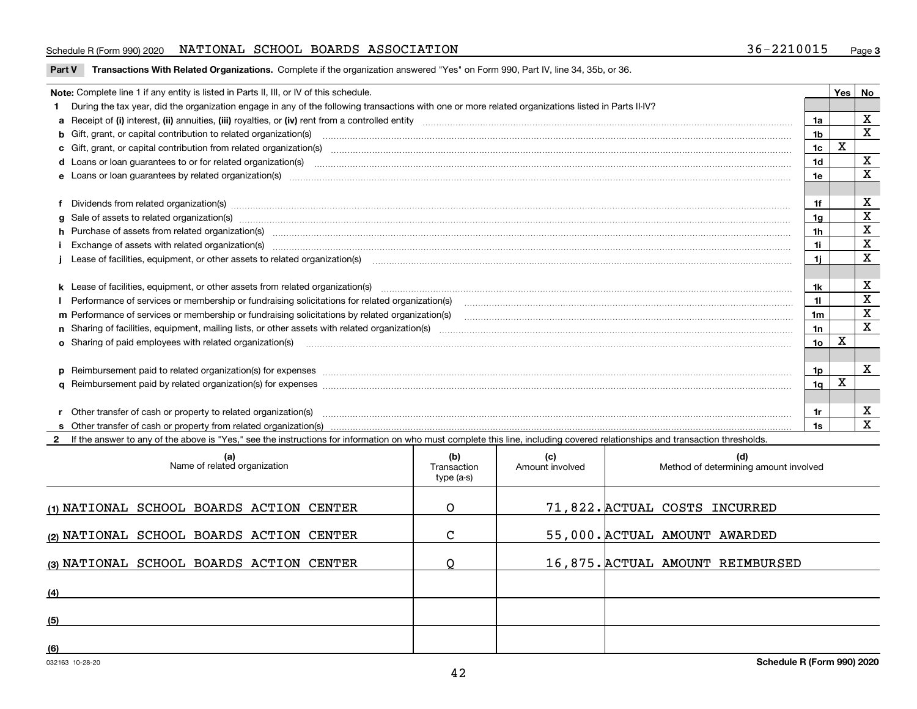#### Schedule R (Form 990) 2020 **NATIONAL SCHOOL BOARDS ASSOCIATION** 36-2210015 <sub>Page</sub>

**Part V** T**ransactions With Related Organizations.** Complete if the organization answered "Yes" on Form 990, Part IV, line 34, 35b, or 36.

| Note: Complete line 1 if any entity is listed in Parts II, III, or IV of this schedule. |                                                                                                                                                                                                                                |                 |   |                         |
|-----------------------------------------------------------------------------------------|--------------------------------------------------------------------------------------------------------------------------------------------------------------------------------------------------------------------------------|-----------------|---|-------------------------|
|                                                                                         | 1 During the tax year, did the organization engage in any of the following transactions with one or more related organizations listed in Parts II-IV?                                                                          |                 |   |                         |
|                                                                                         | a Receipt of (i) interest, (ii) annuities, (iii) royalties, or (iv) rent from a controlled entity [1] controllection [1] controllection [1] annuities, (iii) royalties, or (iv) rent from a controlled entity [1] contently co | 1a              |   | X                       |
|                                                                                         | b Gift, grant, or capital contribution to related organization(s) manufactured and contribution to related organization(s)                                                                                                     | 1 <sub>b</sub>  |   | $\overline{\mathbf{x}}$ |
|                                                                                         | c Gift, grant, or capital contribution from related organization(s) material content and contribution from related organization(s) material content and content and contribution from related organization(s) material content | 1c              |   |                         |
|                                                                                         |                                                                                                                                                                                                                                | 1 <sub>d</sub>  |   | $\mathbf X$             |
|                                                                                         |                                                                                                                                                                                                                                | 1e              |   | X                       |
|                                                                                         |                                                                                                                                                                                                                                |                 |   |                         |
|                                                                                         |                                                                                                                                                                                                                                | 1f              |   | X                       |
|                                                                                         |                                                                                                                                                                                                                                | 1a              |   | $\overline{\mathbf{x}}$ |
|                                                                                         | h Purchase of assets from related organization(s) manufactured and content and content and content and content and content and content and content and content and content and content and content and content and content and | 1 <sub>h</sub>  |   | $\mathbf X$             |
|                                                                                         | Exchange of assets with related organization(s) www.array.com/www.array.com/www.array.com/www.array.com/www.array.com/www.array.com/www.array.com/www.array.com/www.array.com/www.array.com/www.array.com/www.array.com/www.ar | 1i.             |   | $\mathbf X$             |
|                                                                                         | Lease of facilities, equipment, or other assets to related organization(s) commences contained and contained and contained and contained and contained and contained and contained and contained and contained and contained a | 11              |   | $\mathbf X$             |
|                                                                                         |                                                                                                                                                                                                                                |                 |   |                         |
|                                                                                         |                                                                                                                                                                                                                                | 1k              |   | X                       |
|                                                                                         |                                                                                                                                                                                                                                | 11              |   | $\mathbf X$             |
|                                                                                         | m Performance of services or membership or fundraising solicitations by related organization(s)                                                                                                                                | 1 <sub>m</sub>  |   | $\mathbf X$             |
|                                                                                         |                                                                                                                                                                                                                                | 1n              |   | X                       |
|                                                                                         | <b>o</b> Sharing of paid employees with related organization(s)                                                                                                                                                                | 10 <sub>o</sub> | X |                         |
|                                                                                         |                                                                                                                                                                                                                                |                 |   |                         |
|                                                                                         |                                                                                                                                                                                                                                | 1p              |   | $\mathbf X$             |
|                                                                                         |                                                                                                                                                                                                                                | 1 <sub>q</sub>  | x |                         |
|                                                                                         |                                                                                                                                                                                                                                |                 |   |                         |
|                                                                                         | r Other transfer of cash or property to related organization(s)                                                                                                                                                                | 1r              |   | X                       |
|                                                                                         | r Other transfer of cash or property to related organization(s) www.communities.communities content transfer of cash or property from related organization(s) www.communities.communities content transfer of cash or property |                 |   | $\mathbf X$             |
|                                                                                         | 2 If the answer to any of the above is "Yes," see the instructions for information on who must complete this line, including covered relationships and transaction thresholds.                                                 |                 |   |                         |

| (a)<br>Name of related organization      | (b)<br>Transaction<br>type (a-s) | (c)<br>Amount involved | (d)<br>Method of determining amount involved |
|------------------------------------------|----------------------------------|------------------------|----------------------------------------------|
| (1) NATIONAL SCHOOL BOARDS ACTION CENTER | $\Omega$                         |                        | 71,822. ACTUAL COSTS INCURRED                |
| (2) NATIONAL SCHOOL BOARDS ACTION CENTER | $\mathsf{C}$                     |                        | 55,000. ACTUAL AMOUNT AWARDED                |
| (3) NATIONAL SCHOOL BOARDS ACTION CENTER |                                  |                        | 16,875. ACTUAL AMOUNT REIMBURSED             |
| (4)                                      |                                  |                        |                                              |
| (5)                                      |                                  |                        |                                              |
| (6)                                      |                                  |                        |                                              |

 $\overline{\phantom{a}}$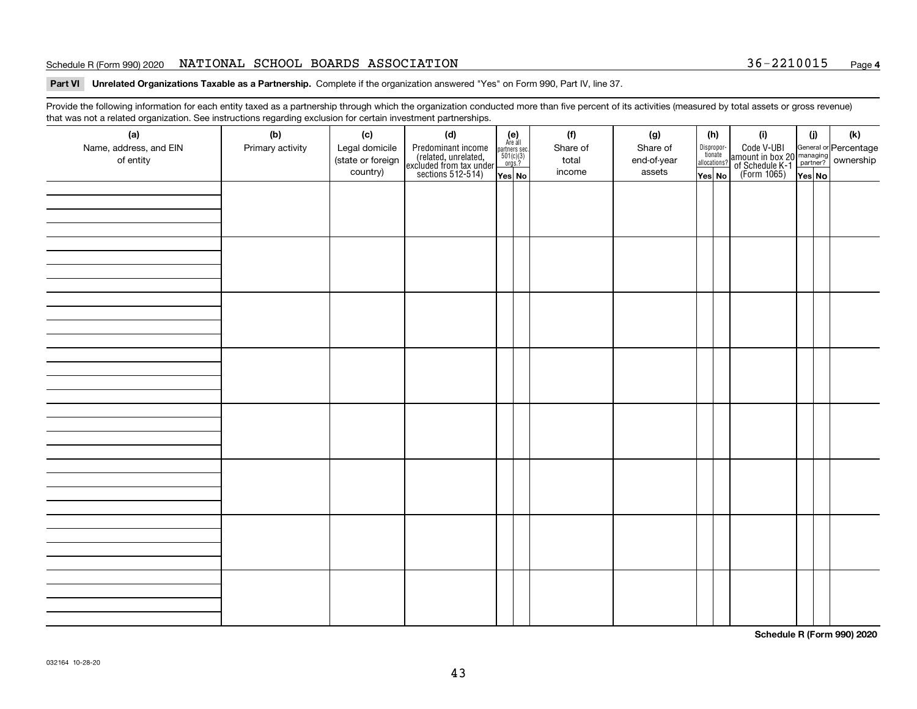#### Schedule R (Form 990) 2020 **NATIONAL SCHOOL BOARDS ASSOCIATION** 36-2210015 <sub>Page</sub>

#### **Part VI Unrelated Organizations Taxable as a Partnership. Complete if the organization answered "Yes" on Form 990, Part IV, line 37.**

Provide the following information for each entity taxed as a partnership through which the organization conducted more than five percent of its activities (measured by total assets or gross revenue) that was not a related organization. See instructions regarding exclusion for certain investment partnerships.

| ັ<br>(a)<br>Name, address, and EIN<br>of entity | ັ<br>ັ<br>(b)<br>Primary activity | (c)<br>Legal domicile<br>(state or foreign<br>country) | (d)<br>Predominant income<br>(related, unrelated,<br>excluded from tax under<br>sections 512-514) | (e)<br>Are all<br>$\begin{array}{c}\n\text{partners} \text{ sec.} \\ 501(c)(3) \\ \text{orgs.?}\n\end{array}$<br>Yes No | (f)<br>Share of<br>total<br>income | (g)<br>Share of<br>end-of-year<br>assets | (h)<br>Dispropor-<br>tionate<br>allocations?<br>Yes No | (i)<br>Code V-UBI<br>amount in box 20 managing<br>of Schedule K-1<br>(Form 1065)<br>$\overline{Yes}$ No | (i)<br>Yes No | (k) |
|-------------------------------------------------|-----------------------------------|--------------------------------------------------------|---------------------------------------------------------------------------------------------------|-------------------------------------------------------------------------------------------------------------------------|------------------------------------|------------------------------------------|--------------------------------------------------------|---------------------------------------------------------------------------------------------------------|---------------|-----|
|                                                 |                                   |                                                        |                                                                                                   |                                                                                                                         |                                    |                                          |                                                        |                                                                                                         |               |     |
|                                                 |                                   |                                                        |                                                                                                   |                                                                                                                         |                                    |                                          |                                                        |                                                                                                         |               |     |
|                                                 |                                   |                                                        |                                                                                                   |                                                                                                                         |                                    |                                          |                                                        |                                                                                                         |               |     |
|                                                 |                                   |                                                        |                                                                                                   |                                                                                                                         |                                    |                                          |                                                        |                                                                                                         |               |     |
|                                                 |                                   |                                                        |                                                                                                   |                                                                                                                         |                                    |                                          |                                                        |                                                                                                         |               |     |
|                                                 |                                   |                                                        |                                                                                                   |                                                                                                                         |                                    |                                          |                                                        |                                                                                                         |               |     |
|                                                 |                                   |                                                        |                                                                                                   |                                                                                                                         |                                    |                                          |                                                        |                                                                                                         |               |     |
|                                                 |                                   |                                                        |                                                                                                   |                                                                                                                         |                                    |                                          |                                                        |                                                                                                         |               |     |

**Schedule R (Form 990) 2020**